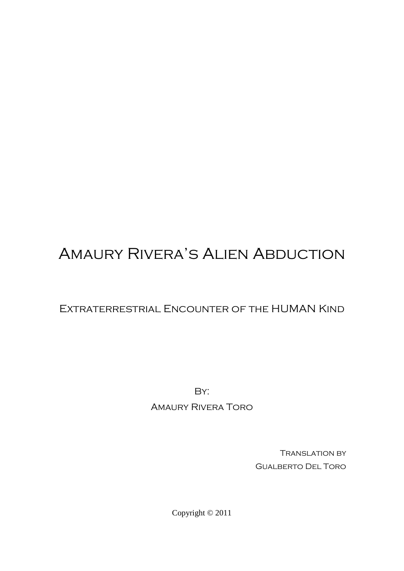# Amaury Rivera's Alien Abduction

## Extraterrestrial Encounter of the HUMAN Kind

By:

## Amaury Rivera Toro

Translation by Gualberto Del Toro

Copyright © 2011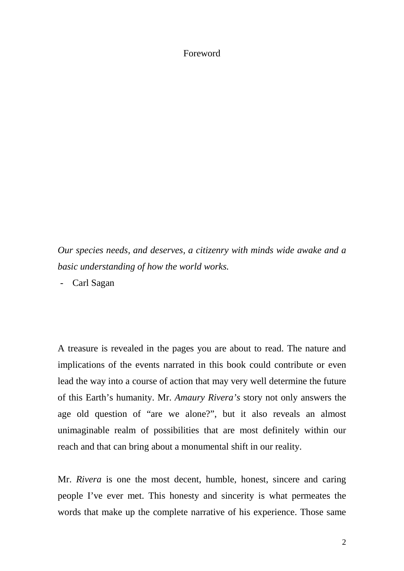### Foreword

*Our species needs, and deserves, a citizenry with minds wide awake and a basic understanding of how the world works.*

- Carl Sagan

A treasure is revealed in the pages you are about to read. The nature and implications of the events narrated in this book could contribute or even lead the way into a course of action that may very well determine the future of this Earth's humanity. Mr. *Amaury Rivera's* story not only answers the age old question of "are we alone?", but it also reveals an almost unimaginable realm of possibilities that are most definitely within our reach and that can bring about a monumental shift in our reality.

Mr. *Rivera* is one the most decent, humble, honest, sincere and caring people I've ever met. This honesty and sincerity is what permeates the words that make up the complete narrative of his experience. Those same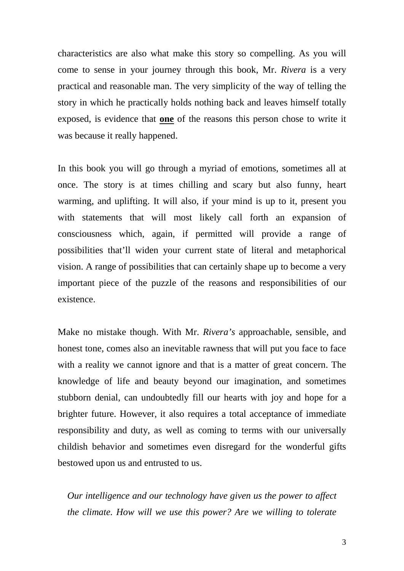characteristics are also what make this story so compelling. As you will come to sense in your journey through this book, Mr. *Rivera* is a very practical and reasonable man. The very simplicity of the way of telling the story in which he practically holds nothing back and leaves himself totally exposed, is evidence that **one** of the reasons this person chose to write it was because it really happened.

In this book you will go through a myriad of emotions, sometimes all at once. The story is at times chilling and scary but also funny, heart warming, and uplifting. It will also, if your mind is up to it, present you with statements that will most likely call forth an expansion of consciousness which, again, if permitted will provide a range of possibilities that'll widen your current state of literal and metaphorical vision. A range of possibilities that can certainly shape up to become a very important piece of the puzzle of the reasons and responsibilities of our existence.

Make no mistake though. With Mr. *Rivera's* approachable, sensible, and honest tone, comes also an inevitable rawness that will put you face to face with a reality we cannot ignore and that is a matter of great concern. The knowledge of life and beauty beyond our imagination, and sometimes stubborn denial, can undoubtedly fill our hearts with joy and hope for a brighter future. However, it also requires a total acceptance of immediate responsibility and duty, as well as coming to terms with our universally childish behavior and sometimes even disregard for the wonderful gifts bestowed upon us and entrusted to us.

*Our intelligence and our technology have given us the power to affect the climate. How will we use this power? Are we willing to tolerate*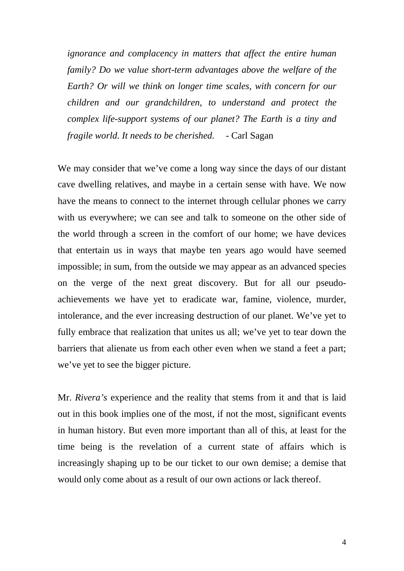*ignorance and complacency in matters that affect the entire human family? Do we value short-term advantages above the welfare of the Earth? Or will we think on longer time scales, with concern for our children and our grandchildren, to understand and protect the complex life-support systems of our planet? The Earth is a tiny and fragile world. It needs to be cherished.* - Carl Sagan

We may consider that we've come a long way since the days of our distant cave dwelling relatives, and maybe in a certain sense with have. We now have the means to connect to the internet through cellular phones we carry with us everywhere; we can see and talk to someone on the other side of the world through a screen in the comfort of our home; we have devices that entertain us in ways that maybe ten years ago would have seemed impossible; in sum, from the outside we may appear as an advanced species on the verge of the next great discovery. But for all our pseudoachievements we have yet to eradicate war, famine, violence, murder, intolerance, and the ever increasing destruction of our planet. We've yet to fully embrace that realization that unites us all; we've yet to tear down the barriers that alienate us from each other even when we stand a feet a part; we've yet to see the bigger picture.

Mr. *Rivera's* experience and the reality that stems from it and that is laid out in this book implies one of the most, if not the most, significant events in human history. But even more important than all of this, at least for the time being is the revelation of a current state of affairs which is increasingly shaping up to be our ticket to our own demise; a demise that would only come about as a result of our own actions or lack thereof.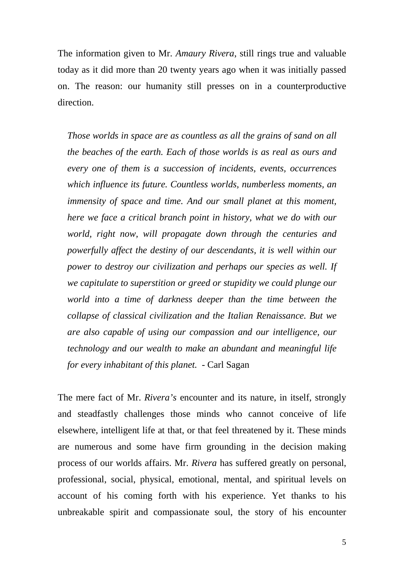The information given to Mr. *Amaury Rivera*, still rings true and valuable today as it did more than 20 twenty years ago when it was initially passed on. The reason: our humanity still presses on in a counterproductive direction.

*Those worlds in space are as countless as all the grains of sand on all the beaches of the earth. Each of those worlds is as real as ours and every one of them is a succession of incidents, events, occurrences which influence its future. Countless worlds, numberless moments, an immensity of space and time. And our small planet at this moment, here we face a critical branch point in history, what we do with our world, right now, will propagate down through the centuries and powerfully affect the destiny of our descendants, it is well within our power to destroy our civilization and perhaps our species as well. If we capitulate to superstition or greed or stupidity we could plunge our world into a time of darkness deeper than the time between the collapse of classical civilization and the Italian Renaissance. But we are also capable of using our compassion and our intelligence, our technology and our wealth to make an abundant and meaningful life for every inhabitant of this planet.* - Carl Sagan

The mere fact of Mr. *Rivera's* encounter and its nature, in itself, strongly and steadfastly challenges those minds who cannot conceive of life elsewhere, intelligent life at that, or that feel threatened by it. These minds are numerous and some have firm grounding in the decision making process of our worlds affairs. Mr. *Rivera* has suffered greatly on personal, professional, social, physical, emotional, mental, and spiritual levels on account of his coming forth with his experience. Yet thanks to his unbreakable spirit and compassionate soul, the story of his encounter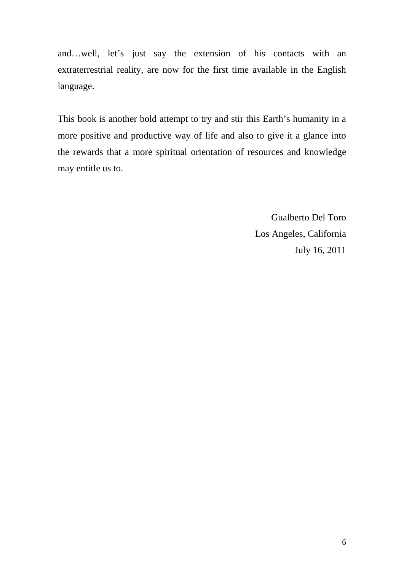and…well, let's just say the extension of his contacts with an extraterrestrial reality, are now for the first time available in the English language.

This book is another bold attempt to try and stir this Earth's humanity in a more positive and productive way of life and also to give it a glance into the rewards that a more spiritual orientation of resources and knowledge may entitle us to.

> Gualberto Del Toro Los Angeles, California July 16, 2011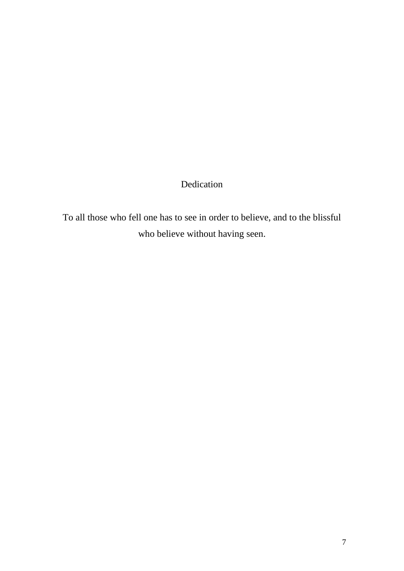# Dedication

To all those who fell one has to see in order to believe, and to the blissful who believe without having seen.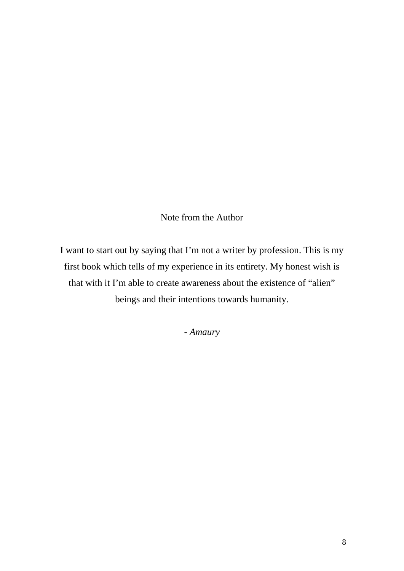## Note from the Author

I want to start out by saying that I'm not a writer by profession. This is my first book which tells of my experience in its entirety. My honest wish is that with it I'm able to create awareness about the existence of "alien" beings and their intentions towards humanity.

- *Amaury*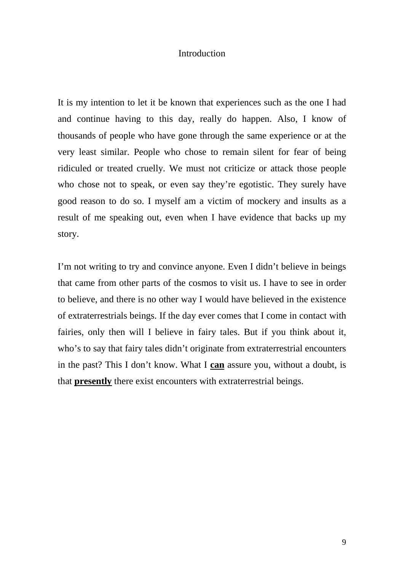## **Introduction**

It is my intention to let it be known that experiences such as the one I had and continue having to this day, really do happen. Also, I know of thousands of people who have gone through the same experience or at the very least similar. People who chose to remain silent for fear of being ridiculed or treated cruelly. We must not criticize or attack those people who chose not to speak, or even say they're egotistic. They surely have good reason to do so. I myself am a victim of mockery and insults as a result of me speaking out, even when I have evidence that backs up my story.

I'm not writing to try and convince anyone. Even I didn't believe in beings that came from other parts of the cosmos to visit us. I have to see in order to believe, and there is no other way I would have believed in the existence of extraterrestrials beings. If the day ever comes that I come in contact with fairies, only then will I believe in fairy tales. But if you think about it, who's to say that fairy tales didn't originate from extraterrestrial encounters in the past? This I don't know. What I **can** assure you, without a doubt, is that **presently** there exist encounters with extraterrestrial beings.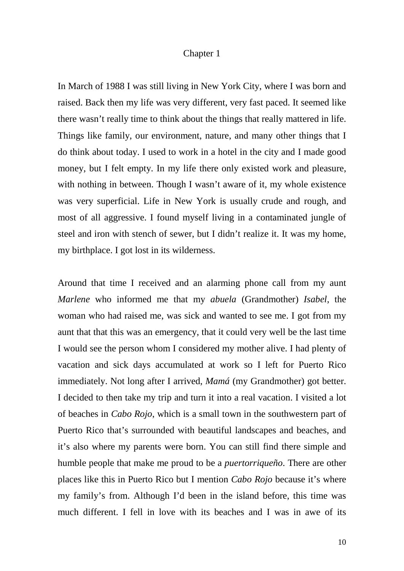#### Chapter 1

In March of 1988 I was still living in New York City, where I was born and raised. Back then my life was very different, very fast paced. It seemed like there wasn't really time to think about the things that really mattered in life. Things like family, our environment, nature, and many other things that I do think about today. I used to work in a hotel in the city and I made good money, but I felt empty. In my life there only existed work and pleasure, with nothing in between. Though I wasn't aware of it, my whole existence was very superficial. Life in New York is usually crude and rough, and most of all aggressive. I found myself living in a contaminated jungle of steel and iron with stench of sewer, but I didn't realize it. It was my home, my birthplace. I got lost in its wilderness.

Around that time I received and an alarming phone call from my aunt *Marlene* who informed me that my *abuela* (Grandmother) *Isabel*, the woman who had raised me, was sick and wanted to see me. I got from my aunt that that this was an emergency, that it could very well be the last time I would see the person whom I considered my mother alive. I had plenty of vacation and sick days accumulated at work so I left for Puerto Rico immediately. Not long after I arrived, *Mamá* (my Grandmother) got better. I decided to then take my trip and turn it into a real vacation. I visited a lot of beaches in *Cabo Rojo*, which is a small town in the southwestern part of Puerto Rico that's surrounded with beautiful landscapes and beaches, and it's also where my parents were born. You can still find there simple and humble people that make me proud to be a *puertorriqueño*. There are other places like this in Puerto Rico but I mention *Cabo Rojo* because it's where my family's from. Although I'd been in the island before, this time was much different. I fell in love with its beaches and I was in awe of its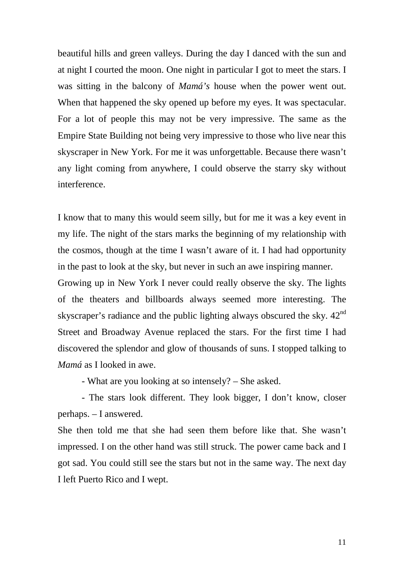beautiful hills and green valleys. During the day I danced with the sun and at night I courted the moon. One night in particular I got to meet the stars. I was sitting in the balcony of *Mamá's* house when the power went out. When that happened the sky opened up before my eyes. It was spectacular. For a lot of people this may not be very impressive. The same as the Empire State Building not being very impressive to those who live near this skyscraper in New York. For me it was unforgettable. Because there wasn't any light coming from anywhere, I could observe the starry sky without interference.

I know that to many this would seem silly, but for me it was a key event in my life. The night of the stars marks the beginning of my relationship with the cosmos, though at the time I wasn't aware of it. I had had opportunity in the past to look at the sky, but never in such an awe inspiring manner.

Growing up in New York I never could really observe the sky. The lights of the theaters and billboards always seemed more interesting. The skyscraper's radiance and the public lighting always obscured the sky.  $42<sup>nd</sup>$ Street and Broadway Avenue replaced the stars. For the first time I had discovered the splendor and glow of thousands of suns. I stopped talking to *Mamá* as I looked in awe.

- What are you looking at so intensely? – She asked.

- The stars look different. They look bigger, I don't know, closer perhaps. – I answered.

She then told me that she had seen them before like that. She wasn't impressed. I on the other hand was still struck. The power came back and I got sad. You could still see the stars but not in the same way. The next day I left Puerto Rico and I wept.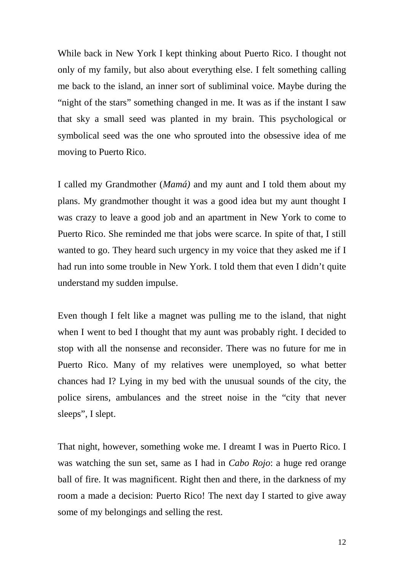While back in New York I kept thinking about Puerto Rico. I thought not only of my family, but also about everything else. I felt something calling me back to the island, an inner sort of subliminal voice. Maybe during the "night of the stars" something changed in me. It was as if the instant I saw that sky a small seed was planted in my brain. This psychological or symbolical seed was the one who sprouted into the obsessive idea of me moving to Puerto Rico.

I called my Grandmother (*Mamá)* and my aunt and I told them about my plans. My grandmother thought it was a good idea but my aunt thought I was crazy to leave a good job and an apartment in New York to come to Puerto Rico. She reminded me that jobs were scarce. In spite of that, I still wanted to go. They heard such urgency in my voice that they asked me if I had run into some trouble in New York. I told them that even I didn't quite understand my sudden impulse.

Even though I felt like a magnet was pulling me to the island, that night when I went to bed I thought that my aunt was probably right. I decided to stop with all the nonsense and reconsider. There was no future for me in Puerto Rico. Many of my relatives were unemployed, so what better chances had I? Lying in my bed with the unusual sounds of the city, the police sirens, ambulances and the street noise in the "city that never sleeps", I slept.

That night, however, something woke me. I dreamt I was in Puerto Rico. I was watching the sun set, same as I had in *Cabo Rojo*: a huge red orange ball of fire. It was magnificent. Right then and there, in the darkness of my room a made a decision: Puerto Rico! The next day I started to give away some of my belongings and selling the rest.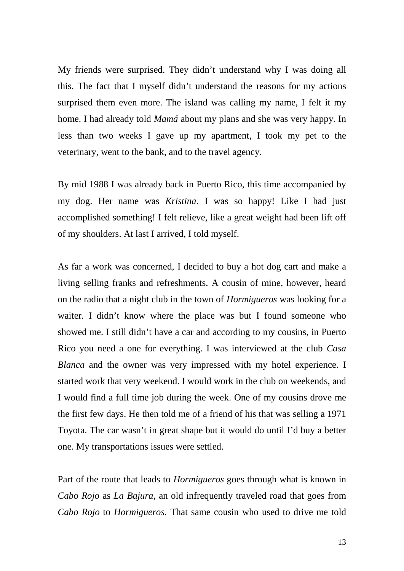My friends were surprised. They didn't understand why I was doing all this. The fact that I myself didn't understand the reasons for my actions surprised them even more. The island was calling my name, I felt it my home. I had already told *Mamá* about my plans and she was very happy. In less than two weeks I gave up my apartment, I took my pet to the veterinary, went to the bank, and to the travel agency.

By mid 1988 I was already back in Puerto Rico, this time accompanied by my dog. Her name was *Kristina*. I was so happy! Like I had just accomplished something! I felt relieve, like a great weight had been lift off of my shoulders. At last I arrived, I told myself.

As far a work was concerned, I decided to buy a hot dog cart and make a living selling franks and refreshments. A cousin of mine, however, heard on the radio that a night club in the town of *Hormigueros* was looking for a waiter. I didn't know where the place was but I found someone who showed me. I still didn't have a car and according to my cousins, in Puerto Rico you need a one for everything. I was interviewed at the club *Casa Blanca* and the owner was very impressed with my hotel experience. I started work that very weekend. I would work in the club on weekends, and I would find a full time job during the week. One of my cousins drove me the first few days. He then told me of a friend of his that was selling a 1971 Toyota. The car wasn't in great shape but it would do until I'd buy a better one. My transportations issues were settled.

Part of the route that leads to *Hormigueros* goes through what is known in *Cabo Rojo* as *La Bajura*, an old infrequently traveled road that goes from *Cabo Rojo* to *Hormigueros.* That same cousin who used to drive me told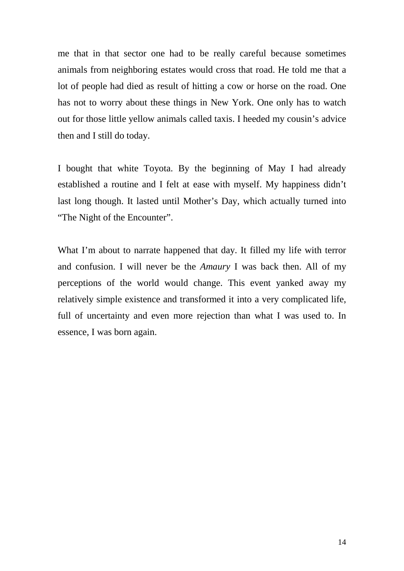me that in that sector one had to be really careful because sometimes animals from neighboring estates would cross that road. He told me that a lot of people had died as result of hitting a cow or horse on the road. One has not to worry about these things in New York. One only has to watch out for those little yellow animals called taxis. I heeded my cousin's advice then and I still do today.

I bought that white Toyota. By the beginning of May I had already established a routine and I felt at ease with myself. My happiness didn't last long though. It lasted until Mother's Day, which actually turned into "The Night of the Encounter".

What I'm about to narrate happened that day. It filled my life with terror and confusion. I will never be the *Amaury* I was back then. All of my perceptions of the world would change. This event yanked away my relatively simple existence and transformed it into a very complicated life, full of uncertainty and even more rejection than what I was used to. In essence, I was born again.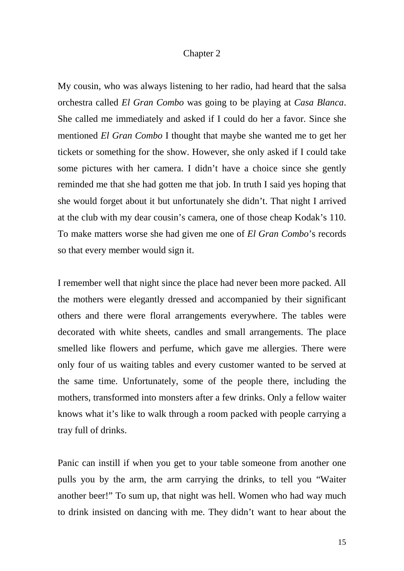#### Chapter 2

My cousin, who was always listening to her radio, had heard that the salsa orchestra called *El Gran Combo* was going to be playing at *Casa Blanca*. She called me immediately and asked if I could do her a favor. Since she mentioned *El Gran Combo* I thought that maybe she wanted me to get her tickets or something for the show. However, she only asked if I could take some pictures with her camera. I didn't have a choice since she gently reminded me that she had gotten me that job. In truth I said yes hoping that she would forget about it but unfortunately she didn't. That night I arrived at the club with my dear cousin's camera, one of those cheap Kodak's 110. To make matters worse she had given me one of *El Gran Combo*'s records so that every member would sign it.

I remember well that night since the place had never been more packed. All the mothers were elegantly dressed and accompanied by their significant others and there were floral arrangements everywhere. The tables were decorated with white sheets, candles and small arrangements. The place smelled like flowers and perfume, which gave me allergies. There were only four of us waiting tables and every customer wanted to be served at the same time. Unfortunately, some of the people there, including the mothers, transformed into monsters after a few drinks. Only a fellow waiter knows what it's like to walk through a room packed with people carrying a tray full of drinks.

Panic can instill if when you get to your table someone from another one pulls you by the arm, the arm carrying the drinks, to tell you "Waiter another beer!" To sum up, that night was hell. Women who had way much to drink insisted on dancing with me. They didn't want to hear about the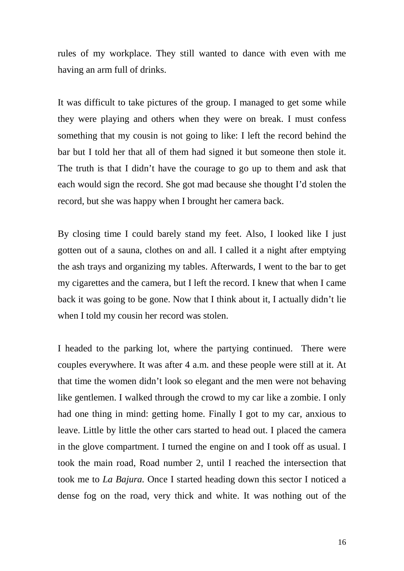rules of my workplace. They still wanted to dance with even with me having an arm full of drinks.

It was difficult to take pictures of the group. I managed to get some while they were playing and others when they were on break. I must confess something that my cousin is not going to like: I left the record behind the bar but I told her that all of them had signed it but someone then stole it. The truth is that I didn't have the courage to go up to them and ask that each would sign the record. She got mad because she thought I'd stolen the record, but she was happy when I brought her camera back.

By closing time I could barely stand my feet. Also, I looked like I just gotten out of a sauna, clothes on and all. I called it a night after emptying the ash trays and organizing my tables. Afterwards, I went to the bar to get my cigarettes and the camera, but I left the record. I knew that when I came back it was going to be gone. Now that I think about it, I actually didn't lie when I told my cousin her record was stolen.

I headed to the parking lot, where the partying continued. There were couples everywhere. It was after 4 a.m. and these people were still at it. At that time the women didn't look so elegant and the men were not behaving like gentlemen. I walked through the crowd to my car like a zombie. I only had one thing in mind: getting home. Finally I got to my car, anxious to leave. Little by little the other cars started to head out. I placed the camera in the glove compartment. I turned the engine on and I took off as usual. I took the main road, Road number 2, until I reached the intersection that took me to *La Bajura.* Once I started heading down this sector I noticed a dense fog on the road, very thick and white. It was nothing out of the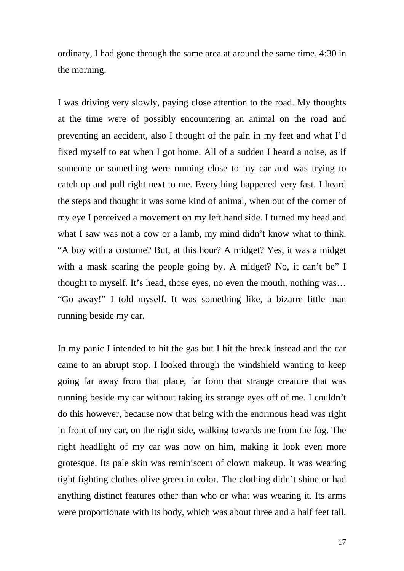ordinary, I had gone through the same area at around the same time, 4:30 in the morning.

I was driving very slowly, paying close attention to the road. My thoughts at the time were of possibly encountering an animal on the road and preventing an accident, also I thought of the pain in my feet and what I'd fixed myself to eat when I got home. All of a sudden I heard a noise, as if someone or something were running close to my car and was trying to catch up and pull right next to me. Everything happened very fast. I heard the steps and thought it was some kind of animal, when out of the corner of my eye I perceived a movement on my left hand side. I turned my head and what I saw was not a cow or a lamb, my mind didn't know what to think. "A boy with a costume? But, at this hour? A midget? Yes, it was a midget with a mask scaring the people going by. A midget? No, it can't be" I thought to myself. It's head, those eyes, no even the mouth, nothing was… "Go away!" I told myself. It was something like, a bizarre little man running beside my car.

In my panic I intended to hit the gas but I hit the break instead and the car came to an abrupt stop. I looked through the windshield wanting to keep going far away from that place, far form that strange creature that was running beside my car without taking its strange eyes off of me. I couldn't do this however, because now that being with the enormous head was right in front of my car, on the right side, walking towards me from the fog. The right headlight of my car was now on him, making it look even more grotesque. Its pale skin was reminiscent of clown makeup. It was wearing tight fighting clothes olive green in color. The clothing didn't shine or had anything distinct features other than who or what was wearing it. Its arms were proportionate with its body, which was about three and a half feet tall.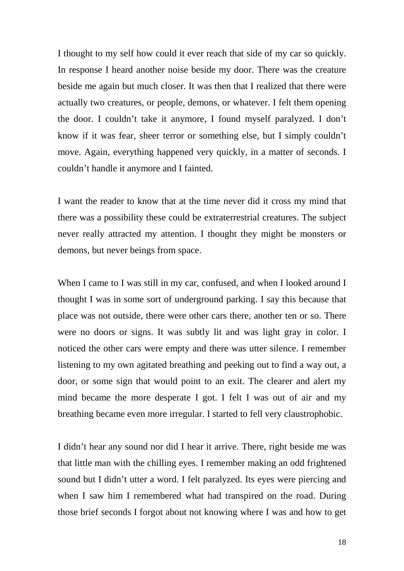I thought to my self how could it ever reach that side of my car so quickly. In response I heard another noise beside my door. There was the creature beside me again but much closer. It was then that I realized that there were actually two creatures, or people, demons, or whatever. I felt them opening the door. I couldn't take it anymore, I found myself paralyzed. I don't know if it was fear, sheer terror or something else, but I simply couldn't move. Again, everything happened very quickly, in a matter of seconds. I couldn't handle it anymore and I fainted.

I want the reader to know that at the time never did it cross my mind that there was a possibility these could be extraterrestrial creatures. The subject never really attracted my attention. I thought they might be monsters or demons, but never beings from space.

When I came to I was still in my car, confused, and when I looked around I thought I was in some sort of underground parking. I say this because that place was not outside, there were other cars there, another ten or so. There were no doors or signs. It was subtly lit and was light gray in color. I noticed the other cars were empty and there was utter silence. I remember listening to my own agitated breathing and peeking out to find a way out, a door, or some sign that would point to an exit. The clearer and alert my mind became the more desperate I got. I felt I was out of air and my breathing became even more irregular. I started to fell very claustrophobic.

I didn't hear any sound nor did I hear it arrive. There, right beside me was that little man with the chilling eyes. I remember making an odd frightened sound but I didn't utter a word. I felt paralyzed. Its eyes were piercing and when I saw him I remembered what had transpired on the road. During those brief seconds I forgot about not knowing where I was and how to get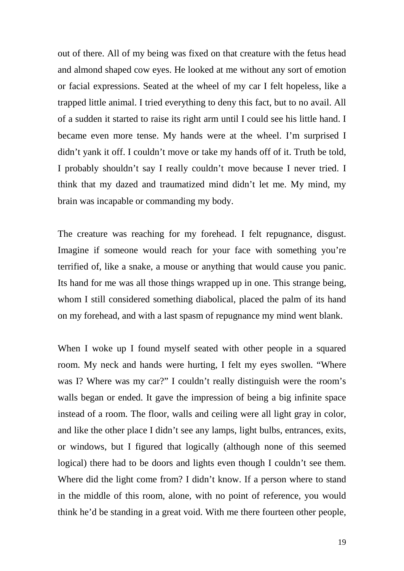out of there. All of my being was fixed on that creature with the fetus head and almond shaped cow eyes. He looked at me without any sort of emotion or facial expressions. Seated at the wheel of my car I felt hopeless, like a trapped little animal. I tried everything to deny this fact, but to no avail. All of a sudden it started to raise its right arm until I could see his little hand. I became even more tense. My hands were at the wheel. I'm surprised I didn't yank it off. I couldn't move or take my hands off of it. Truth be told, I probably shouldn't say I really couldn't move because I never tried. I think that my dazed and traumatized mind didn't let me. My mind, my brain was incapable or commanding my body.

The creature was reaching for my forehead. I felt repugnance, disgust. Imagine if someone would reach for your face with something you're terrified of, like a snake, a mouse or anything that would cause you panic. Its hand for me was all those things wrapped up in one. This strange being, whom I still considered something diabolical, placed the palm of its hand on my forehead, and with a last spasm of repugnance my mind went blank.

When I woke up I found myself seated with other people in a squared room. My neck and hands were hurting, I felt my eyes swollen. "Where was I? Where was my car?" I couldn't really distinguish were the room's walls began or ended. It gave the impression of being a big infinite space instead of a room. The floor, walls and ceiling were all light gray in color, and like the other place I didn't see any lamps, light bulbs, entrances, exits, or windows, but I figured that logically (although none of this seemed logical) there had to be doors and lights even though I couldn't see them. Where did the light come from? I didn't know. If a person where to stand in the middle of this room, alone, with no point of reference, you would think he'd be standing in a great void. With me there fourteen other people,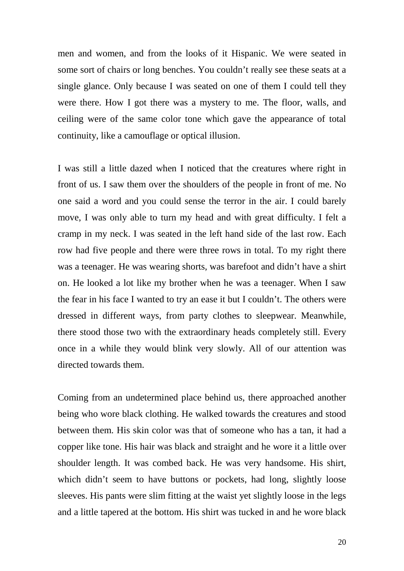men and women, and from the looks of it Hispanic. We were seated in some sort of chairs or long benches. You couldn't really see these seats at a single glance. Only because I was seated on one of them I could tell they were there. How I got there was a mystery to me. The floor, walls, and ceiling were of the same color tone which gave the appearance of total continuity, like a camouflage or optical illusion.

I was still a little dazed when I noticed that the creatures where right in front of us. I saw them over the shoulders of the people in front of me. No one said a word and you could sense the terror in the air. I could barely move, I was only able to turn my head and with great difficulty. I felt a cramp in my neck. I was seated in the left hand side of the last row. Each row had five people and there were three rows in total. To my right there was a teenager. He was wearing shorts, was barefoot and didn't have a shirt on. He looked a lot like my brother when he was a teenager. When I saw the fear in his face I wanted to try an ease it but I couldn't. The others were dressed in different ways, from party clothes to sleepwear. Meanwhile, there stood those two with the extraordinary heads completely still. Every once in a while they would blink very slowly. All of our attention was directed towards them.

Coming from an undetermined place behind us, there approached another being who wore black clothing. He walked towards the creatures and stood between them. His skin color was that of someone who has a tan, it had a copper like tone. His hair was black and straight and he wore it a little over shoulder length. It was combed back. He was very handsome. His shirt, which didn't seem to have buttons or pockets, had long, slightly loose sleeves. His pants were slim fitting at the waist yet slightly loose in the legs and a little tapered at the bottom. His shirt was tucked in and he wore black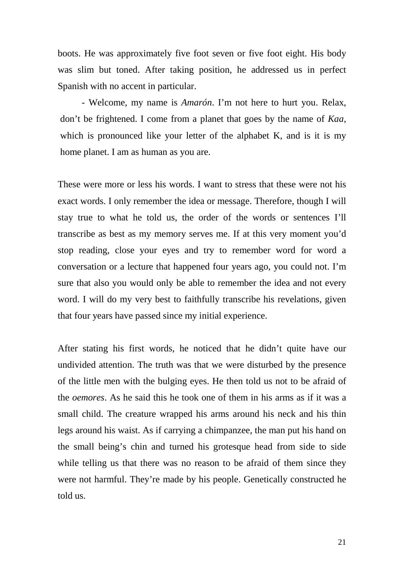boots. He was approximately five foot seven or five foot eight. His body was slim but toned. After taking position, he addressed us in perfect Spanish with no accent in particular.

- Welcome, my name is *Amarón*. I'm not here to hurt you. Relax, don't be frightened. I come from a planet that goes by the name of *Kaa*, which is pronounced like your letter of the alphabet K, and is it is my home planet. I am as human as you are.

These were more or less his words. I want to stress that these were not his exact words. I only remember the idea or message. Therefore, though I will stay true to what he told us, the order of the words or sentences I'll transcribe as best as my memory serves me. If at this very moment you'd stop reading, close your eyes and try to remember word for word a conversation or a lecture that happened four years ago, you could not. I'm sure that also you would only be able to remember the idea and not every word. I will do my very best to faithfully transcribe his revelations, given that four years have passed since my initial experience.

After stating his first words, he noticed that he didn't quite have our undivided attention. The truth was that we were disturbed by the presence of the little men with the bulging eyes. He then told us not to be afraid of the *oemores*. As he said this he took one of them in his arms as if it was a small child. The creature wrapped his arms around his neck and his thin legs around his waist. As if carrying a chimpanzee, the man put his hand on the small being's chin and turned his grotesque head from side to side while telling us that there was no reason to be afraid of them since they were not harmful. They're made by his people. Genetically constructed he told us.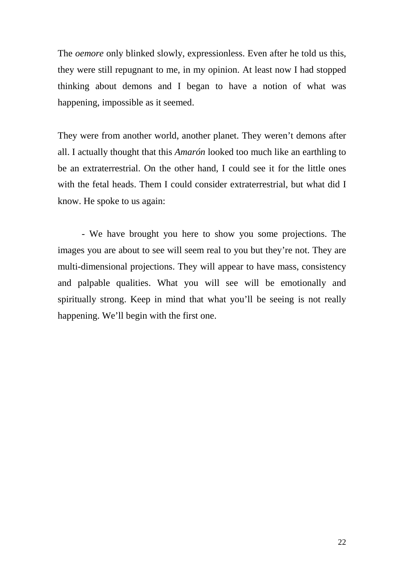The *oemore* only blinked slowly, expressionless. Even after he told us this, they were still repugnant to me, in my opinion. At least now I had stopped thinking about demons and I began to have a notion of what was happening, impossible as it seemed.

They were from another world, another planet. They weren't demons after all. I actually thought that this *Amarón* looked too much like an earthling to be an extraterrestrial. On the other hand, I could see it for the little ones with the fetal heads. Them I could consider extraterrestrial, but what did I know. He spoke to us again:

- We have brought you here to show you some projections. The images you are about to see will seem real to you but they're not. They are multi-dimensional projections. They will appear to have mass, consistency and palpable qualities. What you will see will be emotionally and spiritually strong. Keep in mind that what you'll be seeing is not really happening. We'll begin with the first one.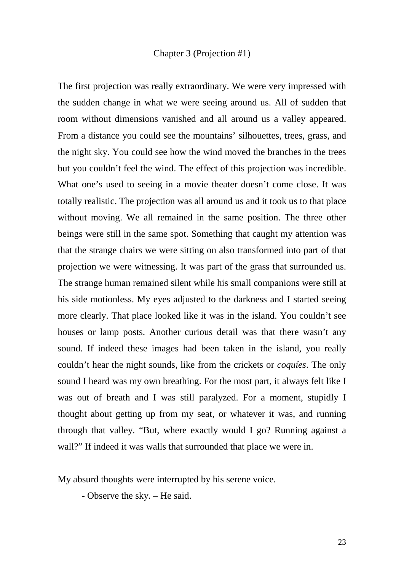## Chapter 3 (Projection #1)

The first projection was really extraordinary. We were very impressed with the sudden change in what we were seeing around us. All of sudden that room without dimensions vanished and all around us a valley appeared. From a distance you could see the mountains' silhouettes, trees, grass, and the night sky. You could see how the wind moved the branches in the trees but you couldn't feel the wind. The effect of this projection was incredible. What one's used to seeing in a movie theater doesn't come close. It was totally realistic. The projection was all around us and it took us to that place without moving. We all remained in the same position. The three other beings were still in the same spot. Something that caught my attention was that the strange chairs we were sitting on also transformed into part of that projection we were witnessing. It was part of the grass that surrounded us. The strange human remained silent while his small companions were still at his side motionless. My eyes adjusted to the darkness and I started seeing more clearly. That place looked like it was in the island. You couldn't see houses or lamp posts. Another curious detail was that there wasn't any sound. If indeed these images had been taken in the island, you really couldn't hear the night sounds, like from the crickets or *coquíes*. The only sound I heard was my own breathing. For the most part, it always felt like I was out of breath and I was still paralyzed. For a moment, stupidly I thought about getting up from my seat, or whatever it was, and running through that valley. "But, where exactly would I go? Running against a wall?" If indeed it was walls that surrounded that place we were in.

My absurd thoughts were interrupted by his serene voice.

- Observe the sky. – He said.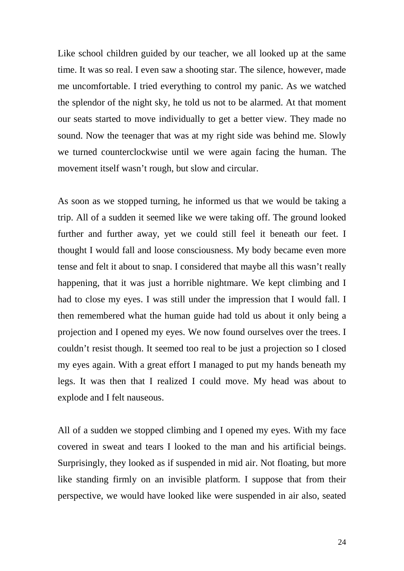Like school children guided by our teacher, we all looked up at the same time. It was so real. I even saw a shooting star. The silence, however, made me uncomfortable. I tried everything to control my panic. As we watched the splendor of the night sky, he told us not to be alarmed. At that moment our seats started to move individually to get a better view. They made no sound. Now the teenager that was at my right side was behind me. Slowly we turned counterclockwise until we were again facing the human. The movement itself wasn't rough, but slow and circular.

As soon as we stopped turning, he informed us that we would be taking a trip. All of a sudden it seemed like we were taking off. The ground looked further and further away, yet we could still feel it beneath our feet. I thought I would fall and loose consciousness. My body became even more tense and felt it about to snap. I considered that maybe all this wasn't really happening, that it was just a horrible nightmare. We kept climbing and I had to close my eyes. I was still under the impression that I would fall. I then remembered what the human guide had told us about it only being a projection and I opened my eyes. We now found ourselves over the trees. I couldn't resist though. It seemed too real to be just a projection so I closed my eyes again. With a great effort I managed to put my hands beneath my legs. It was then that I realized I could move. My head was about to explode and I felt nauseous.

All of a sudden we stopped climbing and I opened my eyes. With my face covered in sweat and tears I looked to the man and his artificial beings. Surprisingly, they looked as if suspended in mid air. Not floating, but more like standing firmly on an invisible platform. I suppose that from their perspective, we would have looked like were suspended in air also, seated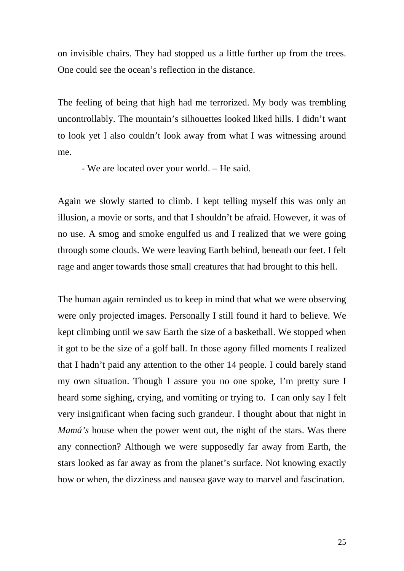on invisible chairs. They had stopped us a little further up from the trees. One could see the ocean's reflection in the distance.

The feeling of being that high had me terrorized. My body was trembling uncontrollably. The mountain's silhouettes looked liked hills. I didn't want to look yet I also couldn't look away from what I was witnessing around me.

- We are located over your world. – He said.

Again we slowly started to climb. I kept telling myself this was only an illusion, a movie or sorts, and that I shouldn't be afraid. However, it was of no use. A smog and smoke engulfed us and I realized that we were going through some clouds. We were leaving Earth behind, beneath our feet. I felt rage and anger towards those small creatures that had brought to this hell.

The human again reminded us to keep in mind that what we were observing were only projected images. Personally I still found it hard to believe. We kept climbing until we saw Earth the size of a basketball. We stopped when it got to be the size of a golf ball. In those agony filled moments I realized that I hadn't paid any attention to the other 14 people. I could barely stand my own situation. Though I assure you no one spoke, I'm pretty sure I heard some sighing, crying, and vomiting or trying to. I can only say I felt very insignificant when facing such grandeur. I thought about that night in *Mamá's* house when the power went out, the night of the stars. Was there any connection? Although we were supposedly far away from Earth, the stars looked as far away as from the planet's surface. Not knowing exactly how or when, the dizziness and nausea gave way to marvel and fascination.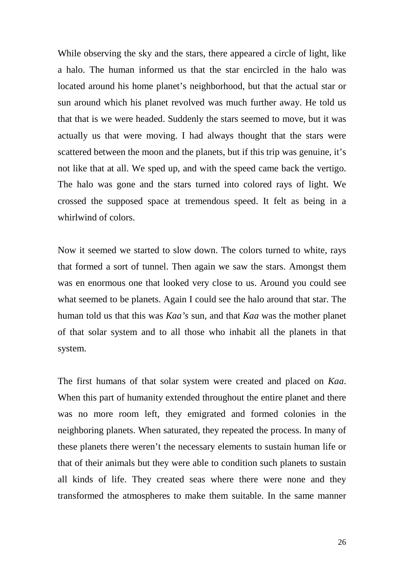While observing the sky and the stars, there appeared a circle of light, like a halo. The human informed us that the star encircled in the halo was located around his home planet's neighborhood, but that the actual star or sun around which his planet revolved was much further away. He told us that that is we were headed. Suddenly the stars seemed to move, but it was actually us that were moving. I had always thought that the stars were scattered between the moon and the planets, but if this trip was genuine, it's not like that at all. We sped up, and with the speed came back the vertigo. The halo was gone and the stars turned into colored rays of light. We crossed the supposed space at tremendous speed. It felt as being in a whirlwind of colors.

Now it seemed we started to slow down. The colors turned to white, rays that formed a sort of tunnel. Then again we saw the stars. Amongst them was en enormous one that looked very close to us. Around you could see what seemed to be planets. Again I could see the halo around that star. The human told us that this was *Kaa's* sun, and that *Kaa* was the mother planet of that solar system and to all those who inhabit all the planets in that system.

The first humans of that solar system were created and placed on *Kaa*. When this part of humanity extended throughout the entire planet and there was no more room left, they emigrated and formed colonies in the neighboring planets. When saturated, they repeated the process. In many of these planets there weren't the necessary elements to sustain human life or that of their animals but they were able to condition such planets to sustain all kinds of life. They created seas where there were none and they transformed the atmospheres to make them suitable. In the same manner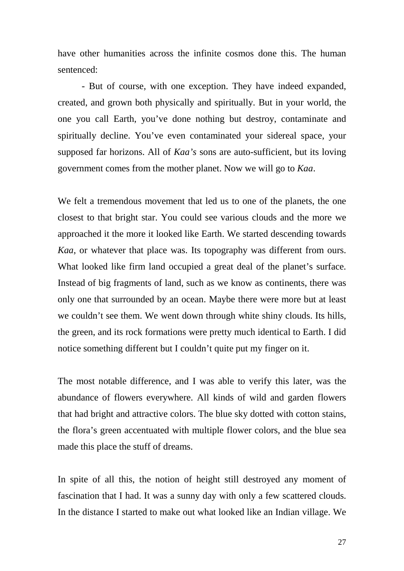have other humanities across the infinite cosmos done this. The human sentenced:

- But of course, with one exception. They have indeed expanded, created, and grown both physically and spiritually. But in your world, the one you call Earth, you've done nothing but destroy, contaminate and spiritually decline. You've even contaminated your sidereal space, your supposed far horizons. All of *Kaa's* sons are auto-sufficient, but its loving government comes from the mother planet. Now we will go to *Kaa*.

We felt a tremendous movement that led us to one of the planets, the one closest to that bright star. You could see various clouds and the more we approached it the more it looked like Earth. We started descending towards *Kaa*, or whatever that place was. Its topography was different from ours. What looked like firm land occupied a great deal of the planet's surface. Instead of big fragments of land, such as we know as continents, there was only one that surrounded by an ocean. Maybe there were more but at least we couldn't see them. We went down through white shiny clouds. Its hills, the green, and its rock formations were pretty much identical to Earth. I did notice something different but I couldn't quite put my finger on it.

The most notable difference, and I was able to verify this later, was the abundance of flowers everywhere. All kinds of wild and garden flowers that had bright and attractive colors. The blue sky dotted with cotton stains, the flora's green accentuated with multiple flower colors, and the blue sea made this place the stuff of dreams.

In spite of all this, the notion of height still destroyed any moment of fascination that I had. It was a sunny day with only a few scattered clouds. In the distance I started to make out what looked like an Indian village. We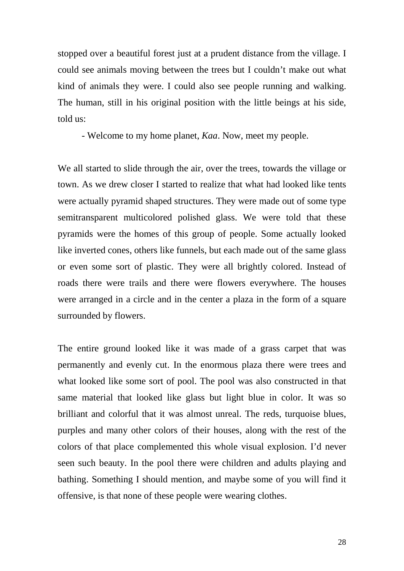stopped over a beautiful forest just at a prudent distance from the village. I could see animals moving between the trees but I couldn't make out what kind of animals they were. I could also see people running and walking. The human, still in his original position with the little beings at his side, told us:

- Welcome to my home planet, *Kaa*. Now, meet my people.

We all started to slide through the air, over the trees, towards the village or town. As we drew closer I started to realize that what had looked like tents were actually pyramid shaped structures. They were made out of some type semitransparent multicolored polished glass. We were told that these pyramids were the homes of this group of people. Some actually looked like inverted cones, others like funnels, but each made out of the same glass or even some sort of plastic. They were all brightly colored. Instead of roads there were trails and there were flowers everywhere. The houses were arranged in a circle and in the center a plaza in the form of a square surrounded by flowers.

The entire ground looked like it was made of a grass carpet that was permanently and evenly cut. In the enormous plaza there were trees and what looked like some sort of pool. The pool was also constructed in that same material that looked like glass but light blue in color. It was so brilliant and colorful that it was almost unreal. The reds, turquoise blues, purples and many other colors of their houses, along with the rest of the colors of that place complemented this whole visual explosion. I'd never seen such beauty. In the pool there were children and adults playing and bathing. Something I should mention, and maybe some of you will find it offensive, is that none of these people were wearing clothes.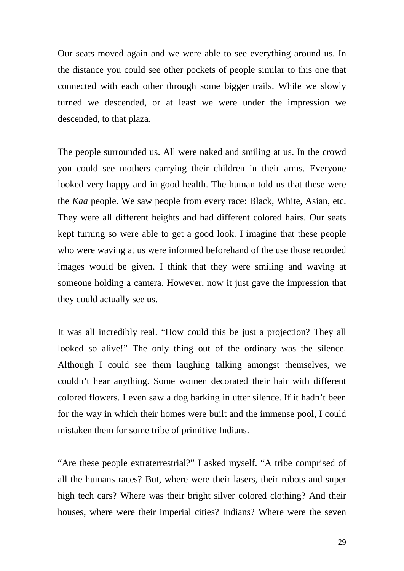Our seats moved again and we were able to see everything around us. In the distance you could see other pockets of people similar to this one that connected with each other through some bigger trails. While we slowly turned we descended, or at least we were under the impression we descended, to that plaza.

The people surrounded us. All were naked and smiling at us. In the crowd you could see mothers carrying their children in their arms. Everyone looked very happy and in good health. The human told us that these were the *Kaa* people. We saw people from every race: Black, White, Asian, etc. They were all different heights and had different colored hairs. Our seats kept turning so were able to get a good look. I imagine that these people who were waving at us were informed beforehand of the use those recorded images would be given. I think that they were smiling and waving at someone holding a camera. However, now it just gave the impression that they could actually see us.

It was all incredibly real. "How could this be just a projection? They all looked so alive!" The only thing out of the ordinary was the silence. Although I could see them laughing talking amongst themselves, we couldn't hear anything. Some women decorated their hair with different colored flowers. I even saw a dog barking in utter silence. If it hadn't been for the way in which their homes were built and the immense pool, I could mistaken them for some tribe of primitive Indians.

"Are these people extraterrestrial?" I asked myself. "A tribe comprised of all the humans races? But, where were their lasers, their robots and super high tech cars? Where was their bright silver colored clothing? And their houses, where were their imperial cities? Indians? Where were the seven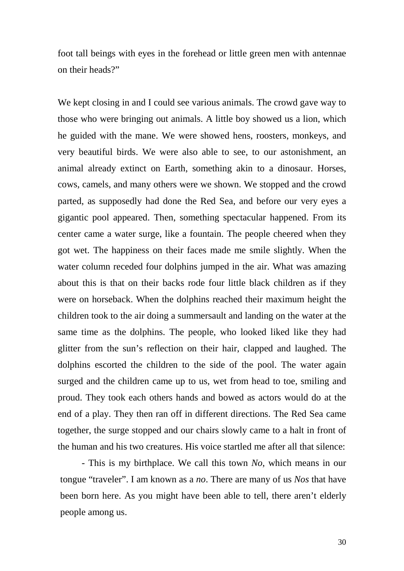foot tall beings with eyes in the forehead or little green men with antennae on their heads?"

We kept closing in and I could see various animals. The crowd gave way to those who were bringing out animals. A little boy showed us a lion, which he guided with the mane. We were showed hens, roosters, monkeys, and very beautiful birds. We were also able to see, to our astonishment, an animal already extinct on Earth, something akin to a dinosaur. Horses, cows, camels, and many others were we shown. We stopped and the crowd parted, as supposedly had done the Red Sea, and before our very eyes a gigantic pool appeared. Then, something spectacular happened. From its center came a water surge, like a fountain. The people cheered when they got wet. The happiness on their faces made me smile slightly. When the water column receded four dolphins jumped in the air. What was amazing about this is that on their backs rode four little black children as if they were on horseback. When the dolphins reached their maximum height the children took to the air doing a summersault and landing on the water at the same time as the dolphins. The people, who looked liked like they had glitter from the sun's reflection on their hair, clapped and laughed. The dolphins escorted the children to the side of the pool. The water again surged and the children came up to us, wet from head to toe, smiling and proud. They took each others hands and bowed as actors would do at the end of a play. They then ran off in different directions. The Red Sea came together, the surge stopped and our chairs slowly came to a halt in front of the human and his two creatures. His voice startled me after all that silence:

- This is my birthplace. We call this town *No*, which means in our tongue "traveler". I am known as a *no*. There are many of us *Nos* that have been born here. As you might have been able to tell, there aren't elderly people among us.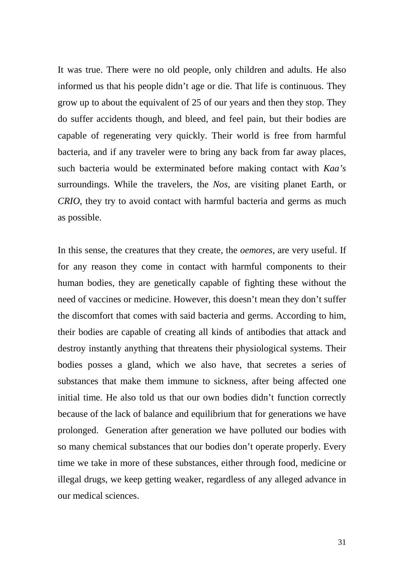It was true. There were no old people, only children and adults. He also informed us that his people didn't age or die. That life is continuous. They grow up to about the equivalent of 25 of our years and then they stop. They do suffer accidents though, and bleed, and feel pain, but their bodies are capable of regenerating very quickly. Their world is free from harmful bacteria, and if any traveler were to bring any back from far away places, such bacteria would be exterminated before making contact with *Kaa's* surroundings. While the travelers, the *Nos*, are visiting planet Earth, or *CRIO*, they try to avoid contact with harmful bacteria and germs as much as possible.

In this sense, the creatures that they create, the *oemores*, are very useful. If for any reason they come in contact with harmful components to their human bodies, they are genetically capable of fighting these without the need of vaccines or medicine. However, this doesn't mean they don't suffer the discomfort that comes with said bacteria and germs. According to him, their bodies are capable of creating all kinds of antibodies that attack and destroy instantly anything that threatens their physiological systems. Their bodies posses a gland, which we also have, that secretes a series of substances that make them immune to sickness, after being affected one initial time. He also told us that our own bodies didn't function correctly because of the lack of balance and equilibrium that for generations we have prolonged. Generation after generation we have polluted our bodies with so many chemical substances that our bodies don't operate properly. Every time we take in more of these substances, either through food, medicine or illegal drugs, we keep getting weaker, regardless of any alleged advance in our medical sciences.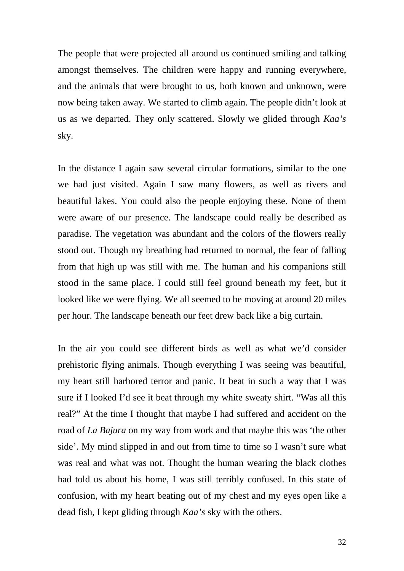The people that were projected all around us continued smiling and talking amongst themselves. The children were happy and running everywhere, and the animals that were brought to us, both known and unknown, were now being taken away. We started to climb again. The people didn't look at us as we departed. They only scattered. Slowly we glided through *Kaa's* sky.

In the distance I again saw several circular formations, similar to the one we had just visited. Again I saw many flowers, as well as rivers and beautiful lakes. You could also the people enjoying these. None of them were aware of our presence. The landscape could really be described as paradise. The vegetation was abundant and the colors of the flowers really stood out. Though my breathing had returned to normal, the fear of falling from that high up was still with me. The human and his companions still stood in the same place. I could still feel ground beneath my feet, but it looked like we were flying. We all seemed to be moving at around 20 miles per hour. The landscape beneath our feet drew back like a big curtain.

In the air you could see different birds as well as what we'd consider prehistoric flying animals. Though everything I was seeing was beautiful, my heart still harbored terror and panic. It beat in such a way that I was sure if I looked I'd see it beat through my white sweaty shirt. "Was all this real?" At the time I thought that maybe I had suffered and accident on the road of *La Bajura* on my way from work and that maybe this was 'the other side'. My mind slipped in and out from time to time so I wasn't sure what was real and what was not. Thought the human wearing the black clothes had told us about his home, I was still terribly confused. In this state of confusion, with my heart beating out of my chest and my eyes open like a dead fish, I kept gliding through *Kaa's* sky with the others.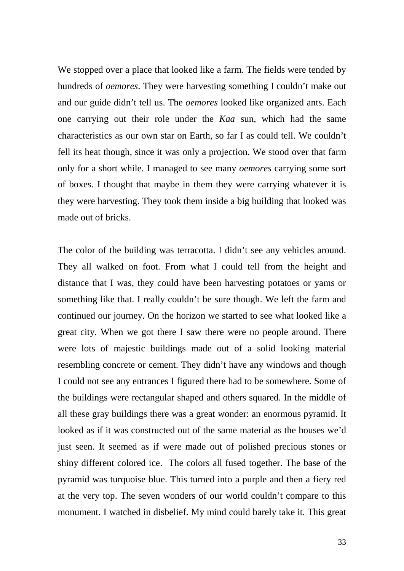We stopped over a place that looked like a farm. The fields were tended by hundreds of *oemores*. They were harvesting something I couldn't make out and our guide didn't tell us. The *oemores* looked like organized ants. Each one carrying out their role under the *Kaa* sun, which had the same characteristics as our own star on Earth, so far I as could tell. We couldn't fell its heat though, since it was only a projection. We stood over that farm only for a short while. I managed to see many *oemores* carrying some sort of boxes. I thought that maybe in them they were carrying whatever it is they were harvesting. They took them inside a big building that looked was made out of bricks.

The color of the building was terracotta. I didn't see any vehicles around. They all walked on foot. From what I could tell from the height and distance that I was, they could have been harvesting potatoes or yams or something like that. I really couldn't be sure though. We left the farm and continued our journey. On the horizon we started to see what looked like a great city. When we got there I saw there were no people around. There were lots of majestic buildings made out of a solid looking material resembling concrete or cement. They didn't have any windows and though I could not see any entrances I figured there had to be somewhere. Some of the buildings were rectangular shaped and others squared. In the middle of all these gray buildings there was a great wonder: an enormous pyramid. It looked as if it was constructed out of the same material as the houses we'd just seen. It seemed as if were made out of polished precious stones or shiny different colored ice. The colors all fused together. The base of the pyramid was turquoise blue. This turned into a purple and then a fiery red at the very top. The seven wonders of our world couldn't compare to this monument. I watched in disbelief. My mind could barely take it. This great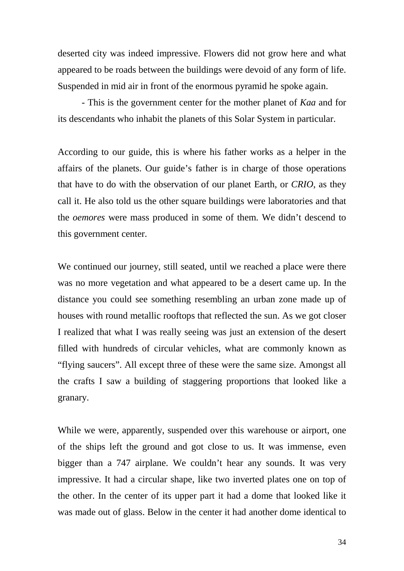deserted city was indeed impressive. Flowers did not grow here and what appeared to be roads between the buildings were devoid of any form of life. Suspended in mid air in front of the enormous pyramid he spoke again.

- This is the government center for the mother planet of *Kaa* and for its descendants who inhabit the planets of this Solar System in particular.

According to our guide, this is where his father works as a helper in the affairs of the planets. Our guide's father is in charge of those operations that have to do with the observation of our planet Earth, or *CRIO*, as they call it. He also told us the other square buildings were laboratories and that the *oemores* were mass produced in some of them. We didn't descend to this government center.

We continued our journey, still seated, until we reached a place were there was no more vegetation and what appeared to be a desert came up. In the distance you could see something resembling an urban zone made up of houses with round metallic rooftops that reflected the sun. As we got closer I realized that what I was really seeing was just an extension of the desert filled with hundreds of circular vehicles, what are commonly known as "flying saucers". All except three of these were the same size. Amongst all the crafts I saw a building of staggering proportions that looked like a granary.

While we were, apparently, suspended over this warehouse or airport, one of the ships left the ground and got close to us. It was immense, even bigger than a 747 airplane. We couldn't hear any sounds. It was very impressive. It had a circular shape, like two inverted plates one on top of the other. In the center of its upper part it had a dome that looked like it was made out of glass. Below in the center it had another dome identical to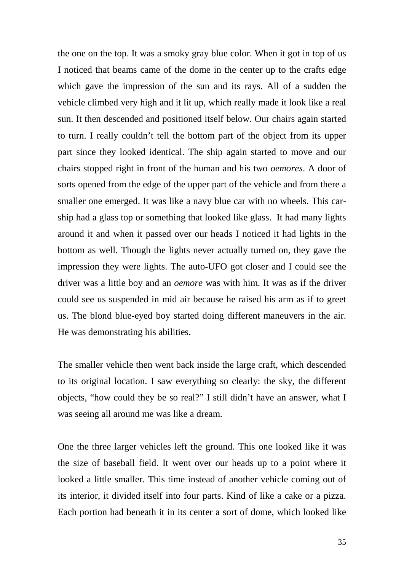the one on the top. It was a smoky gray blue color. When it got in top of us I noticed that beams came of the dome in the center up to the crafts edge which gave the impression of the sun and its rays. All of a sudden the vehicle climbed very high and it lit up, which really made it look like a real sun. It then descended and positioned itself below. Our chairs again started to turn. I really couldn't tell the bottom part of the object from its upper part since they looked identical. The ship again started to move and our chairs stopped right in front of the human and his two *oemores*. A door of sorts opened from the edge of the upper part of the vehicle and from there a smaller one emerged. It was like a navy blue car with no wheels. This carship had a glass top or something that looked like glass. It had many lights around it and when it passed over our heads I noticed it had lights in the bottom as well. Though the lights never actually turned on, they gave the impression they were lights. The auto-UFO got closer and I could see the driver was a little boy and an *oemore* was with him. It was as if the driver could see us suspended in mid air because he raised his arm as if to greet us. The blond blue-eyed boy started doing different maneuvers in the air. He was demonstrating his abilities.

The smaller vehicle then went back inside the large craft, which descended to its original location. I saw everything so clearly: the sky, the different objects, "how could they be so real?" I still didn't have an answer, what I was seeing all around me was like a dream.

One the three larger vehicles left the ground. This one looked like it was the size of baseball field. It went over our heads up to a point where it looked a little smaller. This time instead of another vehicle coming out of its interior, it divided itself into four parts. Kind of like a cake or a pizza. Each portion had beneath it in its center a sort of dome, which looked like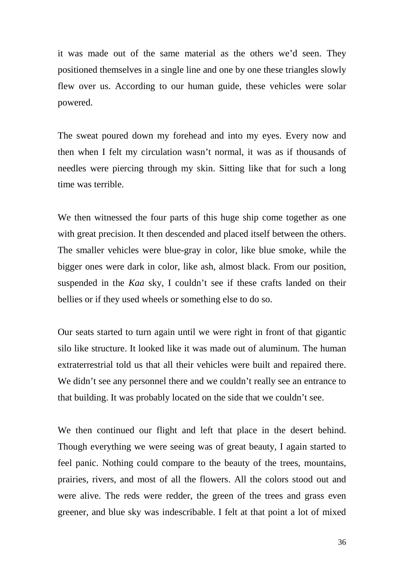it was made out of the same material as the others we'd seen. They positioned themselves in a single line and one by one these triangles slowly flew over us. According to our human guide, these vehicles were solar powered.

The sweat poured down my forehead and into my eyes. Every now and then when I felt my circulation wasn't normal, it was as if thousands of needles were piercing through my skin. Sitting like that for such a long time was terrible.

We then witnessed the four parts of this huge ship come together as one with great precision. It then descended and placed itself between the others. The smaller vehicles were blue-gray in color, like blue smoke, while the bigger ones were dark in color, like ash, almost black. From our position, suspended in the *Kaa* sky, I couldn't see if these crafts landed on their bellies or if they used wheels or something else to do so.

Our seats started to turn again until we were right in front of that gigantic silo like structure. It looked like it was made out of aluminum. The human extraterrestrial told us that all their vehicles were built and repaired there. We didn't see any personnel there and we couldn't really see an entrance to that building. It was probably located on the side that we couldn't see.

We then continued our flight and left that place in the desert behind. Though everything we were seeing was of great beauty, I again started to feel panic. Nothing could compare to the beauty of the trees, mountains, prairies, rivers, and most of all the flowers. All the colors stood out and were alive. The reds were redder, the green of the trees and grass even greener, and blue sky was indescribable. I felt at that point a lot of mixed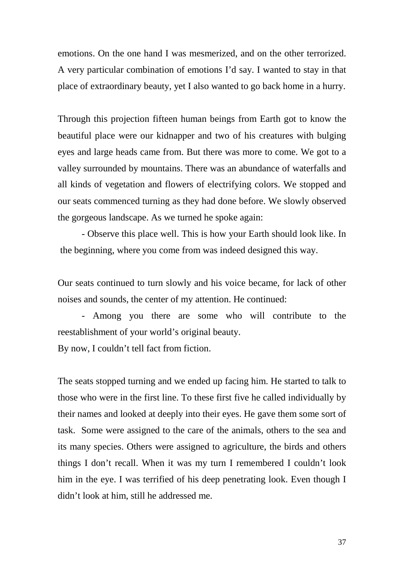emotions. On the one hand I was mesmerized, and on the other terrorized. A very particular combination of emotions I'd say. I wanted to stay in that place of extraordinary beauty, yet I also wanted to go back home in a hurry.

Through this projection fifteen human beings from Earth got to know the beautiful place were our kidnapper and two of his creatures with bulging eyes and large heads came from. But there was more to come. We got to a valley surrounded by mountains. There was an abundance of waterfalls and all kinds of vegetation and flowers of electrifying colors. We stopped and our seats commenced turning as they had done before. We slowly observed the gorgeous landscape. As we turned he spoke again:

- Observe this place well. This is how your Earth should look like. In the beginning, where you come from was indeed designed this way.

Our seats continued to turn slowly and his voice became, for lack of other noises and sounds, the center of my attention. He continued:

- Among you there are some who will contribute to the reestablishment of your world's original beauty.

By now, I couldn't tell fact from fiction.

The seats stopped turning and we ended up facing him. He started to talk to those who were in the first line. To these first five he called individually by their names and looked at deeply into their eyes. He gave them some sort of task. Some were assigned to the care of the animals, others to the sea and its many species. Others were assigned to agriculture, the birds and others things I don't recall. When it was my turn I remembered I couldn't look him in the eye. I was terrified of his deep penetrating look. Even though I didn't look at him, still he addressed me.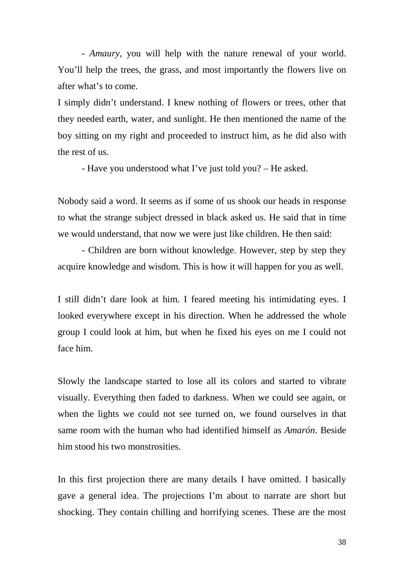- *Amaury*, you will help with the nature renewal of your world. You'll help the trees, the grass, and most importantly the flowers live on after what's to come.

I simply didn't understand. I knew nothing of flowers or trees, other that they needed earth, water, and sunlight. He then mentioned the name of the boy sitting on my right and proceeded to instruct him, as he did also with the rest of us.

- Have you understood what I've just told you? – He asked.

Nobody said a word. It seems as if some of us shook our heads in response to what the strange subject dressed in black asked us. He said that in time we would understand, that now we were just like children. He then said:

- Children are born without knowledge. However, step by step they acquire knowledge and wisdom. This is how it will happen for you as well.

I still didn't dare look at him. I feared meeting his intimidating eyes. I looked everywhere except in his direction. When he addressed the whole group I could look at him, but when he fixed his eyes on me I could not face him.

Slowly the landscape started to lose all its colors and started to vibrate visually. Everything then faded to darkness. When we could see again, or when the lights we could not see turned on, we found ourselves in that same room with the human who had identified himself as *Amarón*. Beside him stood his two monstrosities.

In this first projection there are many details I have omitted. I basically gave a general idea. The projections I'm about to narrate are short but shocking. They contain chilling and horrifying scenes. These are the most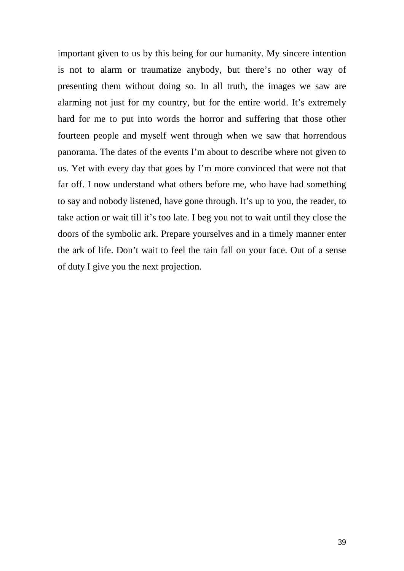important given to us by this being for our humanity. My sincere intention is not to alarm or traumatize anybody, but there's no other way of presenting them without doing so. In all truth, the images we saw are alarming not just for my country, but for the entire world. It's extremely hard for me to put into words the horror and suffering that those other fourteen people and myself went through when we saw that horrendous panorama. The dates of the events I'm about to describe where not given to us. Yet with every day that goes by I'm more convinced that were not that far off. I now understand what others before me, who have had something to say and nobody listened, have gone through. It's up to you, the reader, to take action or wait till it's too late. I beg you not to wait until they close the doors of the symbolic ark. Prepare yourselves and in a timely manner enter the ark of life. Don't wait to feel the rain fall on your face. Out of a sense of duty I give you the next projection.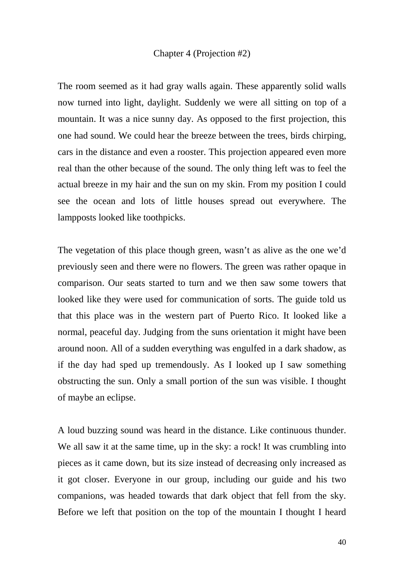## Chapter 4 (Projection #2)

The room seemed as it had gray walls again. These apparently solid walls now turned into light, daylight. Suddenly we were all sitting on top of a mountain. It was a nice sunny day. As opposed to the first projection, this one had sound. We could hear the breeze between the trees, birds chirping, cars in the distance and even a rooster. This projection appeared even more real than the other because of the sound. The only thing left was to feel the actual breeze in my hair and the sun on my skin. From my position I could see the ocean and lots of little houses spread out everywhere. The lampposts looked like toothpicks.

The vegetation of this place though green, wasn't as alive as the one we'd previously seen and there were no flowers. The green was rather opaque in comparison. Our seats started to turn and we then saw some towers that looked like they were used for communication of sorts. The guide told us that this place was in the western part of Puerto Rico. It looked like a normal, peaceful day. Judging from the suns orientation it might have been around noon. All of a sudden everything was engulfed in a dark shadow, as if the day had sped up tremendously. As I looked up I saw something obstructing the sun. Only a small portion of the sun was visible. I thought of maybe an eclipse.

A loud buzzing sound was heard in the distance. Like continuous thunder. We all saw it at the same time, up in the sky: a rock! It was crumbling into pieces as it came down, but its size instead of decreasing only increased as it got closer. Everyone in our group, including our guide and his two companions, was headed towards that dark object that fell from the sky. Before we left that position on the top of the mountain I thought I heard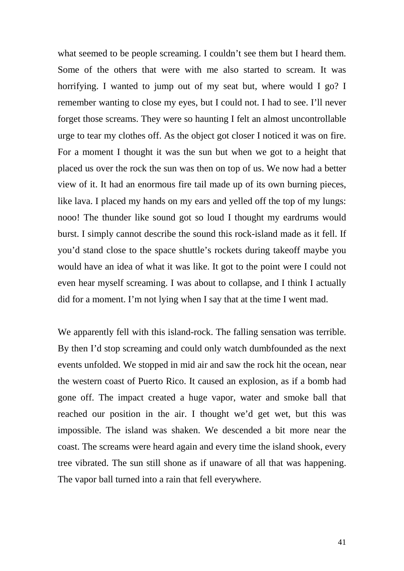what seemed to be people screaming. I couldn't see them but I heard them. Some of the others that were with me also started to scream. It was horrifying. I wanted to jump out of my seat but, where would I go? I remember wanting to close my eyes, but I could not. I had to see. I'll never forget those screams. They were so haunting I felt an almost uncontrollable urge to tear my clothes off. As the object got closer I noticed it was on fire. For a moment I thought it was the sun but when we got to a height that placed us over the rock the sun was then on top of us. We now had a better view of it. It had an enormous fire tail made up of its own burning pieces, like lava. I placed my hands on my ears and yelled off the top of my lungs: nooo! The thunder like sound got so loud I thought my eardrums would burst. I simply cannot describe the sound this rock-island made as it fell. If you'd stand close to the space shuttle's rockets during takeoff maybe you would have an idea of what it was like. It got to the point were I could not even hear myself screaming. I was about to collapse, and I think I actually did for a moment. I'm not lying when I say that at the time I went mad.

We apparently fell with this island-rock. The falling sensation was terrible. By then I'd stop screaming and could only watch dumbfounded as the next events unfolded. We stopped in mid air and saw the rock hit the ocean, near the western coast of Puerto Rico. It caused an explosion, as if a bomb had gone off. The impact created a huge vapor, water and smoke ball that reached our position in the air. I thought we'd get wet, but this was impossible. The island was shaken. We descended a bit more near the coast. The screams were heard again and every time the island shook, every tree vibrated. The sun still shone as if unaware of all that was happening. The vapor ball turned into a rain that fell everywhere.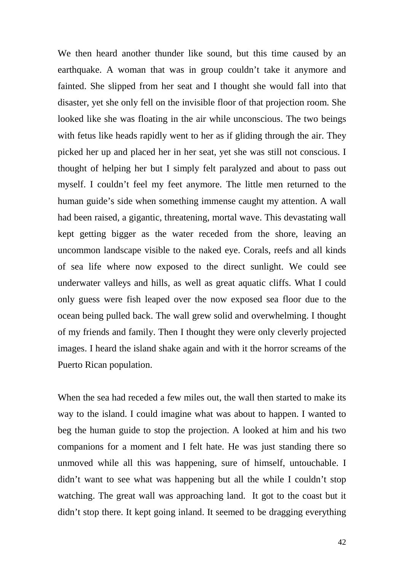We then heard another thunder like sound, but this time caused by an earthquake. A woman that was in group couldn't take it anymore and fainted. She slipped from her seat and I thought she would fall into that disaster, yet she only fell on the invisible floor of that projection room. She looked like she was floating in the air while unconscious. The two beings with fetus like heads rapidly went to her as if gliding through the air. They picked her up and placed her in her seat, yet she was still not conscious. I thought of helping her but I simply felt paralyzed and about to pass out myself. I couldn't feel my feet anymore. The little men returned to the human guide's side when something immense caught my attention. A wall had been raised, a gigantic, threatening, mortal wave. This devastating wall kept getting bigger as the water receded from the shore, leaving an uncommon landscape visible to the naked eye. Corals, reefs and all kinds of sea life where now exposed to the direct sunlight. We could see underwater valleys and hills, as well as great aquatic cliffs. What I could only guess were fish leaped over the now exposed sea floor due to the ocean being pulled back. The wall grew solid and overwhelming. I thought of my friends and family. Then I thought they were only cleverly projected images. I heard the island shake again and with it the horror screams of the Puerto Rican population.

When the sea had receded a few miles out, the wall then started to make its way to the island. I could imagine what was about to happen. I wanted to beg the human guide to stop the projection. A looked at him and his two companions for a moment and I felt hate. He was just standing there so unmoved while all this was happening, sure of himself, untouchable. I didn't want to see what was happening but all the while I couldn't stop watching. The great wall was approaching land. It got to the coast but it didn't stop there. It kept going inland. It seemed to be dragging everything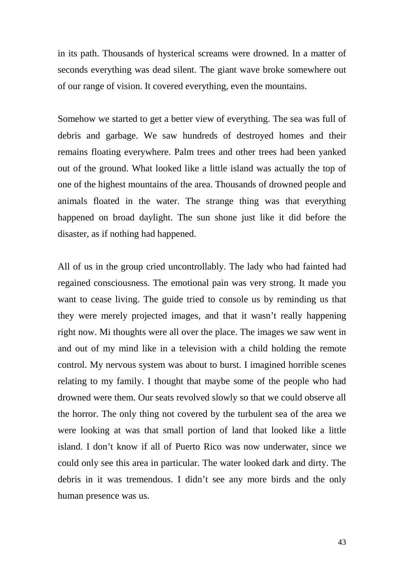in its path. Thousands of hysterical screams were drowned. In a matter of seconds everything was dead silent. The giant wave broke somewhere out of our range of vision. It covered everything, even the mountains.

Somehow we started to get a better view of everything. The sea was full of debris and garbage. We saw hundreds of destroyed homes and their remains floating everywhere. Palm trees and other trees had been yanked out of the ground. What looked like a little island was actually the top of one of the highest mountains of the area. Thousands of drowned people and animals floated in the water. The strange thing was that everything happened on broad daylight. The sun shone just like it did before the disaster, as if nothing had happened.

All of us in the group cried uncontrollably. The lady who had fainted had regained consciousness. The emotional pain was very strong. It made you want to cease living. The guide tried to console us by reminding us that they were merely projected images, and that it wasn't really happening right now. Mi thoughts were all over the place. The images we saw went in and out of my mind like in a television with a child holding the remote control. My nervous system was about to burst. I imagined horrible scenes relating to my family. I thought that maybe some of the people who had drowned were them. Our seats revolved slowly so that we could observe all the horror. The only thing not covered by the turbulent sea of the area we were looking at was that small portion of land that looked like a little island. I don't know if all of Puerto Rico was now underwater, since we could only see this area in particular. The water looked dark and dirty. The debris in it was tremendous. I didn't see any more birds and the only human presence was us.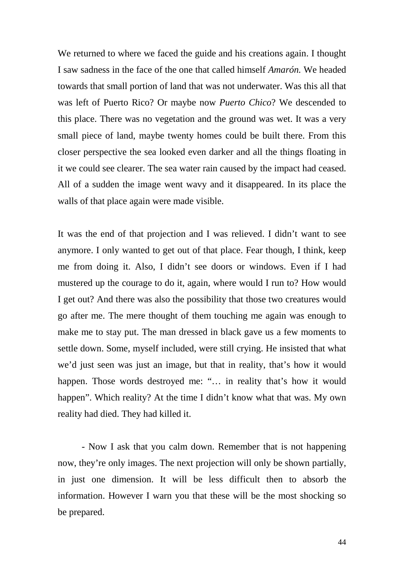We returned to where we faced the guide and his creations again. I thought I saw sadness in the face of the one that called himself *Amarón.* We headed towards that small portion of land that was not underwater. Was this all that was left of Puerto Rico? Or maybe now *Puerto Chico*? We descended to this place. There was no vegetation and the ground was wet. It was a very small piece of land, maybe twenty homes could be built there. From this closer perspective the sea looked even darker and all the things floating in it we could see clearer. The sea water rain caused by the impact had ceased. All of a sudden the image went wavy and it disappeared. In its place the walls of that place again were made visible.

It was the end of that projection and I was relieved. I didn't want to see anymore. I only wanted to get out of that place. Fear though, I think, keep me from doing it. Also, I didn't see doors or windows. Even if I had mustered up the courage to do it, again, where would I run to? How would I get out? And there was also the possibility that those two creatures would go after me. The mere thought of them touching me again was enough to make me to stay put. The man dressed in black gave us a few moments to settle down. Some, myself included, were still crying. He insisted that what we'd just seen was just an image, but that in reality, that's how it would happen. Those words destroyed me: "... in reality that's how it would happen". Which reality? At the time I didn't know what that was. My own reality had died. They had killed it.

- Now I ask that you calm down. Remember that is not happening now, they're only images. The next projection will only be shown partially, in just one dimension. It will be less difficult then to absorb the information. However I warn you that these will be the most shocking so be prepared.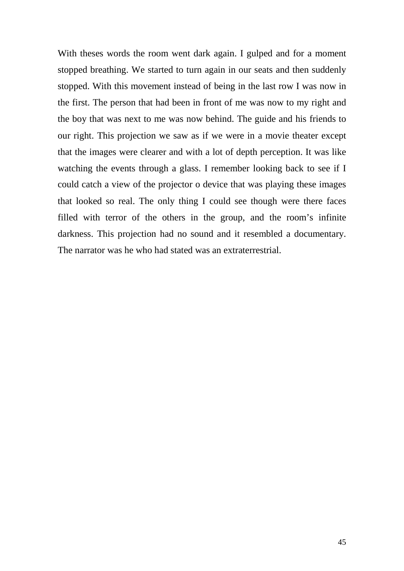With theses words the room went dark again. I gulped and for a moment stopped breathing. We started to turn again in our seats and then suddenly stopped. With this movement instead of being in the last row I was now in the first. The person that had been in front of me was now to my right and the boy that was next to me was now behind. The guide and his friends to our right. This projection we saw as if we were in a movie theater except that the images were clearer and with a lot of depth perception. It was like watching the events through a glass. I remember looking back to see if I could catch a view of the projector o device that was playing these images that looked so real. The only thing I could see though were there faces filled with terror of the others in the group, and the room's infinite darkness. This projection had no sound and it resembled a documentary. The narrator was he who had stated was an extraterrestrial.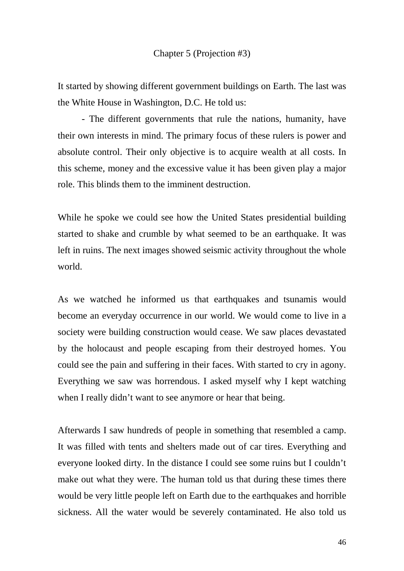It started by showing different government buildings on Earth. The last was the White House in Washington, D.C. He told us:

- The different governments that rule the nations, humanity, have their own interests in mind. The primary focus of these rulers is power and absolute control. Their only objective is to acquire wealth at all costs. In this scheme, money and the excessive value it has been given play a major role. This blinds them to the imminent destruction.

While he spoke we could see how the United States presidential building started to shake and crumble by what seemed to be an earthquake. It was left in ruins. The next images showed seismic activity throughout the whole world.

As we watched he informed us that earthquakes and tsunamis would become an everyday occurrence in our world. We would come to live in a society were building construction would cease. We saw places devastated by the holocaust and people escaping from their destroyed homes. You could see the pain and suffering in their faces. With started to cry in agony. Everything we saw was horrendous. I asked myself why I kept watching when I really didn't want to see anymore or hear that being.

Afterwards I saw hundreds of people in something that resembled a camp. It was filled with tents and shelters made out of car tires. Everything and everyone looked dirty. In the distance I could see some ruins but I couldn't make out what they were. The human told us that during these times there would be very little people left on Earth due to the earthquakes and horrible sickness. All the water would be severely contaminated. He also told us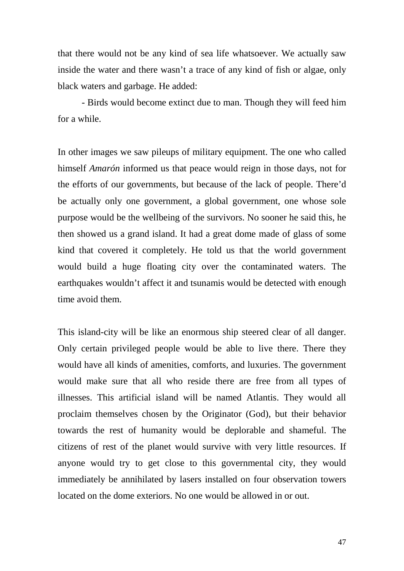that there would not be any kind of sea life whatsoever. We actually saw inside the water and there wasn't a trace of any kind of fish or algae, only black waters and garbage. He added:

- Birds would become extinct due to man. Though they will feed him for a while.

In other images we saw pileups of military equipment. The one who called himself *Amarón* informed us that peace would reign in those days, not for the efforts of our governments, but because of the lack of people. There'd be actually only one government, a global government, one whose sole purpose would be the wellbeing of the survivors. No sooner he said this, he then showed us a grand island. It had a great dome made of glass of some kind that covered it completely. He told us that the world government would build a huge floating city over the contaminated waters. The earthquakes wouldn't affect it and tsunamis would be detected with enough time avoid them.

This island-city will be like an enormous ship steered clear of all danger. Only certain privileged people would be able to live there. There they would have all kinds of amenities, comforts, and luxuries. The government would make sure that all who reside there are free from all types of illnesses. This artificial island will be named Atlantis. They would all proclaim themselves chosen by the Originator (God), but their behavior towards the rest of humanity would be deplorable and shameful. The citizens of rest of the planet would survive with very little resources. If anyone would try to get close to this governmental city, they would immediately be annihilated by lasers installed on four observation towers located on the dome exteriors. No one would be allowed in or out.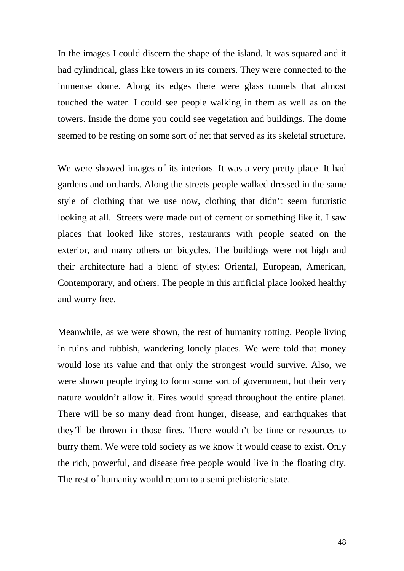In the images I could discern the shape of the island. It was squared and it had cylindrical, glass like towers in its corners. They were connected to the immense dome. Along its edges there were glass tunnels that almost touched the water. I could see people walking in them as well as on the towers. Inside the dome you could see vegetation and buildings. The dome seemed to be resting on some sort of net that served as its skeletal structure.

We were showed images of its interiors. It was a very pretty place. It had gardens and orchards. Along the streets people walked dressed in the same style of clothing that we use now, clothing that didn't seem futuristic looking at all. Streets were made out of cement or something like it. I saw places that looked like stores, restaurants with people seated on the exterior, and many others on bicycles. The buildings were not high and their architecture had a blend of styles: Oriental, European, American, Contemporary, and others. The people in this artificial place looked healthy and worry free.

Meanwhile, as we were shown, the rest of humanity rotting. People living in ruins and rubbish, wandering lonely places. We were told that money would lose its value and that only the strongest would survive. Also, we were shown people trying to form some sort of government, but their very nature wouldn't allow it. Fires would spread throughout the entire planet. There will be so many dead from hunger, disease, and earthquakes that they'll be thrown in those fires. There wouldn't be time or resources to burry them. We were told society as we know it would cease to exist. Only the rich, powerful, and disease free people would live in the floating city. The rest of humanity would return to a semi prehistoric state.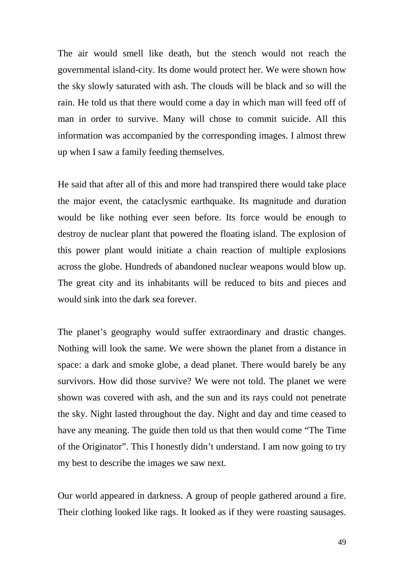The air would smell like death, but the stench would not reach the governmental island-city. Its dome would protect her. We were shown how the sky slowly saturated with ash. The clouds will be black and so will the rain. He told us that there would come a day in which man will feed off of man in order to survive. Many will chose to commit suicide. All this information was accompanied by the corresponding images. I almost threw up when I saw a family feeding themselves.

He said that after all of this and more had transpired there would take place the major event, the cataclysmic earthquake. Its magnitude and duration would be like nothing ever seen before. Its force would be enough to destroy de nuclear plant that powered the floating island. The explosion of this power plant would initiate a chain reaction of multiple explosions across the globe. Hundreds of abandoned nuclear weapons would blow up. The great city and its inhabitants will be reduced to bits and pieces and would sink into the dark sea forever.

The planet's geography would suffer extraordinary and drastic changes. Nothing will look the same. We were shown the planet from a distance in space: a dark and smoke globe, a dead planet. There would barely be any survivors. How did those survive? We were not told. The planet we were shown was covered with ash, and the sun and its rays could not penetrate the sky. Night lasted throughout the day. Night and day and time ceased to have any meaning. The guide then told us that then would come "The Time of the Originator". This I honestly didn't understand. I am now going to try my best to describe the images we saw next.

Our world appeared in darkness. A group of people gathered around a fire. Their clothing looked like rags. It looked as if they were roasting sausages.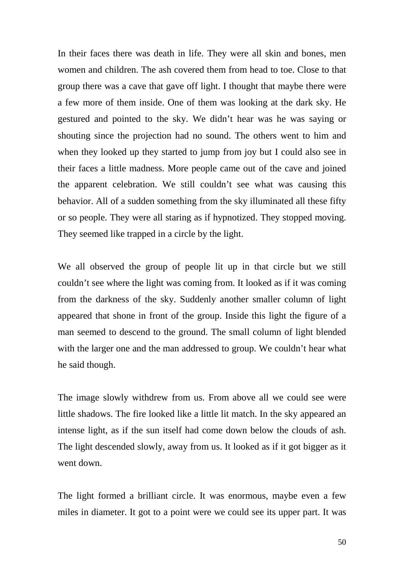In their faces there was death in life. They were all skin and bones, men women and children. The ash covered them from head to toe. Close to that group there was a cave that gave off light. I thought that maybe there were a few more of them inside. One of them was looking at the dark sky. He gestured and pointed to the sky. We didn't hear was he was saying or shouting since the projection had no sound. The others went to him and when they looked up they started to jump from joy but I could also see in their faces a little madness. More people came out of the cave and joined the apparent celebration. We still couldn't see what was causing this behavior. All of a sudden something from the sky illuminated all these fifty or so people. They were all staring as if hypnotized. They stopped moving. They seemed like trapped in a circle by the light.

We all observed the group of people lit up in that circle but we still couldn't see where the light was coming from. It looked as if it was coming from the darkness of the sky. Suddenly another smaller column of light appeared that shone in front of the group. Inside this light the figure of a man seemed to descend to the ground. The small column of light blended with the larger one and the man addressed to group. We couldn't hear what he said though.

The image slowly withdrew from us. From above all we could see were little shadows. The fire looked like a little lit match. In the sky appeared an intense light, as if the sun itself had come down below the clouds of ash. The light descended slowly, away from us. It looked as if it got bigger as it went down.

The light formed a brilliant circle. It was enormous, maybe even a few miles in diameter. It got to a point were we could see its upper part. It was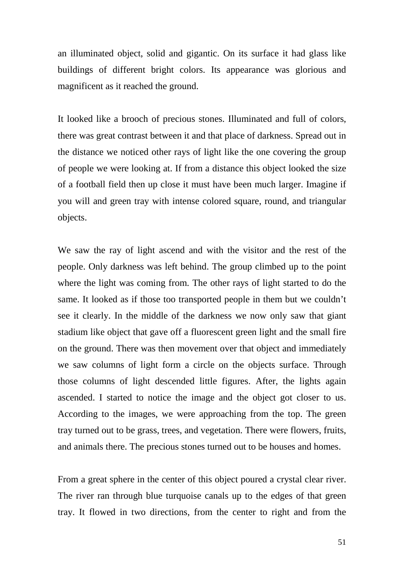an illuminated object, solid and gigantic. On its surface it had glass like buildings of different bright colors. Its appearance was glorious and magnificent as it reached the ground.

It looked like a brooch of precious stones. Illuminated and full of colors, there was great contrast between it and that place of darkness. Spread out in the distance we noticed other rays of light like the one covering the group of people we were looking at. If from a distance this object looked the size of a football field then up close it must have been much larger. Imagine if you will and green tray with intense colored square, round, and triangular objects.

We saw the ray of light ascend and with the visitor and the rest of the people. Only darkness was left behind. The group climbed up to the point where the light was coming from. The other rays of light started to do the same. It looked as if those too transported people in them but we couldn't see it clearly. In the middle of the darkness we now only saw that giant stadium like object that gave off a fluorescent green light and the small fire on the ground. There was then movement over that object and immediately we saw columns of light form a circle on the objects surface. Through those columns of light descended little figures. After, the lights again ascended. I started to notice the image and the object got closer to us. According to the images, we were approaching from the top. The green tray turned out to be grass, trees, and vegetation. There were flowers, fruits, and animals there. The precious stones turned out to be houses and homes.

From a great sphere in the center of this object poured a crystal clear river. The river ran through blue turquoise canals up to the edges of that green tray. It flowed in two directions, from the center to right and from the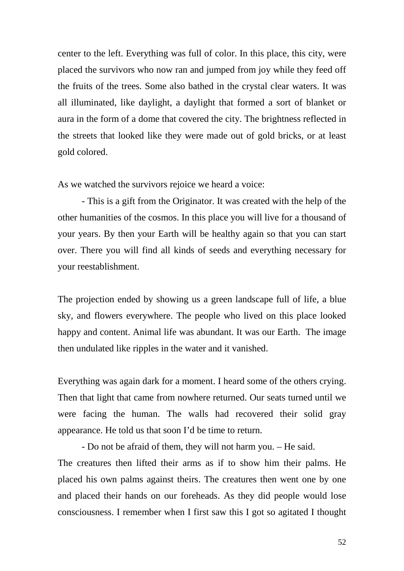center to the left. Everything was full of color. In this place, this city, were placed the survivors who now ran and jumped from joy while they feed off the fruits of the trees. Some also bathed in the crystal clear waters. It was all illuminated, like daylight, a daylight that formed a sort of blanket or aura in the form of a dome that covered the city. The brightness reflected in the streets that looked like they were made out of gold bricks, or at least gold colored.

As we watched the survivors rejoice we heard a voice:

- This is a gift from the Originator. It was created with the help of the other humanities of the cosmos. In this place you will live for a thousand of your years. By then your Earth will be healthy again so that you can start over. There you will find all kinds of seeds and everything necessary for your reestablishment.

The projection ended by showing us a green landscape full of life, a blue sky, and flowers everywhere. The people who lived on this place looked happy and content. Animal life was abundant. It was our Earth. The image then undulated like ripples in the water and it vanished.

Everything was again dark for a moment. I heard some of the others crying. Then that light that came from nowhere returned. Our seats turned until we were facing the human. The walls had recovered their solid gray appearance. He told us that soon I'd be time to return.

- Do not be afraid of them, they will not harm you. – He said. The creatures then lifted their arms as if to show him their palms. He placed his own palms against theirs. The creatures then went one by one and placed their hands on our foreheads. As they did people would lose consciousness. I remember when I first saw this I got so agitated I thought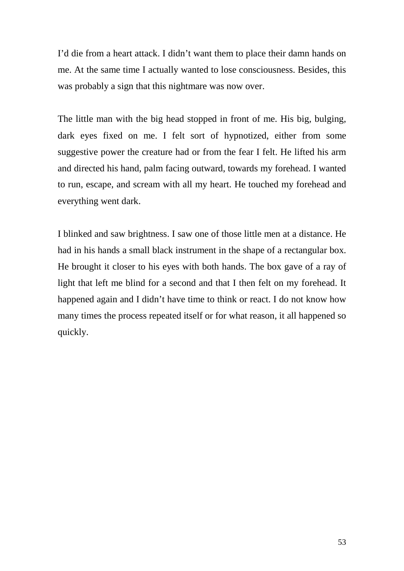I'd die from a heart attack. I didn't want them to place their damn hands on me. At the same time I actually wanted to lose consciousness. Besides, this was probably a sign that this nightmare was now over.

The little man with the big head stopped in front of me. His big, bulging, dark eyes fixed on me. I felt sort of hypnotized, either from some suggestive power the creature had or from the fear I felt. He lifted his arm and directed his hand, palm facing outward, towards my forehead. I wanted to run, escape, and scream with all my heart. He touched my forehead and everything went dark.

I blinked and saw brightness. I saw one of those little men at a distance. He had in his hands a small black instrument in the shape of a rectangular box. He brought it closer to his eyes with both hands. The box gave of a ray of light that left me blind for a second and that I then felt on my forehead. It happened again and I didn't have time to think or react. I do not know how many times the process repeated itself or for what reason, it all happened so quickly.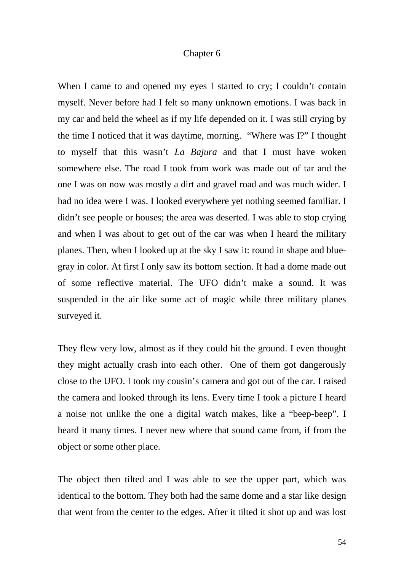## Chapter 6

When I came to and opened my eyes I started to cry; I couldn't contain myself. Never before had I felt so many unknown emotions. I was back in my car and held the wheel as if my life depended on it. I was still crying by the time I noticed that it was daytime, morning. "Where was I?" I thought to myself that this wasn't *La Bajura* and that I must have woken somewhere else. The road I took from work was made out of tar and the one I was on now was mostly a dirt and gravel road and was much wider. I had no idea were I was. I looked everywhere yet nothing seemed familiar. I didn't see people or houses; the area was deserted. I was able to stop crying and when I was about to get out of the car was when I heard the military planes. Then, when I looked up at the sky I saw it: round in shape and bluegray in color. At first I only saw its bottom section. It had a dome made out of some reflective material. The UFO didn't make a sound. It was suspended in the air like some act of magic while three military planes surveyed it.

They flew very low, almost as if they could hit the ground. I even thought they might actually crash into each other. One of them got dangerously close to the UFO. I took my cousin's camera and got out of the car. I raised the camera and looked through its lens. Every time I took a picture I heard a noise not unlike the one a digital watch makes, like a "beep-beep". I heard it many times. I never new where that sound came from, if from the object or some other place.

The object then tilted and I was able to see the upper part, which was identical to the bottom. They both had the same dome and a star like design that went from the center to the edges. After it tilted it shot up and was lost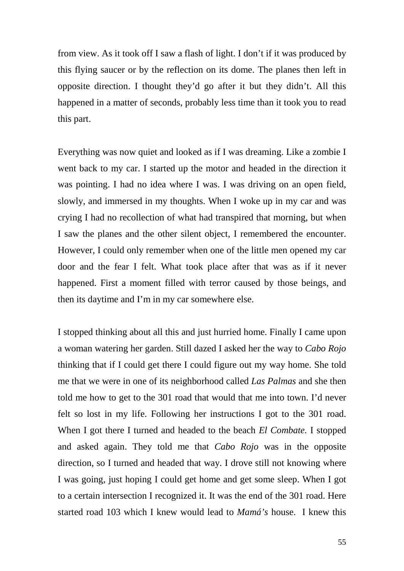from view. As it took off I saw a flash of light. I don't if it was produced by this flying saucer or by the reflection on its dome. The planes then left in opposite direction. I thought they'd go after it but they didn't. All this happened in a matter of seconds, probably less time than it took you to read this part.

Everything was now quiet and looked as if I was dreaming. Like a zombie I went back to my car. I started up the motor and headed in the direction it was pointing. I had no idea where I was. I was driving on an open field, slowly, and immersed in my thoughts. When I woke up in my car and was crying I had no recollection of what had transpired that morning, but when I saw the planes and the other silent object, I remembered the encounter. However, I could only remember when one of the little men opened my car door and the fear I felt. What took place after that was as if it never happened. First a moment filled with terror caused by those beings, and then its daytime and I'm in my car somewhere else.

I stopped thinking about all this and just hurried home. Finally I came upon a woman watering her garden. Still dazed I asked her the way to *Cabo Rojo* thinking that if I could get there I could figure out my way home. She told me that we were in one of its neighborhood called *Las Palmas* and she then told me how to get to the 301 road that would that me into town. I'd never felt so lost in my life. Following her instructions I got to the 301 road. When I got there I turned and headed to the beach *El Combate.* I stopped and asked again. They told me that *Cabo Rojo* was in the opposite direction, so I turned and headed that way. I drove still not knowing where I was going, just hoping I could get home and get some sleep. When I got to a certain intersection I recognized it. It was the end of the 301 road. Here started road 103 which I knew would lead to *Mamá's* house. I knew this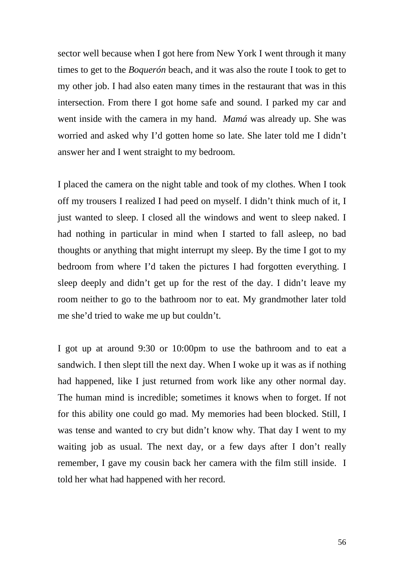sector well because when I got here from New York I went through it many times to get to the *Boquerón* beach, and it was also the route I took to get to my other job. I had also eaten many times in the restaurant that was in this intersection. From there I got home safe and sound. I parked my car and went inside with the camera in my hand. *Mamá* was already up. She was worried and asked why I'd gotten home so late. She later told me I didn't answer her and I went straight to my bedroom.

I placed the camera on the night table and took of my clothes. When I took off my trousers I realized I had peed on myself. I didn't think much of it, I just wanted to sleep. I closed all the windows and went to sleep naked. I had nothing in particular in mind when I started to fall asleep, no bad thoughts or anything that might interrupt my sleep. By the time I got to my bedroom from where I'd taken the pictures I had forgotten everything. I sleep deeply and didn't get up for the rest of the day. I didn't leave my room neither to go to the bathroom nor to eat. My grandmother later told me she'd tried to wake me up but couldn't.

I got up at around 9:30 or 10:00pm to use the bathroom and to eat a sandwich. I then slept till the next day. When I woke up it was as if nothing had happened, like I just returned from work like any other normal day. The human mind is incredible; sometimes it knows when to forget. If not for this ability one could go mad. My memories had been blocked. Still, I was tense and wanted to cry but didn't know why. That day I went to my waiting job as usual. The next day, or a few days after I don't really remember, I gave my cousin back her camera with the film still inside. I told her what had happened with her record.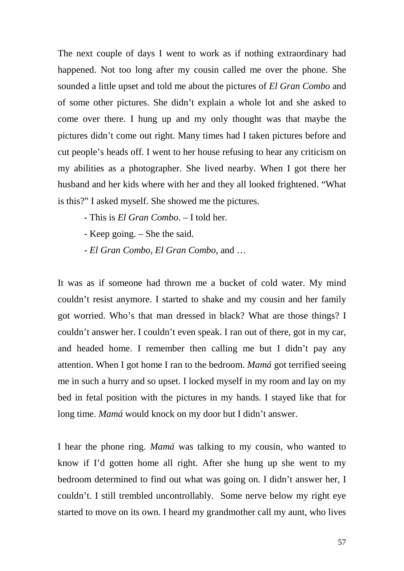The next couple of days I went to work as if nothing extraordinary had happened. Not too long after my cousin called me over the phone. She sounded a little upset and told me about the pictures of *El Gran Combo* and of some other pictures. She didn't explain a whole lot and she asked to come over there. I hung up and my only thought was that maybe the pictures didn't come out right. Many times had I taken pictures before and cut people's heads off. I went to her house refusing to hear any criticism on my abilities as a photographer. She lived nearby. When I got there her husband and her kids where with her and they all looked frightened. "What is this?" I asked myself. She showed me the pictures.

- This is *El Gran Combo*. I told her.
- Keep going. She the said.
- *El Gran Combo*, *El Gran Combo*, and …

It was as if someone had thrown me a bucket of cold water. My mind couldn't resist anymore. I started to shake and my cousin and her family got worried. Who's that man dressed in black? What are those things? I couldn't answer her. I couldn't even speak. I ran out of there, got in my car, and headed home. I remember then calling me but I didn't pay any attention. When I got home I ran to the bedroom. *Mamá* got terrified seeing me in such a hurry and so upset. I locked myself in my room and lay on my bed in fetal position with the pictures in my hands. I stayed like that for long time. *Mamá* would knock on my door but I didn't answer.

I hear the phone ring. *Mamá* was talking to my cousin, who wanted to know if I'd gotten home all right. After she hung up she went to my bedroom determined to find out what was going on. I didn't answer her, I couldn't. I still trembled uncontrollably. Some nerve below my right eye started to move on its own. I heard my grandmother call my aunt, who lives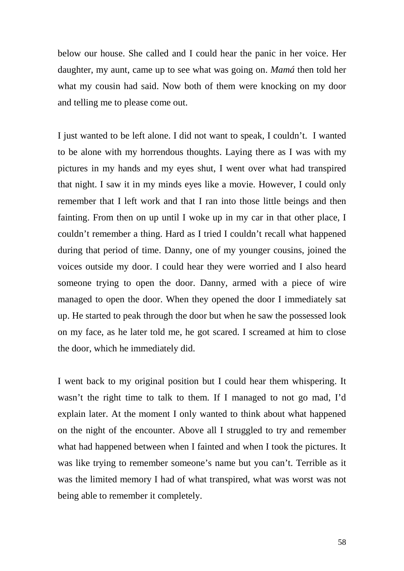below our house. She called and I could hear the panic in her voice. Her daughter, my aunt, came up to see what was going on. *Mamá* then told her what my cousin had said. Now both of them were knocking on my door and telling me to please come out.

I just wanted to be left alone. I did not want to speak, I couldn't. I wanted to be alone with my horrendous thoughts. Laying there as I was with my pictures in my hands and my eyes shut, I went over what had transpired that night. I saw it in my minds eyes like a movie. However, I could only remember that I left work and that I ran into those little beings and then fainting. From then on up until I woke up in my car in that other place, I couldn't remember a thing. Hard as I tried I couldn't recall what happened during that period of time. Danny, one of my younger cousins, joined the voices outside my door. I could hear they were worried and I also heard someone trying to open the door. Danny, armed with a piece of wire managed to open the door. When they opened the door I immediately sat up. He started to peak through the door but when he saw the possessed look on my face, as he later told me, he got scared. I screamed at him to close the door, which he immediately did.

I went back to my original position but I could hear them whispering. It wasn't the right time to talk to them. If I managed to not go mad, I'd explain later. At the moment I only wanted to think about what happened on the night of the encounter. Above all I struggled to try and remember what had happened between when I fainted and when I took the pictures. It was like trying to remember someone's name but you can't. Terrible as it was the limited memory I had of what transpired, what was worst was not being able to remember it completely.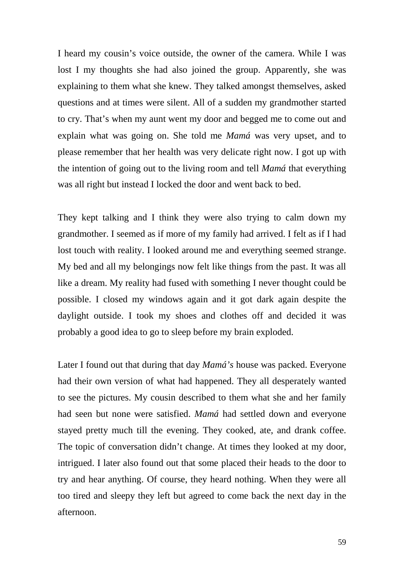I heard my cousin's voice outside, the owner of the camera. While I was lost I my thoughts she had also joined the group. Apparently, she was explaining to them what she knew. They talked amongst themselves, asked questions and at times were silent. All of a sudden my grandmother started to cry. That's when my aunt went my door and begged me to come out and explain what was going on. She told me *Mamá* was very upset, and to please remember that her health was very delicate right now. I got up with the intention of going out to the living room and tell *Mamá* that everything was all right but instead I locked the door and went back to bed.

They kept talking and I think they were also trying to calm down my grandmother. I seemed as if more of my family had arrived. I felt as if I had lost touch with reality. I looked around me and everything seemed strange. My bed and all my belongings now felt like things from the past. It was all like a dream. My reality had fused with something I never thought could be possible. I closed my windows again and it got dark again despite the daylight outside. I took my shoes and clothes off and decided it was probably a good idea to go to sleep before my brain exploded.

Later I found out that during that day *Mamá's* house was packed. Everyone had their own version of what had happened. They all desperately wanted to see the pictures. My cousin described to them what she and her family had seen but none were satisfied. *Mamá* had settled down and everyone stayed pretty much till the evening. They cooked, ate, and drank coffee. The topic of conversation didn't change. At times they looked at my door, intrigued. I later also found out that some placed their heads to the door to try and hear anything. Of course, they heard nothing. When they were all too tired and sleepy they left but agreed to come back the next day in the afternoon.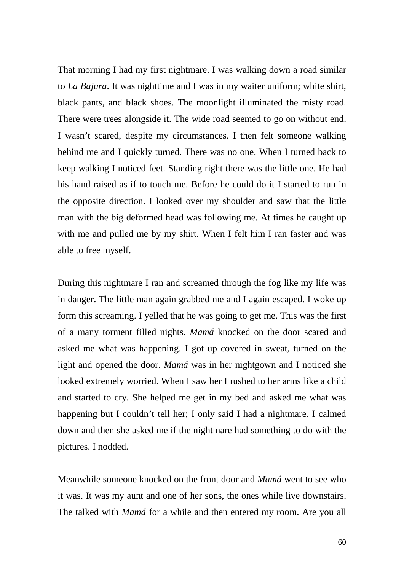That morning I had my first nightmare. I was walking down a road similar to *La Bajura*. It was nighttime and I was in my waiter uniform; white shirt, black pants, and black shoes. The moonlight illuminated the misty road. There were trees alongside it. The wide road seemed to go on without end. I wasn't scared, despite my circumstances. I then felt someone walking behind me and I quickly turned. There was no one. When I turned back to keep walking I noticed feet. Standing right there was the little one. He had his hand raised as if to touch me. Before he could do it I started to run in the opposite direction. I looked over my shoulder and saw that the little man with the big deformed head was following me. At times he caught up with me and pulled me by my shirt. When I felt him I ran faster and was able to free myself.

During this nightmare I ran and screamed through the fog like my life was in danger. The little man again grabbed me and I again escaped. I woke up form this screaming. I yelled that he was going to get me. This was the first of a many torment filled nights. *Mamá* knocked on the door scared and asked me what was happening. I got up covered in sweat, turned on the light and opened the door. *Mamá* was in her nightgown and I noticed she looked extremely worried. When I saw her I rushed to her arms like a child and started to cry. She helped me get in my bed and asked me what was happening but I couldn't tell her; I only said I had a nightmare. I calmed down and then she asked me if the nightmare had something to do with the pictures. I nodded.

Meanwhile someone knocked on the front door and *Mamá* went to see who it was. It was my aunt and one of her sons, the ones while live downstairs. The talked with *Mamá* for a while and then entered my room. Are you all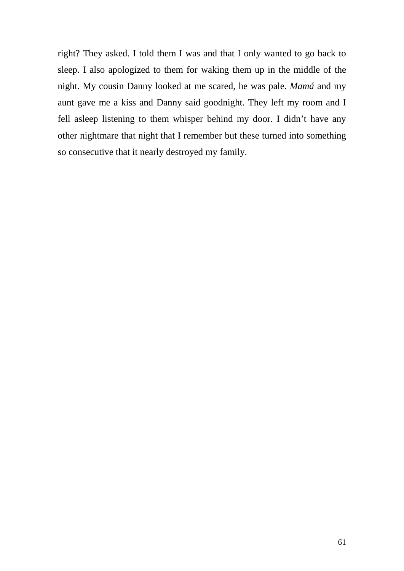right? They asked. I told them I was and that I only wanted to go back to sleep. I also apologized to them for waking them up in the middle of the night. My cousin Danny looked at me scared, he was pale. *Mamá* and my aunt gave me a kiss and Danny said goodnight. They left my room and I fell asleep listening to them whisper behind my door. I didn't have any other nightmare that night that I remember but these turned into something so consecutive that it nearly destroyed my family.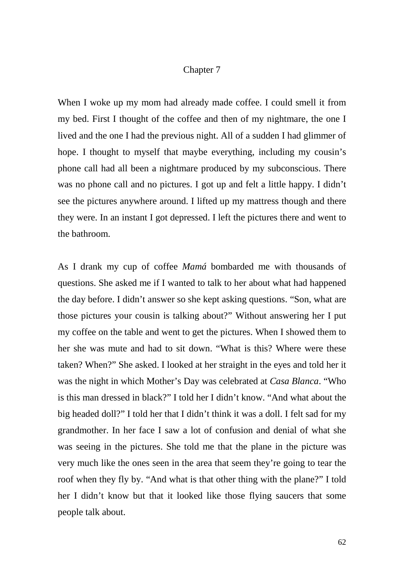## Chapter 7

When I woke up my mom had already made coffee. I could smell it from my bed. First I thought of the coffee and then of my nightmare, the one I lived and the one I had the previous night. All of a sudden I had glimmer of hope. I thought to myself that maybe everything, including my cousin's phone call had all been a nightmare produced by my subconscious. There was no phone call and no pictures. I got up and felt a little happy. I didn't see the pictures anywhere around. I lifted up my mattress though and there they were. In an instant I got depressed. I left the pictures there and went to the bathroom.

As I drank my cup of coffee *Mamá* bombarded me with thousands of questions. She asked me if I wanted to talk to her about what had happened the day before. I didn't answer so she kept asking questions. "Son, what are those pictures your cousin is talking about?" Without answering her I put my coffee on the table and went to get the pictures. When I showed them to her she was mute and had to sit down. "What is this? Where were these taken? When?" She asked. I looked at her straight in the eyes and told her it was the night in which Mother's Day was celebrated at *Casa Blanca*. "Who is this man dressed in black?" I told her I didn't know. "And what about the big headed doll?" I told her that I didn't think it was a doll. I felt sad for my grandmother. In her face I saw a lot of confusion and denial of what she was seeing in the pictures. She told me that the plane in the picture was very much like the ones seen in the area that seem they're going to tear the roof when they fly by. "And what is that other thing with the plane?" I told her I didn't know but that it looked like those flying saucers that some people talk about.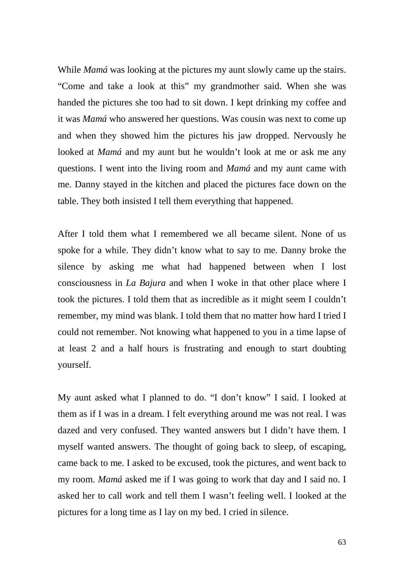While *Mamá* was looking at the pictures my aunt slowly came up the stairs. "Come and take a look at this" my grandmother said. When she was handed the pictures she too had to sit down. I kept drinking my coffee and it was *Mamá* who answered her questions. Was cousin was next to come up and when they showed him the pictures his jaw dropped. Nervously he looked at *Mamá* and my aunt but he wouldn't look at me or ask me any questions. I went into the living room and *Mamá* and my aunt came with me. Danny stayed in the kitchen and placed the pictures face down on the table. They both insisted I tell them everything that happened.

After I told them what I remembered we all became silent. None of us spoke for a while. They didn't know what to say to me. Danny broke the silence by asking me what had happened between when I lost consciousness in *La Bajura* and when I woke in that other place where I took the pictures. I told them that as incredible as it might seem I couldn't remember, my mind was blank. I told them that no matter how hard I tried I could not remember. Not knowing what happened to you in a time lapse of at least 2 and a half hours is frustrating and enough to start doubting yourself.

My aunt asked what I planned to do. "I don't know" I said. I looked at them as if I was in a dream. I felt everything around me was not real. I was dazed and very confused. They wanted answers but I didn't have them. I myself wanted answers. The thought of going back to sleep, of escaping, came back to me. I asked to be excused, took the pictures, and went back to my room. *Mamá* asked me if I was going to work that day and I said no. I asked her to call work and tell them I wasn't feeling well. I looked at the pictures for a long time as I lay on my bed. I cried in silence.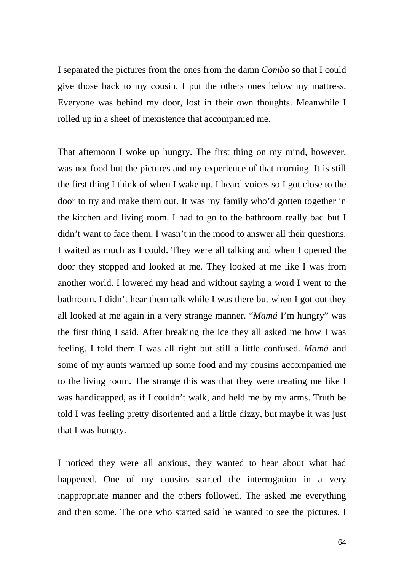I separated the pictures from the ones from the damn *Combo* so that I could give those back to my cousin. I put the others ones below my mattress. Everyone was behind my door, lost in their own thoughts. Meanwhile I rolled up in a sheet of inexistence that accompanied me.

That afternoon I woke up hungry. The first thing on my mind, however, was not food but the pictures and my experience of that morning. It is still the first thing I think of when I wake up. I heard voices so I got close to the door to try and make them out. It was my family who'd gotten together in the kitchen and living room. I had to go to the bathroom really bad but I didn't want to face them. I wasn't in the mood to answer all their questions. I waited as much as I could. They were all talking and when I opened the door they stopped and looked at me. They looked at me like I was from another world. I lowered my head and without saying a word I went to the bathroom. I didn't hear them talk while I was there but when I got out they all looked at me again in a very strange manner. "*Mamá* I'm hungry" was the first thing I said. After breaking the ice they all asked me how I was feeling. I told them I was all right but still a little confused. *Mamá* and some of my aunts warmed up some food and my cousins accompanied me to the living room. The strange this was that they were treating me like I was handicapped, as if I couldn't walk, and held me by my arms. Truth be told I was feeling pretty disoriented and a little dizzy, but maybe it was just that I was hungry.

I noticed they were all anxious, they wanted to hear about what had happened. One of my cousins started the interrogation in a very inappropriate manner and the others followed. The asked me everything and then some. The one who started said he wanted to see the pictures. I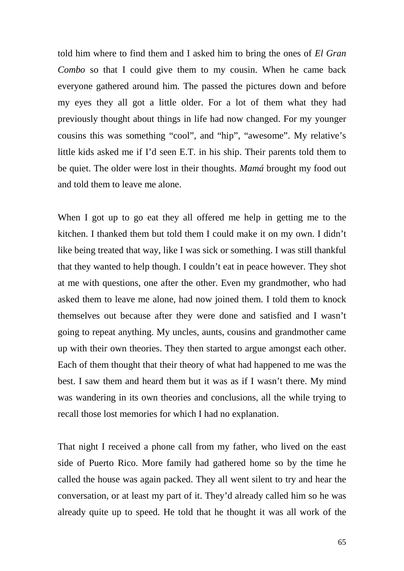told him where to find them and I asked him to bring the ones of *El Gran Combo* so that I could give them to my cousin. When he came back everyone gathered around him. The passed the pictures down and before my eyes they all got a little older. For a lot of them what they had previously thought about things in life had now changed. For my younger cousins this was something "cool", and "hip", "awesome". My relative's little kids asked me if I'd seen E.T. in his ship. Their parents told them to be quiet. The older were lost in their thoughts. *Mamá* brought my food out and told them to leave me alone.

When I got up to go eat they all offered me help in getting me to the kitchen. I thanked them but told them I could make it on my own. I didn't like being treated that way, like I was sick or something. I was still thankful that they wanted to help though. I couldn't eat in peace however. They shot at me with questions, one after the other. Even my grandmother, who had asked them to leave me alone, had now joined them. I told them to knock themselves out because after they were done and satisfied and I wasn't going to repeat anything. My uncles, aunts, cousins and grandmother came up with their own theories. They then started to argue amongst each other. Each of them thought that their theory of what had happened to me was the best. I saw them and heard them but it was as if I wasn't there. My mind was wandering in its own theories and conclusions, all the while trying to recall those lost memories for which I had no explanation.

That night I received a phone call from my father, who lived on the east side of Puerto Rico. More family had gathered home so by the time he called the house was again packed. They all went silent to try and hear the conversation, or at least my part of it. They'd already called him so he was already quite up to speed. He told that he thought it was all work of the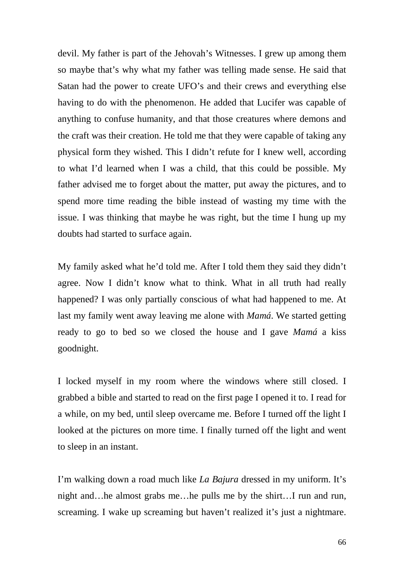devil. My father is part of the Jehovah's Witnesses. I grew up among them so maybe that's why what my father was telling made sense. He said that Satan had the power to create UFO's and their crews and everything else having to do with the phenomenon. He added that Lucifer was capable of anything to confuse humanity, and that those creatures where demons and the craft was their creation. He told me that they were capable of taking any physical form they wished. This I didn't refute for I knew well, according to what I'd learned when I was a child, that this could be possible. My father advised me to forget about the matter, put away the pictures, and to spend more time reading the bible instead of wasting my time with the issue. I was thinking that maybe he was right, but the time I hung up my doubts had started to surface again.

My family asked what he'd told me. After I told them they said they didn't agree. Now I didn't know what to think. What in all truth had really happened? I was only partially conscious of what had happened to me. At last my family went away leaving me alone with *Mamá*. We started getting ready to go to bed so we closed the house and I gave *Mamá* a kiss goodnight.

I locked myself in my room where the windows where still closed. I grabbed a bible and started to read on the first page I opened it to. I read for a while, on my bed, until sleep overcame me. Before I turned off the light I looked at the pictures on more time. I finally turned off the light and went to sleep in an instant.

I'm walking down a road much like *La Bajura* dressed in my uniform. It's night and…he almost grabs me…he pulls me by the shirt…I run and run, screaming. I wake up screaming but haven't realized it's just a nightmare.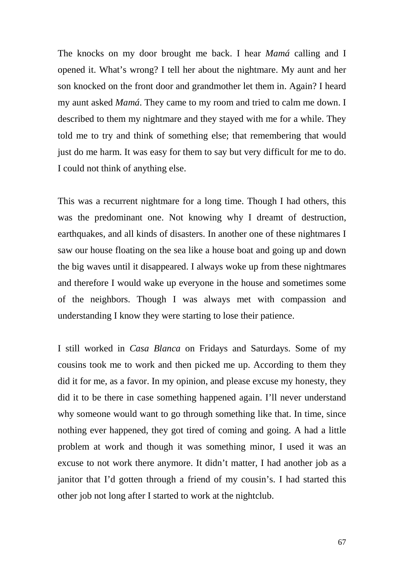The knocks on my door brought me back. I hear *Mamá* calling and I opened it. What's wrong? I tell her about the nightmare. My aunt and her son knocked on the front door and grandmother let them in. Again? I heard my aunt asked *Mamá*. They came to my room and tried to calm me down. I described to them my nightmare and they stayed with me for a while. They told me to try and think of something else; that remembering that would just do me harm. It was easy for them to say but very difficult for me to do. I could not think of anything else.

This was a recurrent nightmare for a long time. Though I had others, this was the predominant one. Not knowing why I dreamt of destruction, earthquakes, and all kinds of disasters. In another one of these nightmares I saw our house floating on the sea like a house boat and going up and down the big waves until it disappeared. I always woke up from these nightmares and therefore I would wake up everyone in the house and sometimes some of the neighbors. Though I was always met with compassion and understanding I know they were starting to lose their patience.

I still worked in *Casa Blanca* on Fridays and Saturdays. Some of my cousins took me to work and then picked me up. According to them they did it for me, as a favor. In my opinion, and please excuse my honesty, they did it to be there in case something happened again. I'll never understand why someone would want to go through something like that. In time, since nothing ever happened, they got tired of coming and going. A had a little problem at work and though it was something minor, I used it was an excuse to not work there anymore. It didn't matter, I had another job as a janitor that I'd gotten through a friend of my cousin's. I had started this other job not long after I started to work at the nightclub.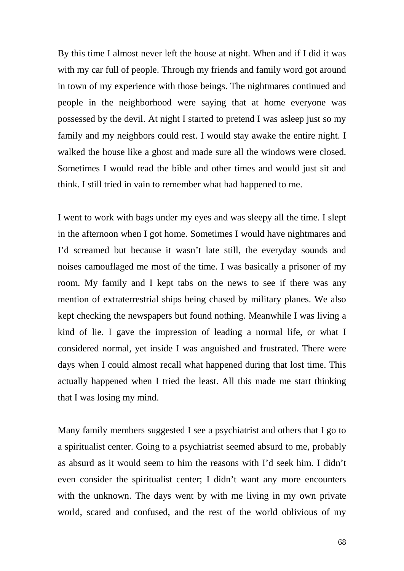By this time I almost never left the house at night. When and if I did it was with my car full of people. Through my friends and family word got around in town of my experience with those beings. The nightmares continued and people in the neighborhood were saying that at home everyone was possessed by the devil. At night I started to pretend I was asleep just so my family and my neighbors could rest. I would stay awake the entire night. I walked the house like a ghost and made sure all the windows were closed. Sometimes I would read the bible and other times and would just sit and think. I still tried in vain to remember what had happened to me.

I went to work with bags under my eyes and was sleepy all the time. I slept in the afternoon when I got home. Sometimes I would have nightmares and I'd screamed but because it wasn't late still, the everyday sounds and noises camouflaged me most of the time. I was basically a prisoner of my room. My family and I kept tabs on the news to see if there was any mention of extraterrestrial ships being chased by military planes. We also kept checking the newspapers but found nothing. Meanwhile I was living a kind of lie. I gave the impression of leading a normal life, or what I considered normal, yet inside I was anguished and frustrated. There were days when I could almost recall what happened during that lost time. This actually happened when I tried the least. All this made me start thinking that I was losing my mind.

Many family members suggested I see a psychiatrist and others that I go to a spiritualist center. Going to a psychiatrist seemed absurd to me, probably as absurd as it would seem to him the reasons with I'd seek him. I didn't even consider the spiritualist center; I didn't want any more encounters with the unknown. The days went by with me living in my own private world, scared and confused, and the rest of the world oblivious of my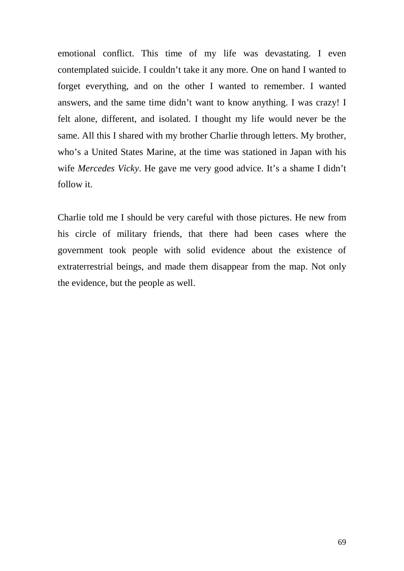emotional conflict. This time of my life was devastating. I even contemplated suicide. I couldn't take it any more. One on hand I wanted to forget everything, and on the other I wanted to remember. I wanted answers, and the same time didn't want to know anything. I was crazy! I felt alone, different, and isolated. I thought my life would never be the same. All this I shared with my brother Charlie through letters. My brother, who's a United States Marine, at the time was stationed in Japan with his wife *Mercedes Vicky*. He gave me very good advice. It's a shame I didn't follow it.

Charlie told me I should be very careful with those pictures. He new from his circle of military friends, that there had been cases where the government took people with solid evidence about the existence of extraterrestrial beings, and made them disappear from the map. Not only the evidence, but the people as well.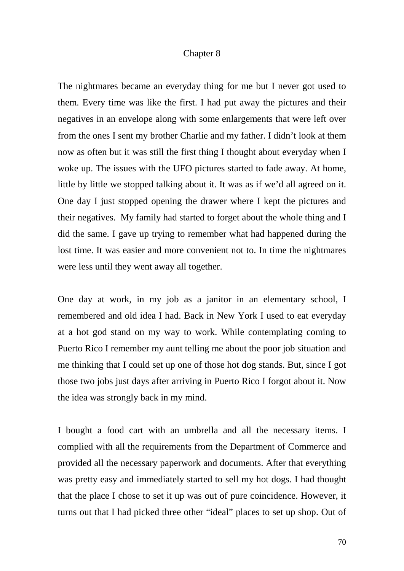## Chapter 8

The nightmares became an everyday thing for me but I never got used to them. Every time was like the first. I had put away the pictures and their negatives in an envelope along with some enlargements that were left over from the ones I sent my brother Charlie and my father. I didn't look at them now as often but it was still the first thing I thought about everyday when I woke up. The issues with the UFO pictures started to fade away. At home, little by little we stopped talking about it. It was as if we'd all agreed on it. One day I just stopped opening the drawer where I kept the pictures and their negatives. My family had started to forget about the whole thing and I did the same. I gave up trying to remember what had happened during the lost time. It was easier and more convenient not to. In time the nightmares were less until they went away all together.

One day at work, in my job as a janitor in an elementary school, I remembered and old idea I had. Back in New York I used to eat everyday at a hot god stand on my way to work. While contemplating coming to Puerto Rico I remember my aunt telling me about the poor job situation and me thinking that I could set up one of those hot dog stands. But, since I got those two jobs just days after arriving in Puerto Rico I forgot about it. Now the idea was strongly back in my mind.

I bought a food cart with an umbrella and all the necessary items. I complied with all the requirements from the Department of Commerce and provided all the necessary paperwork and documents. After that everything was pretty easy and immediately started to sell my hot dogs. I had thought that the place I chose to set it up was out of pure coincidence. However, it turns out that I had picked three other "ideal" places to set up shop. Out of

70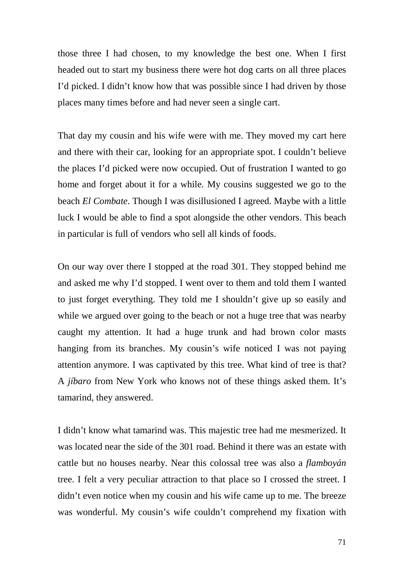those three I had chosen, to my knowledge the best one. When I first headed out to start my business there were hot dog carts on all three places I'd picked. I didn't know how that was possible since I had driven by those places many times before and had never seen a single cart.

That day my cousin and his wife were with me. They moved my cart here and there with their car, looking for an appropriate spot. I couldn't believe the places I'd picked were now occupied. Out of frustration I wanted to go home and forget about it for a while. My cousins suggested we go to the beach *El Combate*. Though I was disillusioned I agreed. Maybe with a little luck I would be able to find a spot alongside the other vendors. This beach in particular is full of vendors who sell all kinds of foods.

On our way over there I stopped at the road 301. They stopped behind me and asked me why I'd stopped. I went over to them and told them I wanted to just forget everything. They told me I shouldn't give up so easily and while we argued over going to the beach or not a huge tree that was nearby caught my attention. It had a huge trunk and had brown color masts hanging from its branches. My cousin's wife noticed I was not paying attention anymore. I was captivated by this tree. What kind of tree is that? A *jíbaro* from New York who knows not of these things asked them. It's tamarind, they answered.

I didn't know what tamarind was. This majestic tree had me mesmerized. It was located near the side of the 301 road. Behind it there was an estate with cattle but no houses nearby. Near this colossal tree was also a *flamboyán*  tree. I felt a very peculiar attraction to that place so I crossed the street. I didn't even notice when my cousin and his wife came up to me. The breeze was wonderful. My cousin's wife couldn't comprehend my fixation with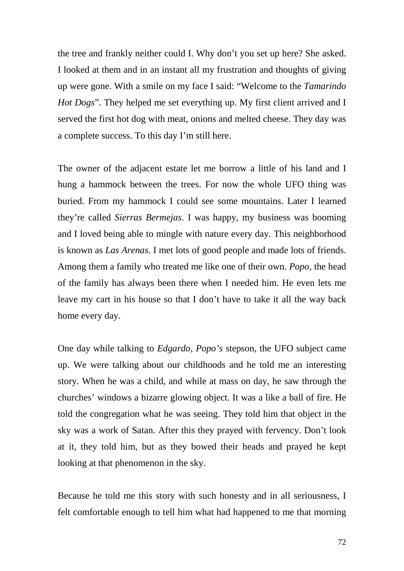the tree and frankly neither could I. Why don't you set up here? She asked. I looked at them and in an instant all my frustration and thoughts of giving up were gone. With a smile on my face I said: "Welcome to the *Tamarindo Hot Dogs*". They helped me set everything up. My first client arrived and I served the first hot dog with meat, onions and melted cheese. They day was a complete success. To this day I'm still here.

The owner of the adjacent estate let me borrow a little of his land and I hung a hammock between the trees. For now the whole UFO thing was buried. From my hammock I could see some mountains. Later I learned they're called *Sierras Bermejas*. I was happy, my business was booming and I loved being able to mingle with nature every day. This neighborhood is known as *Las Arenas*. I met lots of good people and made lots of friends. Among them a family who treated me like one of their own. *Popo*, the head of the family has always been there when I needed him. He even lets me leave my cart in his house so that I don't have to take it all the way back home every day.

One day while talking to *Edgardo*, *Popo's* stepson, the UFO subject came up. We were talking about our childhoods and he told me an interesting story. When he was a child, and while at mass on day, he saw through the churches' windows a bizarre glowing object. It was a like a ball of fire. He told the congregation what he was seeing. They told him that object in the sky was a work of Satan. After this they prayed with fervency. Don't look at it, they told him, but as they bowed their heads and prayed he kept looking at that phenomenon in the sky.

Because he told me this story with such honesty and in all seriousness, I felt comfortable enough to tell him what had happened to me that morning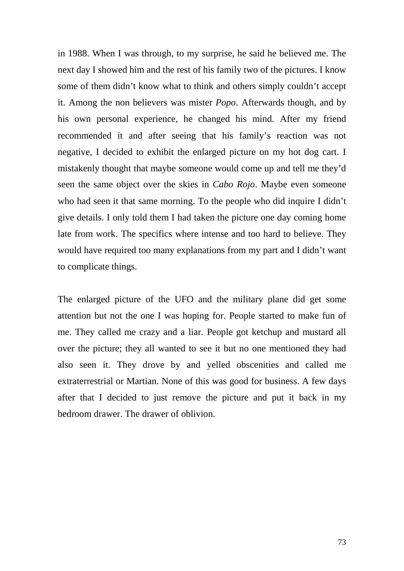in 1988. When I was through, to my surprise, he said he believed me. The next day I showed him and the rest of his family two of the pictures. I know some of them didn't know what to think and others simply couldn't accept it. Among the non believers was mister *Popo*. Afterwards though, and by his own personal experience, he changed his mind. After my friend recommended it and after seeing that his family's reaction was not negative, I decided to exhibit the enlarged picture on my hot dog cart. I mistakenly thought that maybe someone would come up and tell me they'd seen the same object over the skies in *Cabo Rojo*. Maybe even someone who had seen it that same morning. To the people who did inquire I didn't give details. I only told them I had taken the picture one day coming home late from work. The specifics where intense and too hard to believe. They would have required too many explanations from my part and I didn't want to complicate things.

The enlarged picture of the UFO and the military plane did get some attention but not the one I was hoping for. People started to make fun of me. They called me crazy and a liar. People got ketchup and mustard all over the picture; they all wanted to see it but no one mentioned they had also seen it. They drove by and yelled obscenities and called me extraterrestrial or Martian. None of this was good for business. A few days after that I decided to just remove the picture and put it back in my bedroom drawer. The drawer of oblivion.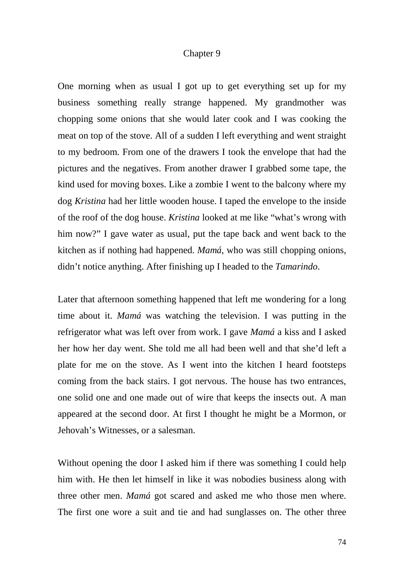### Chapter 9

One morning when as usual I got up to get everything set up for my business something really strange happened. My grandmother was chopping some onions that she would later cook and I was cooking the meat on top of the stove. All of a sudden I left everything and went straight to my bedroom. From one of the drawers I took the envelope that had the pictures and the negatives. From another drawer I grabbed some tape, the kind used for moving boxes. Like a zombie I went to the balcony where my dog *Kristina* had her little wooden house. I taped the envelope to the inside of the roof of the dog house. *Kristina* looked at me like "what's wrong with him now?" I gave water as usual, put the tape back and went back to the kitchen as if nothing had happened. *Mamá*, who was still chopping onions, didn't notice anything. After finishing up I headed to the *Tamarindo*.

Later that afternoon something happened that left me wondering for a long time about it. *Mamá* was watching the television. I was putting in the refrigerator what was left over from work. I gave *Mamá* a kiss and I asked her how her day went. She told me all had been well and that she'd left a plate for me on the stove. As I went into the kitchen I heard footsteps coming from the back stairs. I got nervous. The house has two entrances, one solid one and one made out of wire that keeps the insects out. A man appeared at the second door. At first I thought he might be a Mormon, or Jehovah's Witnesses, or a salesman.

Without opening the door I asked him if there was something I could help him with. He then let himself in like it was nobodies business along with three other men. *Mamá* got scared and asked me who those men where. The first one wore a suit and tie and had sunglasses on. The other three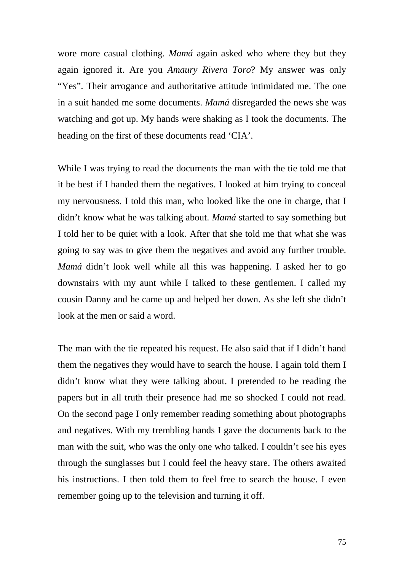wore more casual clothing. *Mamá* again asked who where they but they again ignored it. Are you *Amaury Rivera Toro*? My answer was only "Yes". Their arrogance and authoritative attitude intimidated me. The one in a suit handed me some documents. *Mamá* disregarded the news she was watching and got up. My hands were shaking as I took the documents. The heading on the first of these documents read 'CIA'.

While I was trying to read the documents the man with the tie told me that it be best if I handed them the negatives. I looked at him trying to conceal my nervousness. I told this man, who looked like the one in charge, that I didn't know what he was talking about. *Mamá* started to say something but I told her to be quiet with a look. After that she told me that what she was going to say was to give them the negatives and avoid any further trouble. *Mamá* didn't look well while all this was happening. I asked her to go downstairs with my aunt while I talked to these gentlemen. I called my cousin Danny and he came up and helped her down. As she left she didn't look at the men or said a word.

The man with the tie repeated his request. He also said that if I didn't hand them the negatives they would have to search the house. I again told them I didn't know what they were talking about. I pretended to be reading the papers but in all truth their presence had me so shocked I could not read. On the second page I only remember reading something about photographs and negatives. With my trembling hands I gave the documents back to the man with the suit, who was the only one who talked. I couldn't see his eyes through the sunglasses but I could feel the heavy stare. The others awaited his instructions. I then told them to feel free to search the house. I even remember going up to the television and turning it off.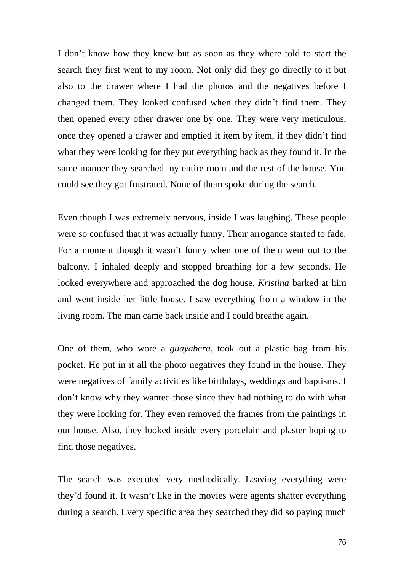I don't know how they knew but as soon as they where told to start the search they first went to my room. Not only did they go directly to it but also to the drawer where I had the photos and the negatives before I changed them. They looked confused when they didn't find them. They then opened every other drawer one by one. They were very meticulous, once they opened a drawer and emptied it item by item, if they didn't find what they were looking for they put everything back as they found it. In the same manner they searched my entire room and the rest of the house. You could see they got frustrated. None of them spoke during the search.

Even though I was extremely nervous, inside I was laughing. These people were so confused that it was actually funny. Their arrogance started to fade. For a moment though it wasn't funny when one of them went out to the balcony. I inhaled deeply and stopped breathing for a few seconds. He looked everywhere and approached the dog house. *Kristina* barked at him and went inside her little house. I saw everything from a window in the living room. The man came back inside and I could breathe again.

One of them, who wore a *guayabera*, took out a plastic bag from his pocket. He put in it all the photo negatives they found in the house. They were negatives of family activities like birthdays, weddings and baptisms. I don't know why they wanted those since they had nothing to do with what they were looking for. They even removed the frames from the paintings in our house. Also, they looked inside every porcelain and plaster hoping to find those negatives.

The search was executed very methodically. Leaving everything were they'd found it. It wasn't like in the movies were agents shatter everything during a search. Every specific area they searched they did so paying much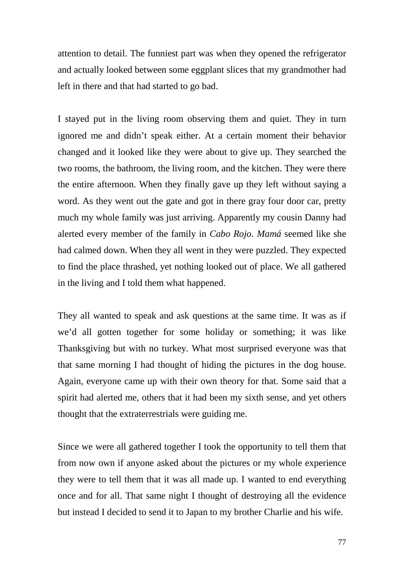attention to detail. The funniest part was when they opened the refrigerator and actually looked between some eggplant slices that my grandmother had left in there and that had started to go bad.

I stayed put in the living room observing them and quiet. They in turn ignored me and didn't speak either. At a certain moment their behavior changed and it looked like they were about to give up. They searched the two rooms, the bathroom, the living room, and the kitchen. They were there the entire afternoon. When they finally gave up they left without saying a word. As they went out the gate and got in there gray four door car, pretty much my whole family was just arriving. Apparently my cousin Danny had alerted every member of the family in *Cabo Rojo*. *Mamá* seemed like she had calmed down. When they all went in they were puzzled. They expected to find the place thrashed, yet nothing looked out of place. We all gathered in the living and I told them what happened.

They all wanted to speak and ask questions at the same time. It was as if we'd all gotten together for some holiday or something; it was like Thanksgiving but with no turkey. What most surprised everyone was that that same morning I had thought of hiding the pictures in the dog house. Again, everyone came up with their own theory for that. Some said that a spirit had alerted me, others that it had been my sixth sense, and yet others thought that the extraterrestrials were guiding me.

Since we were all gathered together I took the opportunity to tell them that from now own if anyone asked about the pictures or my whole experience they were to tell them that it was all made up. I wanted to end everything once and for all. That same night I thought of destroying all the evidence but instead I decided to send it to Japan to my brother Charlie and his wife.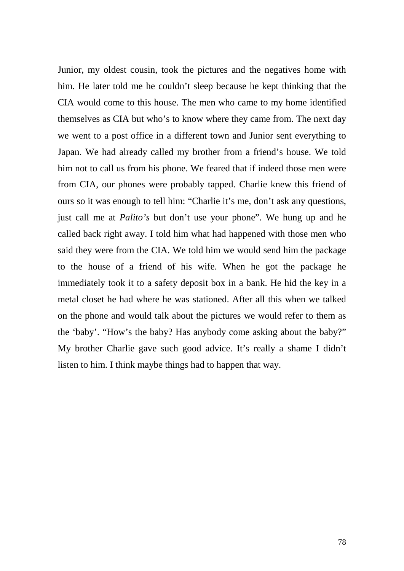Junior, my oldest cousin, took the pictures and the negatives home with him. He later told me he couldn't sleep because he kept thinking that the CIA would come to this house. The men who came to my home identified themselves as CIA but who's to know where they came from. The next day we went to a post office in a different town and Junior sent everything to Japan. We had already called my brother from a friend's house. We told him not to call us from his phone. We feared that if indeed those men were from CIA, our phones were probably tapped. Charlie knew this friend of ours so it was enough to tell him: "Charlie it's me, don't ask any questions, just call me at *Palito's* but don't use your phone". We hung up and he called back right away. I told him what had happened with those men who said they were from the CIA. We told him we would send him the package to the house of a friend of his wife. When he got the package he immediately took it to a safety deposit box in a bank. He hid the key in a metal closet he had where he was stationed. After all this when we talked on the phone and would talk about the pictures we would refer to them as the 'baby'. "How's the baby? Has anybody come asking about the baby?" My brother Charlie gave such good advice. It's really a shame I didn't listen to him. I think maybe things had to happen that way.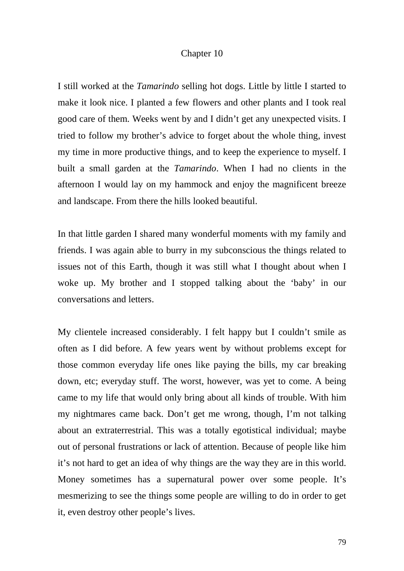## Chapter 10

I still worked at the *Tamarindo* selling hot dogs. Little by little I started to make it look nice. I planted a few flowers and other plants and I took real good care of them. Weeks went by and I didn't get any unexpected visits. I tried to follow my brother's advice to forget about the whole thing, invest my time in more productive things, and to keep the experience to myself. I built a small garden at the *Tamarindo*. When I had no clients in the afternoon I would lay on my hammock and enjoy the magnificent breeze and landscape. From there the hills looked beautiful.

In that little garden I shared many wonderful moments with my family and friends. I was again able to burry in my subconscious the things related to issues not of this Earth, though it was still what I thought about when I woke up. My brother and I stopped talking about the 'baby' in our conversations and letters.

My clientele increased considerably. I felt happy but I couldn't smile as often as I did before. A few years went by without problems except for those common everyday life ones like paying the bills, my car breaking down, etc; everyday stuff. The worst, however, was yet to come. A being came to my life that would only bring about all kinds of trouble. With him my nightmares came back. Don't get me wrong, though, I'm not talking about an extraterrestrial. This was a totally egotistical individual; maybe out of personal frustrations or lack of attention. Because of people like him it's not hard to get an idea of why things are the way they are in this world. Money sometimes has a supernatural power over some people. It's mesmerizing to see the things some people are willing to do in order to get it, even destroy other people's lives.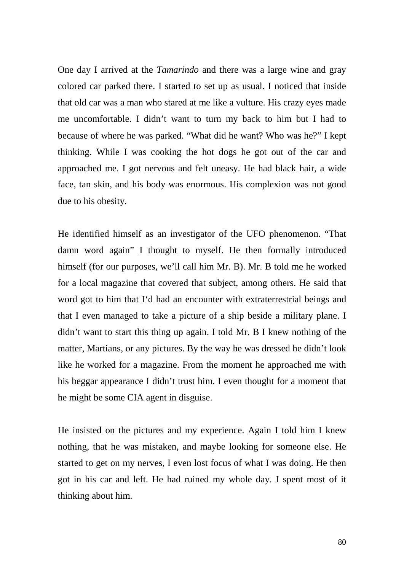One day I arrived at the *Tamarindo* and there was a large wine and gray colored car parked there. I started to set up as usual. I noticed that inside that old car was a man who stared at me like a vulture. His crazy eyes made me uncomfortable. I didn't want to turn my back to him but I had to because of where he was parked. "What did he want? Who was he?" I kept thinking. While I was cooking the hot dogs he got out of the car and approached me. I got nervous and felt uneasy. He had black hair, a wide face, tan skin, and his body was enormous. His complexion was not good due to his obesity.

He identified himself as an investigator of the UFO phenomenon. "That damn word again" I thought to myself. He then formally introduced himself (for our purposes, we'll call him Mr. B). Mr. B told me he worked for a local magazine that covered that subject, among others. He said that word got to him that I'd had an encounter with extraterrestrial beings and that I even managed to take a picture of a ship beside a military plane. I didn't want to start this thing up again. I told Mr. B I knew nothing of the matter, Martians, or any pictures. By the way he was dressed he didn't look like he worked for a magazine. From the moment he approached me with his beggar appearance I didn't trust him. I even thought for a moment that he might be some CIA agent in disguise.

He insisted on the pictures and my experience. Again I told him I knew nothing, that he was mistaken, and maybe looking for someone else. He started to get on my nerves, I even lost focus of what I was doing. He then got in his car and left. He had ruined my whole day. I spent most of it thinking about him.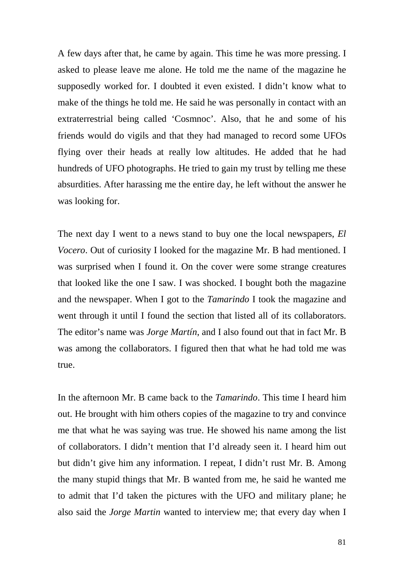A few days after that, he came by again. This time he was more pressing. I asked to please leave me alone. He told me the name of the magazine he supposedly worked for. I doubted it even existed. I didn't know what to make of the things he told me. He said he was personally in contact with an extraterrestrial being called 'Cosmnoc'. Also, that he and some of his friends would do vigils and that they had managed to record some UFOs flying over their heads at really low altitudes. He added that he had hundreds of UFO photographs. He tried to gain my trust by telling me these absurdities. After harassing me the entire day, he left without the answer he was looking for.

The next day I went to a news stand to buy one the local newspapers, *El Vocero*. Out of curiosity I looked for the magazine Mr. B had mentioned. I was surprised when I found it. On the cover were some strange creatures that looked like the one I saw. I was shocked. I bought both the magazine and the newspaper. When I got to the *Tamarindo* I took the magazine and went through it until I found the section that listed all of its collaborators. The editor's name was *Jorge Martín*, and I also found out that in fact Mr. B was among the collaborators. I figured then that what he had told me was true.

In the afternoon Mr. B came back to the *Tamarindo*. This time I heard him out. He brought with him others copies of the magazine to try and convince me that what he was saying was true. He showed his name among the list of collaborators. I didn't mention that I'd already seen it. I heard him out but didn't give him any information. I repeat, I didn't rust Mr. B. Among the many stupid things that Mr. B wanted from me, he said he wanted me to admit that I'd taken the pictures with the UFO and military plane; he also said the *Jorge Martin* wanted to interview me; that every day when I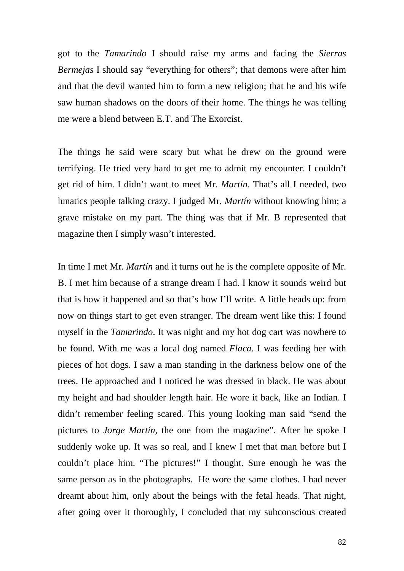got to the *Tamarindo* I should raise my arms and facing the *Sierras Bermejas* I should say "everything for others"; that demons were after him and that the devil wanted him to form a new religion; that he and his wife saw human shadows on the doors of their home. The things he was telling me were a blend between E.T. and The Exorcist.

The things he said were scary but what he drew on the ground were terrifying. He tried very hard to get me to admit my encounter. I couldn't get rid of him. I didn't want to meet Mr. *Martín*. That's all I needed, two lunatics people talking crazy. I judged Mr. *Martín* without knowing him; a grave mistake on my part. The thing was that if Mr. B represented that magazine then I simply wasn't interested.

In time I met Mr. *Martín* and it turns out he is the complete opposite of Mr. B. I met him because of a strange dream I had. I know it sounds weird but that is how it happened and so that's how I'll write. A little heads up: from now on things start to get even stranger. The dream went like this: I found myself in the *Tamarindo*. It was night and my hot dog cart was nowhere to be found. With me was a local dog named *Flaca*. I was feeding her with pieces of hot dogs. I saw a man standing in the darkness below one of the trees. He approached and I noticed he was dressed in black. He was about my height and had shoulder length hair. He wore it back, like an Indian. I didn't remember feeling scared. This young looking man said "send the pictures to *Jorge Martín*, the one from the magazine". After he spoke I suddenly woke up. It was so real, and I knew I met that man before but I couldn't place him. "The pictures!" I thought. Sure enough he was the same person as in the photographs. He wore the same clothes. I had never dreamt about him, only about the beings with the fetal heads. That night, after going over it thoroughly, I concluded that my subconscious created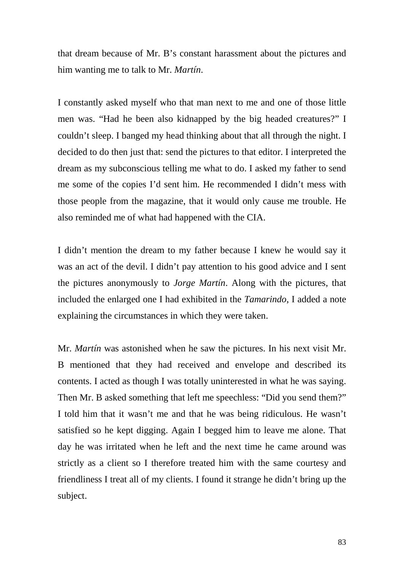that dream because of Mr. B's constant harassment about the pictures and him wanting me to talk to Mr. *Martín*.

I constantly asked myself who that man next to me and one of those little men was. "Had he been also kidnapped by the big headed creatures?" I couldn't sleep. I banged my head thinking about that all through the night. I decided to do then just that: send the pictures to that editor. I interpreted the dream as my subconscious telling me what to do. I asked my father to send me some of the copies I'd sent him. He recommended I didn't mess with those people from the magazine, that it would only cause me trouble. He also reminded me of what had happened with the CIA.

I didn't mention the dream to my father because I knew he would say it was an act of the devil. I didn't pay attention to his good advice and I sent the pictures anonymously to *Jorge Martín*. Along with the pictures, that included the enlarged one I had exhibited in the *Tamarindo*, I added a note explaining the circumstances in which they were taken.

Mr. *Martín* was astonished when he saw the pictures. In his next visit Mr. B mentioned that they had received and envelope and described its contents. I acted as though I was totally uninterested in what he was saying. Then Mr. B asked something that left me speechless: "Did you send them?" I told him that it wasn't me and that he was being ridiculous. He wasn't satisfied so he kept digging. Again I begged him to leave me alone. That day he was irritated when he left and the next time he came around was strictly as a client so I therefore treated him with the same courtesy and friendliness I treat all of my clients. I found it strange he didn't bring up the subject.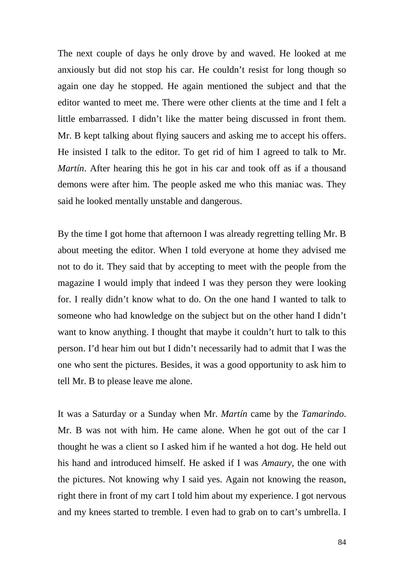The next couple of days he only drove by and waved. He looked at me anxiously but did not stop his car. He couldn't resist for long though so again one day he stopped. He again mentioned the subject and that the editor wanted to meet me. There were other clients at the time and I felt a little embarrassed. I didn't like the matter being discussed in front them. Mr. B kept talking about flying saucers and asking me to accept his offers. He insisted I talk to the editor. To get rid of him I agreed to talk to Mr. *Martín*. After hearing this he got in his car and took off as if a thousand demons were after him. The people asked me who this maniac was. They said he looked mentally unstable and dangerous.

By the time I got home that afternoon I was already regretting telling Mr. B about meeting the editor. When I told everyone at home they advised me not to do it. They said that by accepting to meet with the people from the magazine I would imply that indeed I was they person they were looking for. I really didn't know what to do. On the one hand I wanted to talk to someone who had knowledge on the subject but on the other hand I didn't want to know anything. I thought that maybe it couldn't hurt to talk to this person. I'd hear him out but I didn't necessarily had to admit that I was the one who sent the pictures. Besides, it was a good opportunity to ask him to tell Mr. B to please leave me alone.

It was a Saturday or a Sunday when Mr. *Martín* came by the *Tamarindo*. Mr. B was not with him. He came alone. When he got out of the car I thought he was a client so I asked him if he wanted a hot dog. He held out his hand and introduced himself. He asked if I was *Amaury*, the one with the pictures. Not knowing why I said yes. Again not knowing the reason, right there in front of my cart I told him about my experience. I got nervous and my knees started to tremble. I even had to grab on to cart's umbrella. I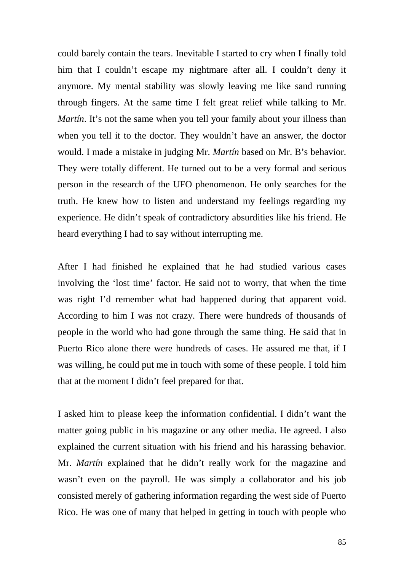could barely contain the tears. Inevitable I started to cry when I finally told him that I couldn't escape my nightmare after all. I couldn't deny it anymore. My mental stability was slowly leaving me like sand running through fingers. At the same time I felt great relief while talking to Mr. *Martín*. It's not the same when you tell your family about your illness than when you tell it to the doctor. They wouldn't have an answer, the doctor would. I made a mistake in judging Mr. *Martín* based on Mr. B's behavior. They were totally different. He turned out to be a very formal and serious person in the research of the UFO phenomenon. He only searches for the truth. He knew how to listen and understand my feelings regarding my experience. He didn't speak of contradictory absurdities like his friend. He heard everything I had to say without interrupting me.

After I had finished he explained that he had studied various cases involving the 'lost time' factor. He said not to worry, that when the time was right I'd remember what had happened during that apparent void. According to him I was not crazy. There were hundreds of thousands of people in the world who had gone through the same thing. He said that in Puerto Rico alone there were hundreds of cases. He assured me that, if I was willing, he could put me in touch with some of these people. I told him that at the moment I didn't feel prepared for that.

I asked him to please keep the information confidential. I didn't want the matter going public in his magazine or any other media. He agreed. I also explained the current situation with his friend and his harassing behavior. Mr. *Martín* explained that he didn't really work for the magazine and wasn't even on the payroll. He was simply a collaborator and his job consisted merely of gathering information regarding the west side of Puerto Rico. He was one of many that helped in getting in touch with people who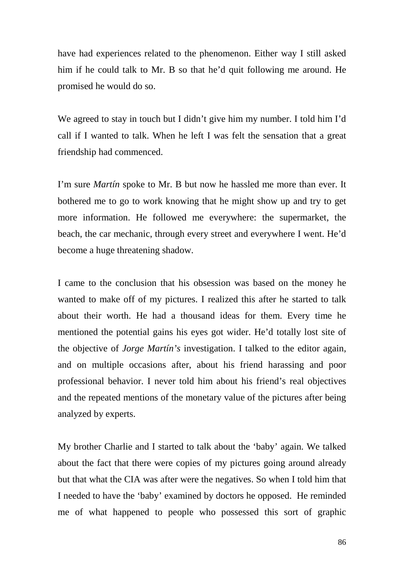have had experiences related to the phenomenon. Either way I still asked him if he could talk to Mr. B so that he'd quit following me around. He promised he would do so.

We agreed to stay in touch but I didn't give him my number. I told him I'd call if I wanted to talk. When he left I was felt the sensation that a great friendship had commenced.

I'm sure *Martín* spoke to Mr. B but now he hassled me more than ever. It bothered me to go to work knowing that he might show up and try to get more information. He followed me everywhere: the supermarket, the beach, the car mechanic, through every street and everywhere I went. He'd become a huge threatening shadow.

I came to the conclusion that his obsession was based on the money he wanted to make off of my pictures. I realized this after he started to talk about their worth. He had a thousand ideas for them. Every time he mentioned the potential gains his eyes got wider. He'd totally lost site of the objective of *Jorge Martín's* investigation. I talked to the editor again, and on multiple occasions after, about his friend harassing and poor professional behavior. I never told him about his friend's real objectives and the repeated mentions of the monetary value of the pictures after being analyzed by experts.

My brother Charlie and I started to talk about the 'baby' again. We talked about the fact that there were copies of my pictures going around already but that what the CIA was after were the negatives. So when I told him that I needed to have the 'baby' examined by doctors he opposed. He reminded me of what happened to people who possessed this sort of graphic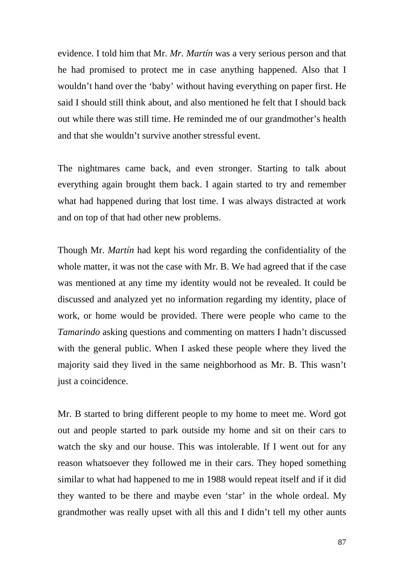evidence. I told him that Mr. *Mr. Martín* was a very serious person and that he had promised to protect me in case anything happened. Also that I wouldn't hand over the 'baby' without having everything on paper first. He said I should still think about, and also mentioned he felt that I should back out while there was still time. He reminded me of our grandmother's health and that she wouldn't survive another stressful event.

The nightmares came back, and even stronger. Starting to talk about everything again brought them back. I again started to try and remember what had happened during that lost time. I was always distracted at work and on top of that had other new problems.

Though Mr. *Martín* had kept his word regarding the confidentiality of the whole matter, it was not the case with Mr. B. We had agreed that if the case was mentioned at any time my identity would not be revealed. It could be discussed and analyzed yet no information regarding my identity, place of work, or home would be provided. There were people who came to the *Tamarindo* asking questions and commenting on matters I hadn't discussed with the general public. When I asked these people where they lived the majority said they lived in the same neighborhood as Mr. B. This wasn't just a coincidence.

Mr. B started to bring different people to my home to meet me. Word got out and people started to park outside my home and sit on their cars to watch the sky and our house. This was intolerable. If I went out for any reason whatsoever they followed me in their cars. They hoped something similar to what had happened to me in 1988 would repeat itself and if it did they wanted to be there and maybe even 'star' in the whole ordeal. My grandmother was really upset with all this and I didn't tell my other aunts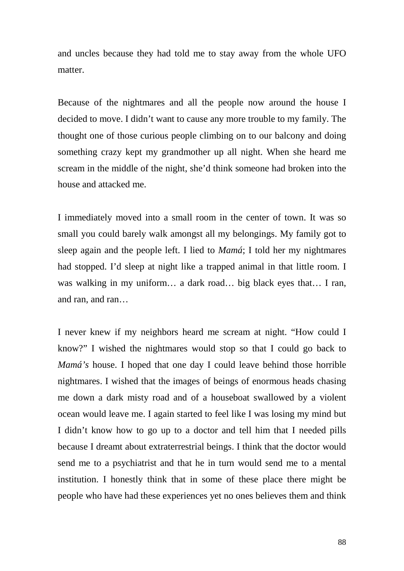and uncles because they had told me to stay away from the whole UFO matter.

Because of the nightmares and all the people now around the house I decided to move. I didn't want to cause any more trouble to my family. The thought one of those curious people climbing on to our balcony and doing something crazy kept my grandmother up all night. When she heard me scream in the middle of the night, she'd think someone had broken into the house and attacked me.

I immediately moved into a small room in the center of town. It was so small you could barely walk amongst all my belongings. My family got to sleep again and the people left. I lied to *Mamá*; I told her my nightmares had stopped. I'd sleep at night like a trapped animal in that little room. I was walking in my uniform… a dark road… big black eyes that… I ran, and ran, and ran…

I never knew if my neighbors heard me scream at night. "How could I know?" I wished the nightmares would stop so that I could go back to *Mamá's* house. I hoped that one day I could leave behind those horrible nightmares. I wished that the images of beings of enormous heads chasing me down a dark misty road and of a houseboat swallowed by a violent ocean would leave me. I again started to feel like I was losing my mind but I didn't know how to go up to a doctor and tell him that I needed pills because I dreamt about extraterrestrial beings. I think that the doctor would send me to a psychiatrist and that he in turn would send me to a mental institution. I honestly think that in some of these place there might be people who have had these experiences yet no ones believes them and think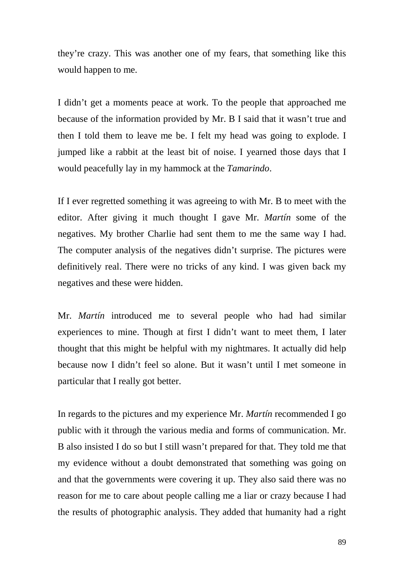they're crazy. This was another one of my fears, that something like this would happen to me.

I didn't get a moments peace at work. To the people that approached me because of the information provided by Mr. B I said that it wasn't true and then I told them to leave me be. I felt my head was going to explode. I jumped like a rabbit at the least bit of noise. I yearned those days that I would peacefully lay in my hammock at the *Tamarindo*.

If I ever regretted something it was agreeing to with Mr. B to meet with the editor. After giving it much thought I gave Mr. *Martín* some of the negatives. My brother Charlie had sent them to me the same way I had. The computer analysis of the negatives didn't surprise. The pictures were definitively real. There were no tricks of any kind. I was given back my negatives and these were hidden.

Mr. *Martín* introduced me to several people who had had similar experiences to mine. Though at first I didn't want to meet them, I later thought that this might be helpful with my nightmares. It actually did help because now I didn't feel so alone. But it wasn't until I met someone in particular that I really got better.

In regards to the pictures and my experience Mr. *Martín* recommended I go public with it through the various media and forms of communication. Mr. B also insisted I do so but I still wasn't prepared for that. They told me that my evidence without a doubt demonstrated that something was going on and that the governments were covering it up. They also said there was no reason for me to care about people calling me a liar or crazy because I had the results of photographic analysis. They added that humanity had a right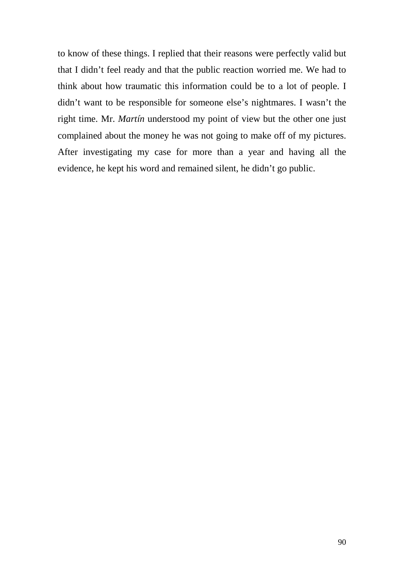to know of these things. I replied that their reasons were perfectly valid but that I didn't feel ready and that the public reaction worried me. We had to think about how traumatic this information could be to a lot of people. I didn't want to be responsible for someone else's nightmares. I wasn't the right time. Mr. *Martín* understood my point of view but the other one just complained about the money he was not going to make off of my pictures. After investigating my case for more than a year and having all the evidence, he kept his word and remained silent, he didn't go public.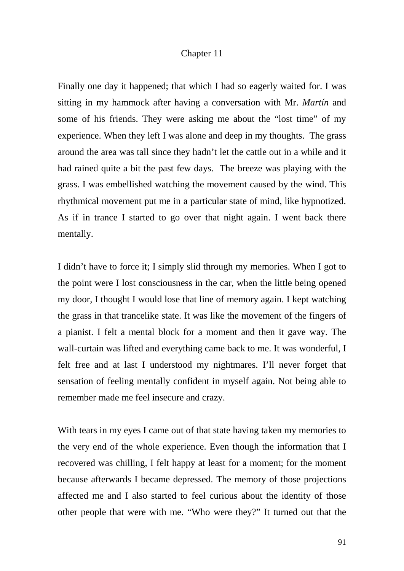### Chapter 11

Finally one day it happened; that which I had so eagerly waited for. I was sitting in my hammock after having a conversation with Mr. *Martín* and some of his friends. They were asking me about the "lost time" of my experience. When they left I was alone and deep in my thoughts. The grass around the area was tall since they hadn't let the cattle out in a while and it had rained quite a bit the past few days. The breeze was playing with the grass. I was embellished watching the movement caused by the wind. This rhythmical movement put me in a particular state of mind, like hypnotized. As if in trance I started to go over that night again. I went back there mentally.

I didn't have to force it; I simply slid through my memories. When I got to the point were I lost consciousness in the car, when the little being opened my door, I thought I would lose that line of memory again. I kept watching the grass in that trancelike state. It was like the movement of the fingers of a pianist. I felt a mental block for a moment and then it gave way. The wall-curtain was lifted and everything came back to me. It was wonderful, I felt free and at last I understood my nightmares. I'll never forget that sensation of feeling mentally confident in myself again. Not being able to remember made me feel insecure and crazy.

With tears in my eyes I came out of that state having taken my memories to the very end of the whole experience. Even though the information that I recovered was chilling, I felt happy at least for a moment; for the moment because afterwards I became depressed. The memory of those projections affected me and I also started to feel curious about the identity of those other people that were with me. "Who were they?" It turned out that the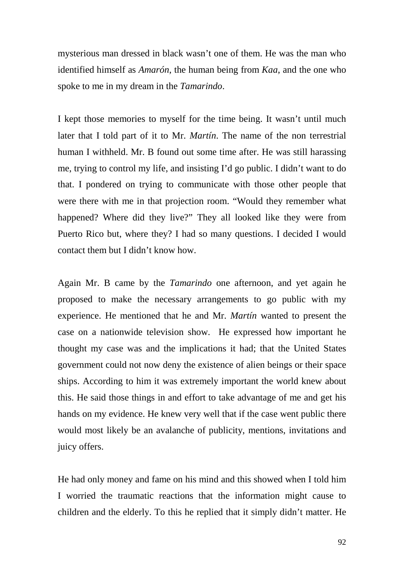mysterious man dressed in black wasn't one of them. He was the man who identified himself as *Amarón*, the human being from *Kaa*, and the one who spoke to me in my dream in the *Tamarindo*.

I kept those memories to myself for the time being. It wasn't until much later that I told part of it to Mr. *Martín*. The name of the non terrestrial human I withheld. Mr. B found out some time after. He was still harassing me, trying to control my life, and insisting I'd go public. I didn't want to do that. I pondered on trying to communicate with those other people that were there with me in that projection room. "Would they remember what happened? Where did they live?" They all looked like they were from Puerto Rico but, where they? I had so many questions. I decided I would contact them but I didn't know how.

Again Mr. B came by the *Tamarindo* one afternoon, and yet again he proposed to make the necessary arrangements to go public with my experience. He mentioned that he and Mr. *Martín* wanted to present the case on a nationwide television show. He expressed how important he thought my case was and the implications it had; that the United States government could not now deny the existence of alien beings or their space ships. According to him it was extremely important the world knew about this. He said those things in and effort to take advantage of me and get his hands on my evidence. He knew very well that if the case went public there would most likely be an avalanche of publicity, mentions, invitations and juicy offers.

He had only money and fame on his mind and this showed when I told him I worried the traumatic reactions that the information might cause to children and the elderly. To this he replied that it simply didn't matter. He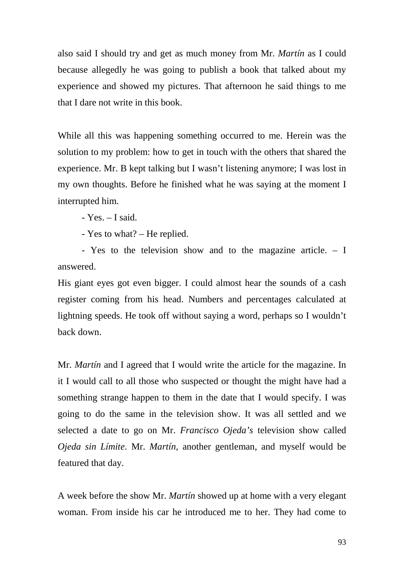also said I should try and get as much money from Mr. *Martín* as I could because allegedly he was going to publish a book that talked about my experience and showed my pictures. That afternoon he said things to me that I dare not write in this book.

While all this was happening something occurred to me. Herein was the solution to my problem: how to get in touch with the others that shared the experience. Mr. B kept talking but I wasn't listening anymore; I was lost in my own thoughts. Before he finished what he was saying at the moment I interrupted him.

- Yes. – I said.

- Yes to what? – He replied.

- Yes to the television show and to the magazine article. – I answered.

His giant eyes got even bigger. I could almost hear the sounds of a cash register coming from his head. Numbers and percentages calculated at lightning speeds. He took off without saying a word, perhaps so I wouldn't back down.

Mr. *Martín* and I agreed that I would write the article for the magazine. In it I would call to all those who suspected or thought the might have had a something strange happen to them in the date that I would specify. I was going to do the same in the television show. It was all settled and we selected a date to go on Mr. *Francisco Ojeda's* television show called *Ojeda sin Límite*. Mr. *Martín*, another gentleman, and myself would be featured that day.

A week before the show Mr. *Martín* showed up at home with a very elegant woman. From inside his car he introduced me to her. They had come to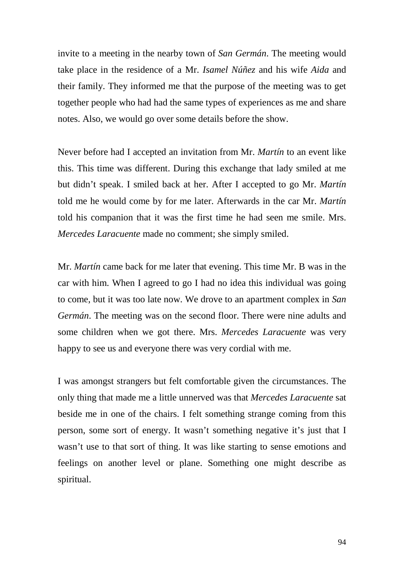invite to a meeting in the nearby town of *San Germán*. The meeting would take place in the residence of a Mr. *Isamel Núñez* and his wife *Aida* and their family. They informed me that the purpose of the meeting was to get together people who had had the same types of experiences as me and share notes. Also, we would go over some details before the show.

Never before had I accepted an invitation from Mr. *Martín* to an event like this. This time was different. During this exchange that lady smiled at me but didn't speak. I smiled back at her. After I accepted to go Mr. *Martín*  told me he would come by for me later. Afterwards in the car Mr. *Martín* told his companion that it was the first time he had seen me smile. Mrs. *Mercedes Laracuente* made no comment; she simply smiled.

Mr. *Martín* came back for me later that evening. This time Mr. B was in the car with him. When I agreed to go I had no idea this individual was going to come, but it was too late now. We drove to an apartment complex in *San Germán*. The meeting was on the second floor. There were nine adults and some children when we got there. Mrs. *Mercedes Laracuente* was very happy to see us and everyone there was very cordial with me.

I was amongst strangers but felt comfortable given the circumstances. The only thing that made me a little unnerved was that *Mercedes Laracuente* sat beside me in one of the chairs. I felt something strange coming from this person, some sort of energy. It wasn't something negative it's just that I wasn't use to that sort of thing. It was like starting to sense emotions and feelings on another level or plane. Something one might describe as spiritual.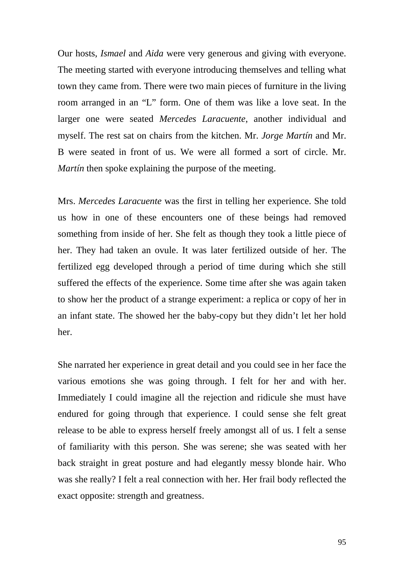Our hosts, *Ismael* and *Aida* were very generous and giving with everyone. The meeting started with everyone introducing themselves and telling what town they came from. There were two main pieces of furniture in the living room arranged in an "L" form. One of them was like a love seat. In the larger one were seated *Mercedes Laracuente*, another individual and myself. The rest sat on chairs from the kitchen. Mr. *Jorge Martín* and Mr. B were seated in front of us. We were all formed a sort of circle. Mr. *Martín* then spoke explaining the purpose of the meeting.

Mrs. *Mercedes Laracuente* was the first in telling her experience. She told us how in one of these encounters one of these beings had removed something from inside of her. She felt as though they took a little piece of her. They had taken an ovule. It was later fertilized outside of her. The fertilized egg developed through a period of time during which she still suffered the effects of the experience. Some time after she was again taken to show her the product of a strange experiment: a replica or copy of her in an infant state. The showed her the baby-copy but they didn't let her hold her.

She narrated her experience in great detail and you could see in her face the various emotions she was going through. I felt for her and with her. Immediately I could imagine all the rejection and ridicule she must have endured for going through that experience. I could sense she felt great release to be able to express herself freely amongst all of us. I felt a sense of familiarity with this person. She was serene; she was seated with her back straight in great posture and had elegantly messy blonde hair. Who was she really? I felt a real connection with her. Her frail body reflected the exact opposite: strength and greatness.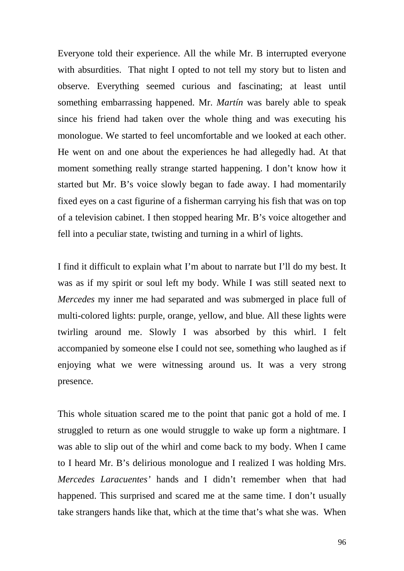Everyone told their experience. All the while Mr. B interrupted everyone with absurdities. That night I opted to not tell my story but to listen and observe. Everything seemed curious and fascinating; at least until something embarrassing happened. Mr. *Martín* was barely able to speak since his friend had taken over the whole thing and was executing his monologue. We started to feel uncomfortable and we looked at each other. He went on and one about the experiences he had allegedly had. At that moment something really strange started happening. I don't know how it started but Mr. B's voice slowly began to fade away. I had momentarily fixed eyes on a cast figurine of a fisherman carrying his fish that was on top of a television cabinet. I then stopped hearing Mr. B's voice altogether and fell into a peculiar state, twisting and turning in a whirl of lights.

I find it difficult to explain what I'm about to narrate but I'll do my best. It was as if my spirit or soul left my body. While I was still seated next to *Mercedes* my inner me had separated and was submerged in place full of multi-colored lights: purple, orange, yellow, and blue. All these lights were twirling around me. Slowly I was absorbed by this whirl. I felt accompanied by someone else I could not see, something who laughed as if enjoying what we were witnessing around us. It was a very strong presence.

This whole situation scared me to the point that panic got a hold of me. I struggled to return as one would struggle to wake up form a nightmare. I was able to slip out of the whirl and come back to my body. When I came to I heard Mr. B's delirious monologue and I realized I was holding Mrs. *Mercedes Laracuentes'* hands and I didn't remember when that had happened. This surprised and scared me at the same time. I don't usually take strangers hands like that, which at the time that's what she was. When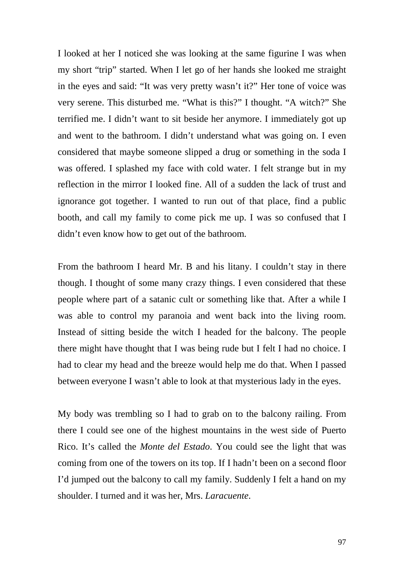I looked at her I noticed she was looking at the same figurine I was when my short "trip" started. When I let go of her hands she looked me straight in the eyes and said: "It was very pretty wasn't it?" Her tone of voice was very serene. This disturbed me. "What is this?" I thought. "A witch?" She terrified me. I didn't want to sit beside her anymore. I immediately got up and went to the bathroom. I didn't understand what was going on. I even considered that maybe someone slipped a drug or something in the soda I was offered. I splashed my face with cold water. I felt strange but in my reflection in the mirror I looked fine. All of a sudden the lack of trust and ignorance got together. I wanted to run out of that place, find a public booth, and call my family to come pick me up. I was so confused that I didn't even know how to get out of the bathroom.

From the bathroom I heard Mr. B and his litany. I couldn't stay in there though. I thought of some many crazy things. I even considered that these people where part of a satanic cult or something like that. After a while I was able to control my paranoia and went back into the living room. Instead of sitting beside the witch I headed for the balcony. The people there might have thought that I was being rude but I felt I had no choice. I had to clear my head and the breeze would help me do that. When I passed between everyone I wasn't able to look at that mysterious lady in the eyes.

My body was trembling so I had to grab on to the balcony railing. From there I could see one of the highest mountains in the west side of Puerto Rico. It's called the *Monte del Estado*. You could see the light that was coming from one of the towers on its top. If I hadn't been on a second floor I'd jumped out the balcony to call my family. Suddenly I felt a hand on my shoulder. I turned and it was her, Mrs. *Laracuente*.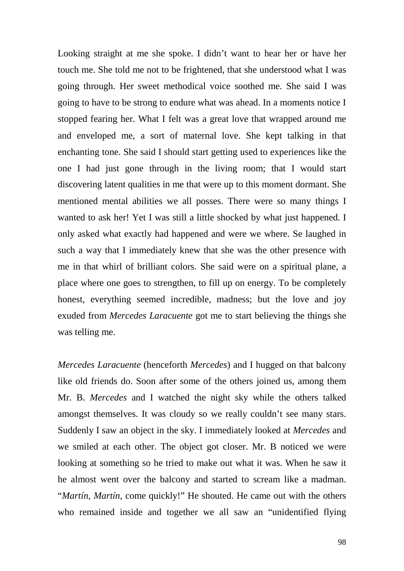Looking straight at me she spoke. I didn't want to hear her or have her touch me. She told me not to be frightened, that she understood what I was going through. Her sweet methodical voice soothed me. She said I was going to have to be strong to endure what was ahead. In a moments notice I stopped fearing her. What I felt was a great love that wrapped around me and enveloped me, a sort of maternal love. She kept talking in that enchanting tone. She said I should start getting used to experiences like the one I had just gone through in the living room; that I would start discovering latent qualities in me that were up to this moment dormant. She mentioned mental abilities we all posses. There were so many things I wanted to ask her! Yet I was still a little shocked by what just happened. I only asked what exactly had happened and were we where. Se laughed in such a way that I immediately knew that she was the other presence with me in that whirl of brilliant colors. She said were on a spiritual plane, a place where one goes to strengthen, to fill up on energy. To be completely honest, everything seemed incredible, madness; but the love and joy exuded from *Mercedes Laracuente* got me to start believing the things she was telling me.

*Mercedes Laracuente* (henceforth *Mercedes*) and I hugged on that balcony like old friends do. Soon after some of the others joined us, among them Mr. B. *Mercedes* and I watched the night sky while the others talked amongst themselves. It was cloudy so we really couldn't see many stars. Suddenly I saw an object in the sky. I immediately looked at *Mercedes* and we smiled at each other. The object got closer. Mr. B noticed we were looking at something so he tried to make out what it was. When he saw it he almost went over the balcony and started to scream like a madman. "*Martín*, *Martín*, come quickly!" He shouted. He came out with the others who remained inside and together we all saw an "unidentified flying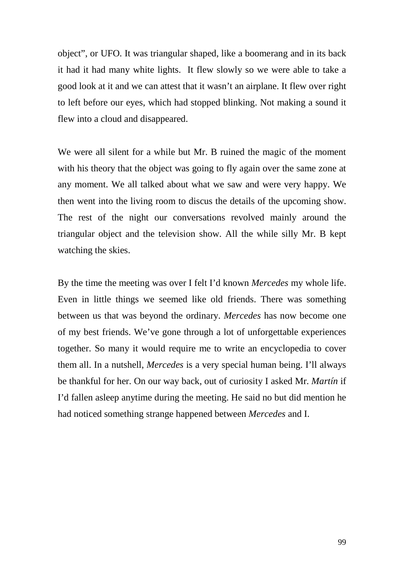object", or UFO. It was triangular shaped, like a boomerang and in its back it had it had many white lights. It flew slowly so we were able to take a good look at it and we can attest that it wasn't an airplane. It flew over right to left before our eyes, which had stopped blinking. Not making a sound it flew into a cloud and disappeared.

We were all silent for a while but Mr. B ruined the magic of the moment with his theory that the object was going to fly again over the same zone at any moment. We all talked about what we saw and were very happy. We then went into the living room to discus the details of the upcoming show. The rest of the night our conversations revolved mainly around the triangular object and the television show. All the while silly Mr. B kept watching the skies.

By the time the meeting was over I felt I'd known *Mercedes* my whole life. Even in little things we seemed like old friends. There was something between us that was beyond the ordinary. *Mercedes* has now become one of my best friends. We've gone through a lot of unforgettable experiences together. So many it would require me to write an encyclopedia to cover them all. In a nutshell, *Mercedes* is a very special human being. I'll always be thankful for her. On our way back, out of curiosity I asked Mr. *Martín* if I'd fallen asleep anytime during the meeting. He said no but did mention he had noticed something strange happened between *Mercedes* and I.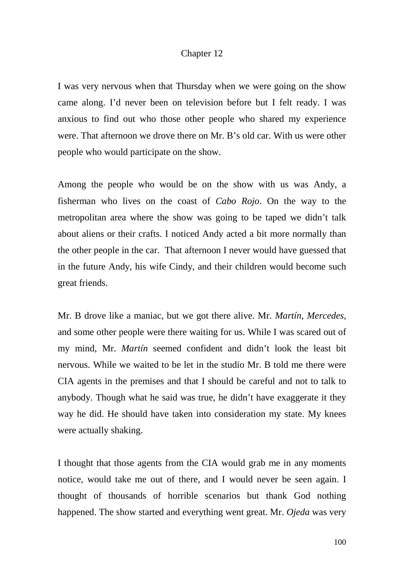### Chapter 12

I was very nervous when that Thursday when we were going on the show came along. I'd never been on television before but I felt ready. I was anxious to find out who those other people who shared my experience were. That afternoon we drove there on Mr. B's old car. With us were other people who would participate on the show.

Among the people who would be on the show with us was Andy, a fisherman who lives on the coast of *Cabo Rojo*. On the way to the metropolitan area where the show was going to be taped we didn't talk about aliens or their crafts. I noticed Andy acted a bit more normally than the other people in the car. That afternoon I never would have guessed that in the future Andy, his wife Cindy, and their children would become such great friends.

Mr. B drove like a maniac, but we got there alive. Mr. *Martín*, *Mercedes*, and some other people were there waiting for us. While I was scared out of my mind, Mr. *Martín* seemed confident and didn't look the least bit nervous. While we waited to be let in the studio Mr. B told me there were CIA agents in the premises and that I should be careful and not to talk to anybody. Though what he said was true, he didn't have exaggerate it they way he did. He should have taken into consideration my state. My knees were actually shaking.

I thought that those agents from the CIA would grab me in any moments notice, would take me out of there, and I would never be seen again. I thought of thousands of horrible scenarios but thank God nothing happened. The show started and everything went great. Mr. *Ojeda* was very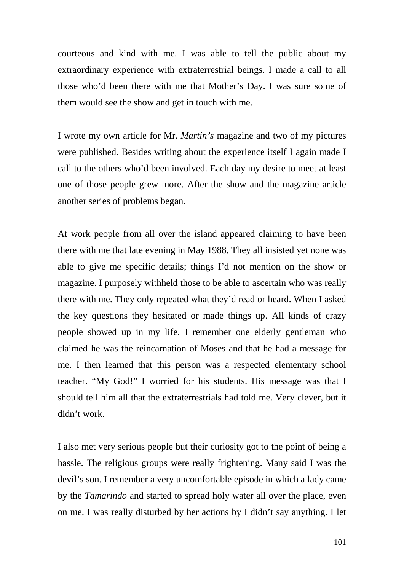courteous and kind with me. I was able to tell the public about my extraordinary experience with extraterrestrial beings. I made a call to all those who'd been there with me that Mother's Day. I was sure some of them would see the show and get in touch with me.

I wrote my own article for Mr. *Martín's* magazine and two of my pictures were published. Besides writing about the experience itself I again made I call to the others who'd been involved. Each day my desire to meet at least one of those people grew more. After the show and the magazine article another series of problems began.

At work people from all over the island appeared claiming to have been there with me that late evening in May 1988. They all insisted yet none was able to give me specific details; things I'd not mention on the show or magazine. I purposely withheld those to be able to ascertain who was really there with me. They only repeated what they'd read or heard. When I asked the key questions they hesitated or made things up. All kinds of crazy people showed up in my life. I remember one elderly gentleman who claimed he was the reincarnation of Moses and that he had a message for me. I then learned that this person was a respected elementary school teacher. "My God!" I worried for his students. His message was that I should tell him all that the extraterrestrials had told me. Very clever, but it didn't work.

I also met very serious people but their curiosity got to the point of being a hassle. The religious groups were really frightening. Many said I was the devil's son. I remember a very uncomfortable episode in which a lady came by the *Tamarindo* and started to spread holy water all over the place, even on me. I was really disturbed by her actions by I didn't say anything. I let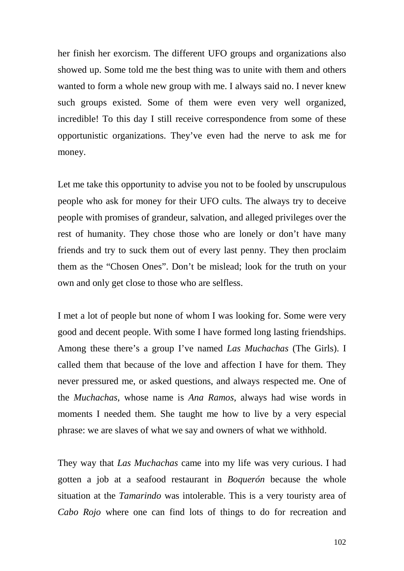her finish her exorcism. The different UFO groups and organizations also showed up. Some told me the best thing was to unite with them and others wanted to form a whole new group with me. I always said no. I never knew such groups existed. Some of them were even very well organized, incredible! To this day I still receive correspondence from some of these opportunistic organizations. They've even had the nerve to ask me for money.

Let me take this opportunity to advise you not to be fooled by unscrupulous people who ask for money for their UFO cults. The always try to deceive people with promises of grandeur, salvation, and alleged privileges over the rest of humanity. They chose those who are lonely or don't have many friends and try to suck them out of every last penny. They then proclaim them as the "Chosen Ones". Don't be mislead; look for the truth on your own and only get close to those who are selfless.

I met a lot of people but none of whom I was looking for. Some were very good and decent people. With some I have formed long lasting friendships. Among these there's a group I've named *Las Muchachas* (The Girls). I called them that because of the love and affection I have for them. They never pressured me, or asked questions, and always respected me. One of the *Muchachas*, whose name is *Ana Ramos*, always had wise words in moments I needed them. She taught me how to live by a very especial phrase: we are slaves of what we say and owners of what we withhold.

They way that *Las Muchachas* came into my life was very curious. I had gotten a job at a seafood restaurant in *Boquerón* because the whole situation at the *Tamarindo* was intolerable. This is a very touristy area of *Cabo Rojo* where one can find lots of things to do for recreation and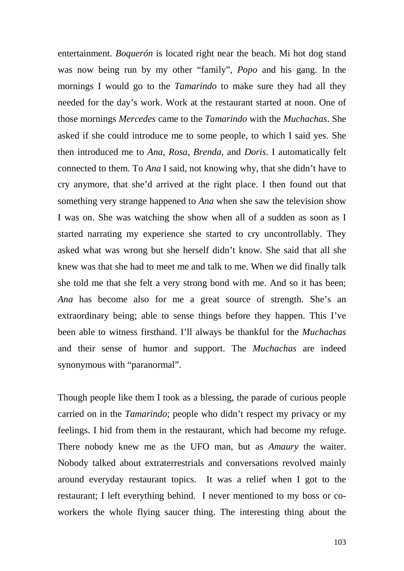entertainment. *Boquerón* is located right near the beach. Mi hot dog stand was now being run by my other "family", *Popo* and his gang. In the mornings I would go to the *Tamarindo* to make sure they had all they needed for the day's work. Work at the restaurant started at noon. One of those mornings *Mercedes* came to the *Tamarindo* with the *Muchachas*. She asked if she could introduce me to some people, to which I said yes. She then introduced me to *Ana*, *Rosa*, *Brenda*, and *Doris*. I automatically felt connected to them. To *Ana* I said, not knowing why, that she didn't have to cry anymore, that she'd arrived at the right place. I then found out that something very strange happened to *Ana* when she saw the television show I was on. She was watching the show when all of a sudden as soon as I started narrating my experience she started to cry uncontrollably. They asked what was wrong but she herself didn't know. She said that all she knew was that she had to meet me and talk to me. When we did finally talk she told me that she felt a very strong bond with me. And so it has been; *Ana* has become also for me a great source of strength. She's an extraordinary being; able to sense things before they happen. This I've been able to witness firsthand. I'll always be thankful for the *Muchachas* and their sense of humor and support. The *Muchachas* are indeed synonymous with "paranormal".

Though people like them I took as a blessing, the parade of curious people carried on in the *Tamarindo*; people who didn't respect my privacy or my feelings. I hid from them in the restaurant, which had become my refuge. There nobody knew me as the UFO man, but as *Amaury* the waiter. Nobody talked about extraterrestrials and conversations revolved mainly around everyday restaurant topics. It was a relief when I got to the restaurant; I left everything behind. I never mentioned to my boss or coworkers the whole flying saucer thing. The interesting thing about the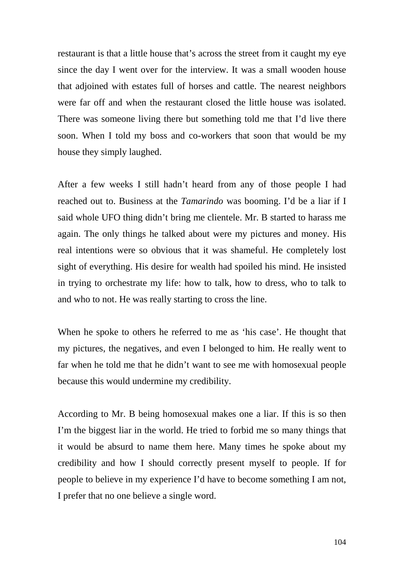restaurant is that a little house that's across the street from it caught my eye since the day I went over for the interview. It was a small wooden house that adjoined with estates full of horses and cattle. The nearest neighbors were far off and when the restaurant closed the little house was isolated. There was someone living there but something told me that I'd live there soon. When I told my boss and co-workers that soon that would be my house they simply laughed.

After a few weeks I still hadn't heard from any of those people I had reached out to. Business at the *Tamarindo* was booming. I'd be a liar if I said whole UFO thing didn't bring me clientele. Mr. B started to harass me again. The only things he talked about were my pictures and money. His real intentions were so obvious that it was shameful. He completely lost sight of everything. His desire for wealth had spoiled his mind. He insisted in trying to orchestrate my life: how to talk, how to dress, who to talk to and who to not. He was really starting to cross the line.

When he spoke to others he referred to me as 'his case'. He thought that my pictures, the negatives, and even I belonged to him. He really went to far when he told me that he didn't want to see me with homosexual people because this would undermine my credibility.

According to Mr. B being homosexual makes one a liar. If this is so then I'm the biggest liar in the world. He tried to forbid me so many things that it would be absurd to name them here. Many times he spoke about my credibility and how I should correctly present myself to people. If for people to believe in my experience I'd have to become something I am not, I prefer that no one believe a single word.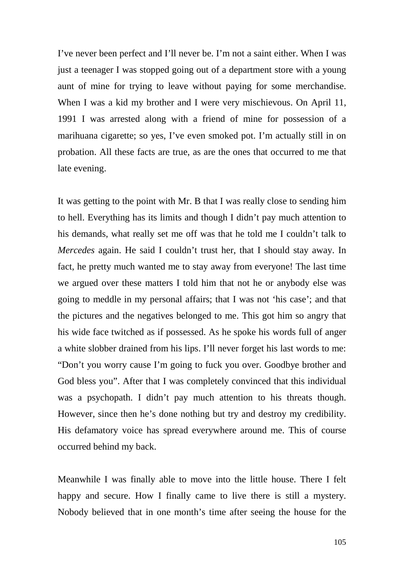I've never been perfect and I'll never be. I'm not a saint either. When I was just a teenager I was stopped going out of a department store with a young aunt of mine for trying to leave without paying for some merchandise. When I was a kid my brother and I were very mischievous. On April 11, 1991 I was arrested along with a friend of mine for possession of a marihuana cigarette; so yes, I've even smoked pot. I'm actually still in on probation. All these facts are true, as are the ones that occurred to me that late evening.

It was getting to the point with Mr. B that I was really close to sending him to hell. Everything has its limits and though I didn't pay much attention to his demands, what really set me off was that he told me I couldn't talk to *Mercedes* again. He said I couldn't trust her, that I should stay away. In fact, he pretty much wanted me to stay away from everyone! The last time we argued over these matters I told him that not he or anybody else was going to meddle in my personal affairs; that I was not 'his case'; and that the pictures and the negatives belonged to me. This got him so angry that his wide face twitched as if possessed. As he spoke his words full of anger a white slobber drained from his lips. I'll never forget his last words to me: "Don't you worry cause I'm going to fuck you over. Goodbye brother and God bless you". After that I was completely convinced that this individual was a psychopath. I didn't pay much attention to his threats though. However, since then he's done nothing but try and destroy my credibility. His defamatory voice has spread everywhere around me. This of course occurred behind my back.

Meanwhile I was finally able to move into the little house. There I felt happy and secure. How I finally came to live there is still a mystery. Nobody believed that in one month's time after seeing the house for the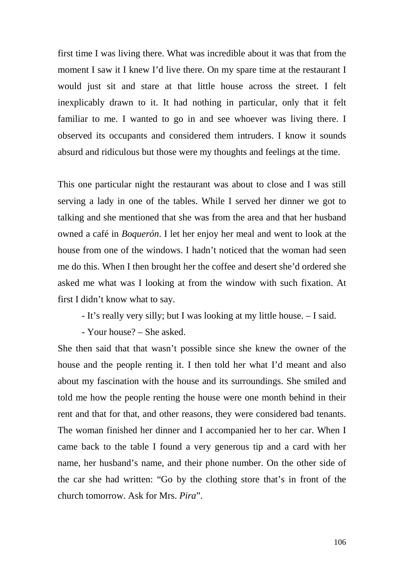first time I was living there. What was incredible about it was that from the moment I saw it I knew I'd live there. On my spare time at the restaurant I would just sit and stare at that little house across the street. I felt inexplicably drawn to it. It had nothing in particular, only that it felt familiar to me. I wanted to go in and see whoever was living there. I observed its occupants and considered them intruders. I know it sounds absurd and ridiculous but those were my thoughts and feelings at the time.

This one particular night the restaurant was about to close and I was still serving a lady in one of the tables. While I served her dinner we got to talking and she mentioned that she was from the area and that her husband owned a café in *Boquerón*. I let her enjoy her meal and went to look at the house from one of the windows. I hadn't noticed that the woman had seen me do this. When I then brought her the coffee and desert she'd ordered she asked me what was I looking at from the window with such fixation. At first I didn't know what to say.

- It's really very silly; but I was looking at my little house. – I said.

- Your house? – She asked.

She then said that that wasn't possible since she knew the owner of the house and the people renting it. I then told her what I'd meant and also about my fascination with the house and its surroundings. She smiled and told me how the people renting the house were one month behind in their rent and that for that, and other reasons, they were considered bad tenants. The woman finished her dinner and I accompanied her to her car. When I came back to the table I found a very generous tip and a card with her name, her husband's name, and their phone number. On the other side of the car she had written: "Go by the clothing store that's in front of the church tomorrow. Ask for Mrs. *Pira*".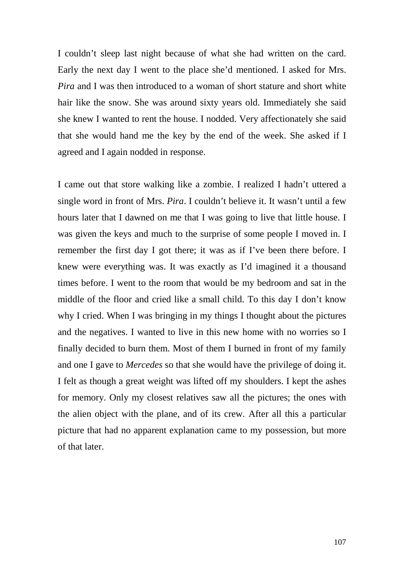I couldn't sleep last night because of what she had written on the card. Early the next day I went to the place she'd mentioned. I asked for Mrs. *Pira* and I was then introduced to a woman of short stature and short white hair like the snow. She was around sixty years old. Immediately she said she knew I wanted to rent the house. I nodded. Very affectionately she said that she would hand me the key by the end of the week. She asked if I agreed and I again nodded in response.

I came out that store walking like a zombie. I realized I hadn't uttered a single word in front of Mrs. *Pira*. I couldn't believe it. It wasn't until a few hours later that I dawned on me that I was going to live that little house. I was given the keys and much to the surprise of some people I moved in. I remember the first day I got there; it was as if I've been there before. I knew were everything was. It was exactly as I'd imagined it a thousand times before. I went to the room that would be my bedroom and sat in the middle of the floor and cried like a small child. To this day I don't know why I cried. When I was bringing in my things I thought about the pictures and the negatives. I wanted to live in this new home with no worries so I finally decided to burn them. Most of them I burned in front of my family and one I gave to *Mercedes* so that she would have the privilege of doing it. I felt as though a great weight was lifted off my shoulders. I kept the ashes for memory. Only my closest relatives saw all the pictures; the ones with the alien object with the plane, and of its crew. After all this a particular picture that had no apparent explanation came to my possession, but more of that later.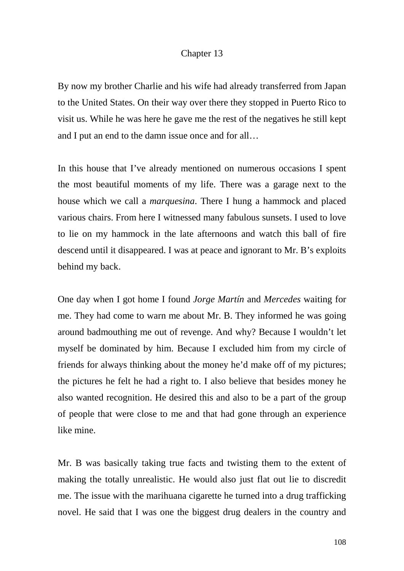# Chapter 13

By now my brother Charlie and his wife had already transferred from Japan to the United States. On their way over there they stopped in Puerto Rico to visit us. While he was here he gave me the rest of the negatives he still kept and I put an end to the damn issue once and for all…

In this house that I've already mentioned on numerous occasions I spent the most beautiful moments of my life. There was a garage next to the house which we call a *marquesina*. There I hung a hammock and placed various chairs. From here I witnessed many fabulous sunsets. I used to love to lie on my hammock in the late afternoons and watch this ball of fire descend until it disappeared. I was at peace and ignorant to Mr. B's exploits behind my back.

One day when I got home I found *Jorge Martín* and *Mercedes* waiting for me. They had come to warn me about Mr. B. They informed he was going around badmouthing me out of revenge. And why? Because I wouldn't let myself be dominated by him. Because I excluded him from my circle of friends for always thinking about the money he'd make off of my pictures; the pictures he felt he had a right to. I also believe that besides money he also wanted recognition. He desired this and also to be a part of the group of people that were close to me and that had gone through an experience like mine.

Mr. B was basically taking true facts and twisting them to the extent of making the totally unrealistic. He would also just flat out lie to discredit me. The issue with the marihuana cigarette he turned into a drug trafficking novel. He said that I was one the biggest drug dealers in the country and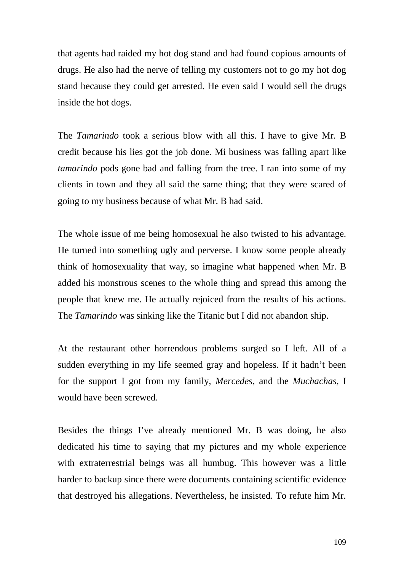that agents had raided my hot dog stand and had found copious amounts of drugs. He also had the nerve of telling my customers not to go my hot dog stand because they could get arrested. He even said I would sell the drugs inside the hot dogs.

The *Tamarindo* took a serious blow with all this. I have to give Mr. B credit because his lies got the job done. Mi business was falling apart like *tamarindo* pods gone bad and falling from the tree. I ran into some of my clients in town and they all said the same thing; that they were scared of going to my business because of what Mr. B had said.

The whole issue of me being homosexual he also twisted to his advantage. He turned into something ugly and perverse. I know some people already think of homosexuality that way, so imagine what happened when Mr. B added his monstrous scenes to the whole thing and spread this among the people that knew me. He actually rejoiced from the results of his actions. The *Tamarindo* was sinking like the Titanic but I did not abandon ship.

At the restaurant other horrendous problems surged so I left. All of a sudden everything in my life seemed gray and hopeless. If it hadn't been for the support I got from my family, *Mercedes*, and the *Muchachas*, I would have been screwed.

Besides the things I've already mentioned Mr. B was doing, he also dedicated his time to saying that my pictures and my whole experience with extraterrestrial beings was all humbug. This however was a little harder to backup since there were documents containing scientific evidence that destroyed his allegations. Nevertheless, he insisted. To refute him Mr.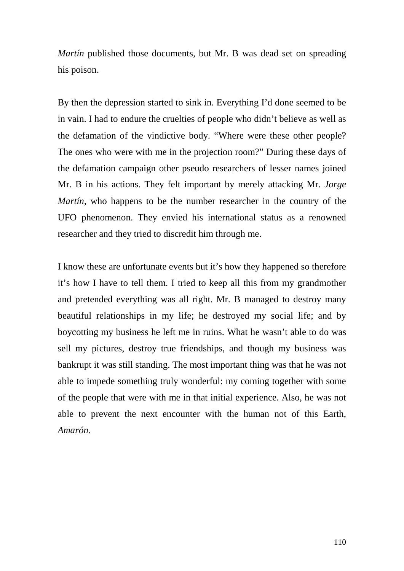*Martín* published those documents, but Mr. B was dead set on spreading his poison.

By then the depression started to sink in. Everything I'd done seemed to be in vain. I had to endure the cruelties of people who didn't believe as well as the defamation of the vindictive body. "Where were these other people? The ones who were with me in the projection room?" During these days of the defamation campaign other pseudo researchers of lesser names joined Mr. B in his actions. They felt important by merely attacking Mr. *Jorge Martín*, who happens to be the number researcher in the country of the UFO phenomenon. They envied his international status as a renowned researcher and they tried to discredit him through me.

I know these are unfortunate events but it's how they happened so therefore it's how I have to tell them. I tried to keep all this from my grandmother and pretended everything was all right. Mr. B managed to destroy many beautiful relationships in my life; he destroyed my social life; and by boycotting my business he left me in ruins. What he wasn't able to do was sell my pictures, destroy true friendships, and though my business was bankrupt it was still standing. The most important thing was that he was not able to impede something truly wonderful: my coming together with some of the people that were with me in that initial experience. Also, he was not able to prevent the next encounter with the human not of this Earth, *Amarón*.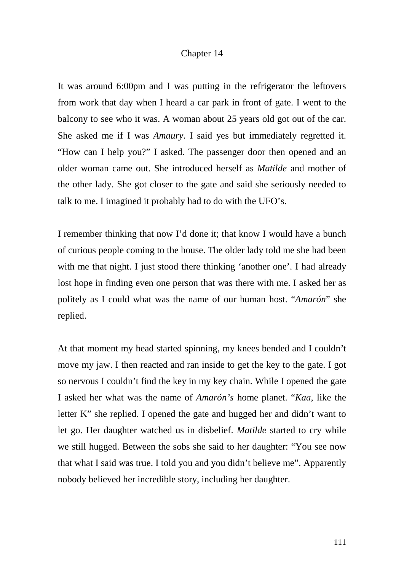## Chapter 14

It was around 6:00pm and I was putting in the refrigerator the leftovers from work that day when I heard a car park in front of gate. I went to the balcony to see who it was. A woman about 25 years old got out of the car. She asked me if I was *Amaury*. I said yes but immediately regretted it. "How can I help you?" I asked. The passenger door then opened and an older woman came out. She introduced herself as *Matilde* and mother of the other lady. She got closer to the gate and said she seriously needed to talk to me. I imagined it probably had to do with the UFO's.

I remember thinking that now I'd done it; that know I would have a bunch of curious people coming to the house. The older lady told me she had been with me that night. I just stood there thinking 'another one'. I had already lost hope in finding even one person that was there with me. I asked her as politely as I could what was the name of our human host. "*Amarón*" she replied.

At that moment my head started spinning, my knees bended and I couldn't move my jaw. I then reacted and ran inside to get the key to the gate. I got so nervous I couldn't find the key in my key chain. While I opened the gate I asked her what was the name of *Amarón's* home planet. "*Kaa*, like the letter K" she replied. I opened the gate and hugged her and didn't want to let go. Her daughter watched us in disbelief. *Matilde* started to cry while we still hugged. Between the sobs she said to her daughter: "You see now that what I said was true. I told you and you didn't believe me". Apparently nobody believed her incredible story, including her daughter.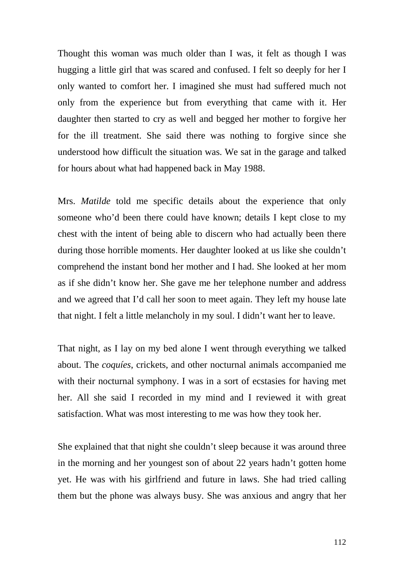Thought this woman was much older than I was, it felt as though I was hugging a little girl that was scared and confused. I felt so deeply for her I only wanted to comfort her. I imagined she must had suffered much not only from the experience but from everything that came with it. Her daughter then started to cry as well and begged her mother to forgive her for the ill treatment. She said there was nothing to forgive since she understood how difficult the situation was. We sat in the garage and talked for hours about what had happened back in May 1988.

Mrs. *Matilde* told me specific details about the experience that only someone who'd been there could have known; details I kept close to my chest with the intent of being able to discern who had actually been there during those horrible moments. Her daughter looked at us like she couldn't comprehend the instant bond her mother and I had. She looked at her mom as if she didn't know her. She gave me her telephone number and address and we agreed that I'd call her soon to meet again. They left my house late that night. I felt a little melancholy in my soul. I didn't want her to leave.

That night, as I lay on my bed alone I went through everything we talked about. The *coquíes*, crickets, and other nocturnal animals accompanied me with their nocturnal symphony. I was in a sort of ecstasies for having met her. All she said I recorded in my mind and I reviewed it with great satisfaction. What was most interesting to me was how they took her.

She explained that that night she couldn't sleep because it was around three in the morning and her youngest son of about 22 years hadn't gotten home yet. He was with his girlfriend and future in laws. She had tried calling them but the phone was always busy. She was anxious and angry that her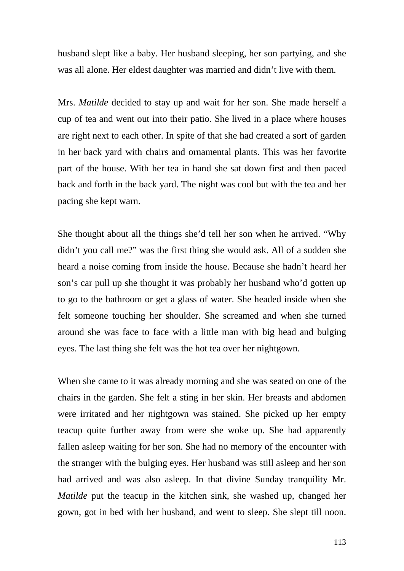husband slept like a baby. Her husband sleeping, her son partying, and she was all alone. Her eldest daughter was married and didn't live with them.

Mrs. *Matilde* decided to stay up and wait for her son. She made herself a cup of tea and went out into their patio. She lived in a place where houses are right next to each other. In spite of that she had created a sort of garden in her back yard with chairs and ornamental plants. This was her favorite part of the house. With her tea in hand she sat down first and then paced back and forth in the back yard. The night was cool but with the tea and her pacing she kept warn.

She thought about all the things she'd tell her son when he arrived. "Why didn't you call me?" was the first thing she would ask. All of a sudden she heard a noise coming from inside the house. Because she hadn't heard her son's car pull up she thought it was probably her husband who'd gotten up to go to the bathroom or get a glass of water. She headed inside when she felt someone touching her shoulder. She screamed and when she turned around she was face to face with a little man with big head and bulging eyes. The last thing she felt was the hot tea over her nightgown.

When she came to it was already morning and she was seated on one of the chairs in the garden. She felt a sting in her skin. Her breasts and abdomen were irritated and her nightgown was stained. She picked up her empty teacup quite further away from were she woke up. She had apparently fallen asleep waiting for her son. She had no memory of the encounter with the stranger with the bulging eyes. Her husband was still asleep and her son had arrived and was also asleep. In that divine Sunday tranquility Mr. *Matilde* put the teacup in the kitchen sink, she washed up, changed her gown, got in bed with her husband, and went to sleep. She slept till noon.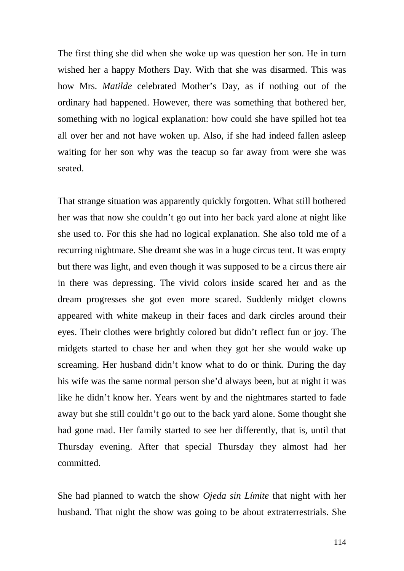The first thing she did when she woke up was question her son. He in turn wished her a happy Mothers Day. With that she was disarmed. This was how Mrs. *Matilde* celebrated Mother's Day, as if nothing out of the ordinary had happened. However, there was something that bothered her, something with no logical explanation: how could she have spilled hot tea all over her and not have woken up. Also, if she had indeed fallen asleep waiting for her son why was the teacup so far away from were she was seated.

That strange situation was apparently quickly forgotten. What still bothered her was that now she couldn't go out into her back yard alone at night like she used to. For this she had no logical explanation. She also told me of a recurring nightmare. She dreamt she was in a huge circus tent. It was empty but there was light, and even though it was supposed to be a circus there air in there was depressing. The vivid colors inside scared her and as the dream progresses she got even more scared. Suddenly midget clowns appeared with white makeup in their faces and dark circles around their eyes. Their clothes were brightly colored but didn't reflect fun or joy. The midgets started to chase her and when they got her she would wake up screaming. Her husband didn't know what to do or think. During the day his wife was the same normal person she'd always been, but at night it was like he didn't know her. Years went by and the nightmares started to fade away but she still couldn't go out to the back yard alone. Some thought she had gone mad. Her family started to see her differently, that is, until that Thursday evening. After that special Thursday they almost had her committed.

She had planned to watch the show *Ojeda sin Límite* that night with her husband. That night the show was going to be about extraterrestrials. She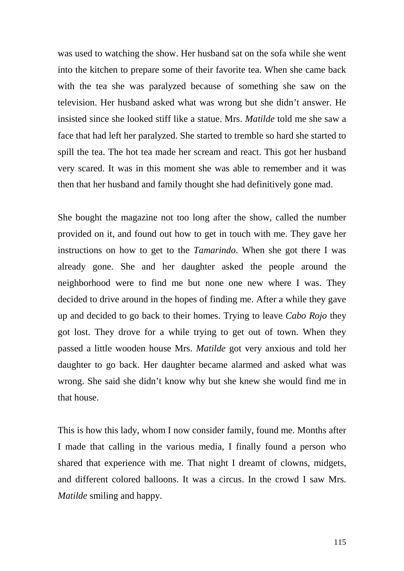was used to watching the show. Her husband sat on the sofa while she went into the kitchen to prepare some of their favorite tea. When she came back with the tea she was paralyzed because of something she saw on the television. Her husband asked what was wrong but she didn't answer. He insisted since she looked stiff like a statue. Mrs. *Matilde* told me she saw a face that had left her paralyzed. She started to tremble so hard she started to spill the tea. The hot tea made her scream and react. This got her husband very scared. It was in this moment she was able to remember and it was then that her husband and family thought she had definitively gone mad.

She bought the magazine not too long after the show, called the number provided on it, and found out how to get in touch with me. They gave her instructions on how to get to the *Tamarindo*. When she got there I was already gone. She and her daughter asked the people around the neighborhood were to find me but none one new where I was. They decided to drive around in the hopes of finding me. After a while they gave up and decided to go back to their homes. Trying to leave *Cabo Rojo* they got lost. They drove for a while trying to get out of town. When they passed a little wooden house Mrs. *Matilde* got very anxious and told her daughter to go back. Her daughter became alarmed and asked what was wrong. She said she didn't know why but she knew she would find me in that house.

This is how this lady, whom I now consider family, found me. Months after I made that calling in the various media, I finally found a person who shared that experience with me. That night I dreamt of clowns, midgets, and different colored balloons. It was a circus. In the crowd I saw Mrs. *Matilde* smiling and happy.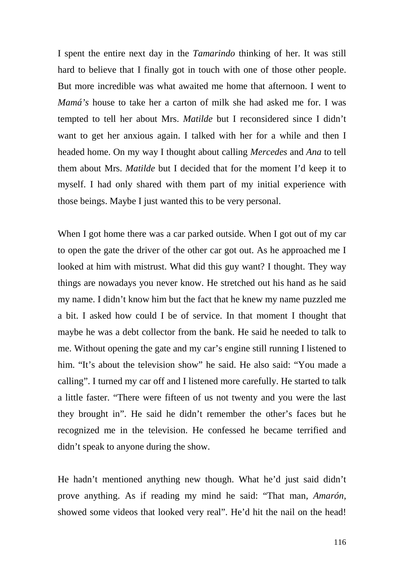I spent the entire next day in the *Tamarindo* thinking of her. It was still hard to believe that I finally got in touch with one of those other people. But more incredible was what awaited me home that afternoon. I went to *Mamá's* house to take her a carton of milk she had asked me for. I was tempted to tell her about Mrs. *Matilde* but I reconsidered since I didn't want to get her anxious again. I talked with her for a while and then I headed home. On my way I thought about calling *Mercedes* and *Ana* to tell them about Mrs. *Matilde* but I decided that for the moment I'd keep it to myself. I had only shared with them part of my initial experience with those beings. Maybe I just wanted this to be very personal.

When I got home there was a car parked outside. When I got out of my car to open the gate the driver of the other car got out. As he approached me I looked at him with mistrust. What did this guy want? I thought. They way things are nowadays you never know. He stretched out his hand as he said my name. I didn't know him but the fact that he knew my name puzzled me a bit. I asked how could I be of service. In that moment I thought that maybe he was a debt collector from the bank. He said he needed to talk to me. Without opening the gate and my car's engine still running I listened to him. "It's about the television show" he said. He also said: "You made a calling". I turned my car off and I listened more carefully. He started to talk a little faster. "There were fifteen of us not twenty and you were the last they brought in". He said he didn't remember the other's faces but he recognized me in the television. He confessed he became terrified and didn't speak to anyone during the show.

He hadn't mentioned anything new though. What he'd just said didn't prove anything. As if reading my mind he said: "That man, *Amarón*, showed some videos that looked very real". He'd hit the nail on the head!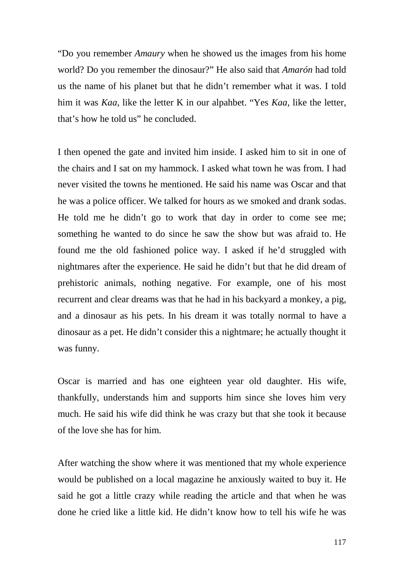"Do you remember *Amaury* when he showed us the images from his home world? Do you remember the dinosaur?" He also said that *Amarón* had told us the name of his planet but that he didn't remember what it was. I told him it was *Kaa*, like the letter K in our alpahbet. "Yes *Kaa*, like the letter, that's how he told us" he concluded.

I then opened the gate and invited him inside. I asked him to sit in one of the chairs and I sat on my hammock. I asked what town he was from. I had never visited the towns he mentioned. He said his name was Oscar and that he was a police officer. We talked for hours as we smoked and drank sodas. He told me he didn't go to work that day in order to come see me; something he wanted to do since he saw the show but was afraid to. He found me the old fashioned police way. I asked if he'd struggled with nightmares after the experience. He said he didn't but that he did dream of prehistoric animals, nothing negative. For example, one of his most recurrent and clear dreams was that he had in his backyard a monkey, a pig, and a dinosaur as his pets. In his dream it was totally normal to have a dinosaur as a pet. He didn't consider this a nightmare; he actually thought it was funny.

Oscar is married and has one eighteen year old daughter. His wife, thankfully, understands him and supports him since she loves him very much. He said his wife did think he was crazy but that she took it because of the love she has for him.

After watching the show where it was mentioned that my whole experience would be published on a local magazine he anxiously waited to buy it. He said he got a little crazy while reading the article and that when he was done he cried like a little kid. He didn't know how to tell his wife he was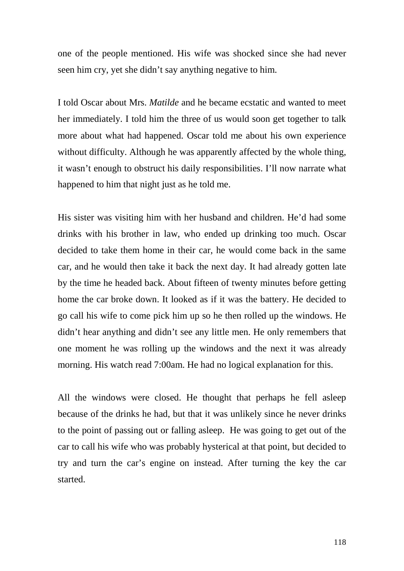one of the people mentioned. His wife was shocked since she had never seen him cry, yet she didn't say anything negative to him.

I told Oscar about Mrs. *Matilde* and he became ecstatic and wanted to meet her immediately. I told him the three of us would soon get together to talk more about what had happened. Oscar told me about his own experience without difficulty. Although he was apparently affected by the whole thing, it wasn't enough to obstruct his daily responsibilities. I'll now narrate what happened to him that night just as he told me.

His sister was visiting him with her husband and children. He'd had some drinks with his brother in law, who ended up drinking too much. Oscar decided to take them home in their car, he would come back in the same car, and he would then take it back the next day. It had already gotten late by the time he headed back. About fifteen of twenty minutes before getting home the car broke down. It looked as if it was the battery. He decided to go call his wife to come pick him up so he then rolled up the windows. He didn't hear anything and didn't see any little men. He only remembers that one moment he was rolling up the windows and the next it was already morning. His watch read 7:00am. He had no logical explanation for this.

All the windows were closed. He thought that perhaps he fell asleep because of the drinks he had, but that it was unlikely since he never drinks to the point of passing out or falling asleep. He was going to get out of the car to call his wife who was probably hysterical at that point, but decided to try and turn the car's engine on instead. After turning the key the car started.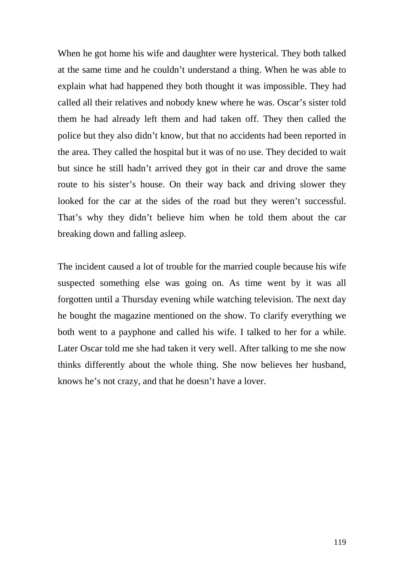When he got home his wife and daughter were hysterical. They both talked at the same time and he couldn't understand a thing. When he was able to explain what had happened they both thought it was impossible. They had called all their relatives and nobody knew where he was. Oscar's sister told them he had already left them and had taken off. They then called the police but they also didn't know, but that no accidents had been reported in the area. They called the hospital but it was of no use. They decided to wait but since he still hadn't arrived they got in their car and drove the same route to his sister's house. On their way back and driving slower they looked for the car at the sides of the road but they weren't successful. That's why they didn't believe him when he told them about the car breaking down and falling asleep.

The incident caused a lot of trouble for the married couple because his wife suspected something else was going on. As time went by it was all forgotten until a Thursday evening while watching television. The next day he bought the magazine mentioned on the show. To clarify everything we both went to a payphone and called his wife. I talked to her for a while. Later Oscar told me she had taken it very well. After talking to me she now thinks differently about the whole thing. She now believes her husband, knows he's not crazy, and that he doesn't have a lover.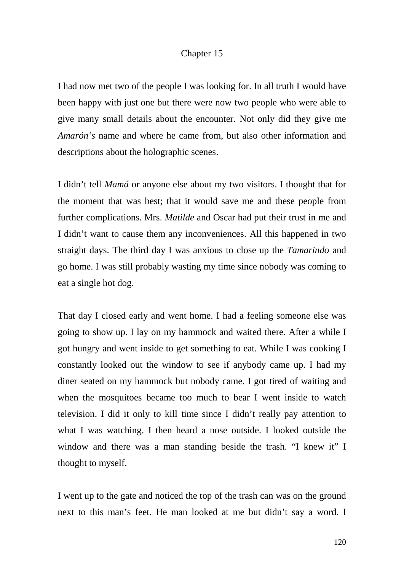## Chapter 15

I had now met two of the people I was looking for. In all truth I would have been happy with just one but there were now two people who were able to give many small details about the encounter. Not only did they give me *Amarón's* name and where he came from, but also other information and descriptions about the holographic scenes.

I didn't tell *Mamá* or anyone else about my two visitors. I thought that for the moment that was best; that it would save me and these people from further complications. Mrs. *Matilde* and Oscar had put their trust in me and I didn't want to cause them any inconveniences. All this happened in two straight days. The third day I was anxious to close up the *Tamarindo* and go home. I was still probably wasting my time since nobody was coming to eat a single hot dog.

That day I closed early and went home. I had a feeling someone else was going to show up. I lay on my hammock and waited there. After a while I got hungry and went inside to get something to eat. While I was cooking I constantly looked out the window to see if anybody came up. I had my diner seated on my hammock but nobody came. I got tired of waiting and when the mosquitoes became too much to bear I went inside to watch television. I did it only to kill time since I didn't really pay attention to what I was watching. I then heard a nose outside. I looked outside the window and there was a man standing beside the trash. "I knew it" I thought to myself.

I went up to the gate and noticed the top of the trash can was on the ground next to this man's feet. He man looked at me but didn't say a word. I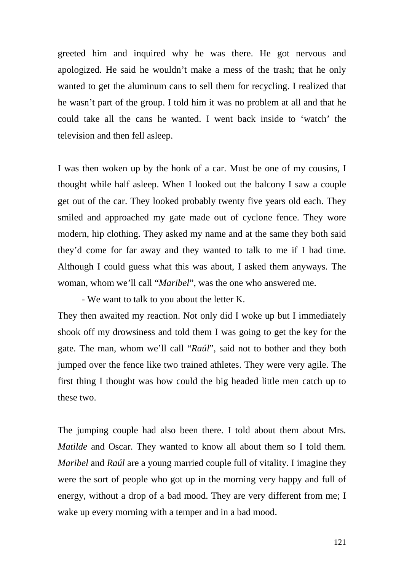greeted him and inquired why he was there. He got nervous and apologized. He said he wouldn't make a mess of the trash; that he only wanted to get the aluminum cans to sell them for recycling. I realized that he wasn't part of the group. I told him it was no problem at all and that he could take all the cans he wanted. I went back inside to 'watch' the television and then fell asleep.

I was then woken up by the honk of a car. Must be one of my cousins, I thought while half asleep. When I looked out the balcony I saw a couple get out of the car. They looked probably twenty five years old each. They smiled and approached my gate made out of cyclone fence. They wore modern, hip clothing. They asked my name and at the same they both said they'd come for far away and they wanted to talk to me if I had time. Although I could guess what this was about, I asked them anyways. The woman, whom we'll call "*Maribel*", was the one who answered me.

- We want to talk to you about the letter K.

They then awaited my reaction. Not only did I woke up but I immediately shook off my drowsiness and told them I was going to get the key for the gate. The man, whom we'll call "*Raúl*", said not to bother and they both jumped over the fence like two trained athletes. They were very agile. The first thing I thought was how could the big headed little men catch up to these two.

The jumping couple had also been there. I told about them about Mrs*. Matilde* and Oscar. They wanted to know all about them so I told them. *Maribel* and *Raúl* are a young married couple full of vitality. I imagine they were the sort of people who got up in the morning very happy and full of energy, without a drop of a bad mood. They are very different from me; I wake up every morning with a temper and in a bad mood.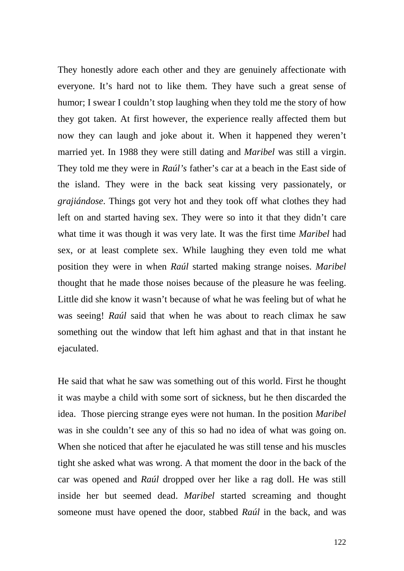They honestly adore each other and they are genuinely affectionate with everyone. It's hard not to like them. They have such a great sense of humor; I swear I couldn't stop laughing when they told me the story of how they got taken. At first however, the experience really affected them but now they can laugh and joke about it. When it happened they weren't married yet. In 1988 they were still dating and *Maribel* was still a virgin. They told me they were in *Raúl's* father's car at a beach in the East side of the island. They were in the back seat kissing very passionately, or *grajiándose*. Things got very hot and they took off what clothes they had left on and started having sex. They were so into it that they didn't care what time it was though it was very late. It was the first time *Maribel* had sex, or at least complete sex. While laughing they even told me what position they were in when *Raúl* started making strange noises. *Maribel* thought that he made those noises because of the pleasure he was feeling. Little did she know it wasn't because of what he was feeling but of what he was seeing! *Raúl* said that when he was about to reach climax he saw something out the window that left him aghast and that in that instant he ejaculated.

He said that what he saw was something out of this world. First he thought it was maybe a child with some sort of sickness, but he then discarded the idea. Those piercing strange eyes were not human. In the position *Maribel* was in she couldn't see any of this so had no idea of what was going on. When she noticed that after he ejaculated he was still tense and his muscles tight she asked what was wrong. A that moment the door in the back of the car was opened and *Raúl* dropped over her like a rag doll. He was still inside her but seemed dead. *Maribel* started screaming and thought someone must have opened the door, stabbed *Raúl* in the back, and was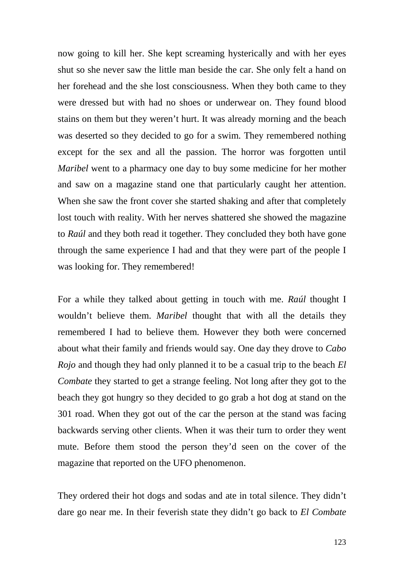now going to kill her. She kept screaming hysterically and with her eyes shut so she never saw the little man beside the car. She only felt a hand on her forehead and the she lost consciousness. When they both came to they were dressed but with had no shoes or underwear on. They found blood stains on them but they weren't hurt. It was already morning and the beach was deserted so they decided to go for a swim. They remembered nothing except for the sex and all the passion. The horror was forgotten until *Maribel* went to a pharmacy one day to buy some medicine for her mother and saw on a magazine stand one that particularly caught her attention. When she saw the front cover she started shaking and after that completely lost touch with reality. With her nerves shattered she showed the magazine to *Raúl* and they both read it together. They concluded they both have gone through the same experience I had and that they were part of the people I was looking for. They remembered!

For a while they talked about getting in touch with me. *Raúl* thought I wouldn't believe them. *Maribel* thought that with all the details they remembered I had to believe them. However they both were concerned about what their family and friends would say. One day they drove to *Cabo Rojo* and though they had only planned it to be a casual trip to the beach *El Combate* they started to get a strange feeling. Not long after they got to the beach they got hungry so they decided to go grab a hot dog at stand on the 301 road. When they got out of the car the person at the stand was facing backwards serving other clients. When it was their turn to order they went mute. Before them stood the person they'd seen on the cover of the magazine that reported on the UFO phenomenon.

They ordered their hot dogs and sodas and ate in total silence. They didn't dare go near me. In their feverish state they didn't go back to *El Combate*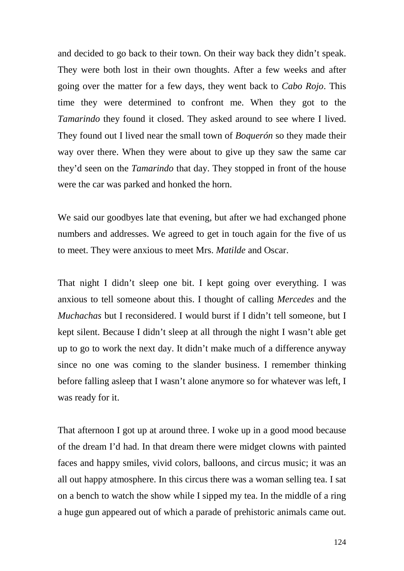and decided to go back to their town. On their way back they didn't speak. They were both lost in their own thoughts. After a few weeks and after going over the matter for a few days, they went back to *Cabo Rojo*. This time they were determined to confront me. When they got to the *Tamarindo* they found it closed. They asked around to see where I lived. They found out I lived near the small town of *Boquerón* so they made their way over there. When they were about to give up they saw the same car they'd seen on the *Tamarindo* that day. They stopped in front of the house were the car was parked and honked the horn.

We said our goodbyes late that evening, but after we had exchanged phone numbers and addresses. We agreed to get in touch again for the five of us to meet. They were anxious to meet Mrs. *Matilde* and Oscar.

That night I didn't sleep one bit. I kept going over everything. I was anxious to tell someone about this. I thought of calling *Mercedes* and the *Muchachas* but I reconsidered. I would burst if I didn't tell someone, but I kept silent. Because I didn't sleep at all through the night I wasn't able get up to go to work the next day. It didn't make much of a difference anyway since no one was coming to the slander business. I remember thinking before falling asleep that I wasn't alone anymore so for whatever was left, I was ready for it.

That afternoon I got up at around three. I woke up in a good mood because of the dream I'd had. In that dream there were midget clowns with painted faces and happy smiles, vivid colors, balloons, and circus music; it was an all out happy atmosphere. In this circus there was a woman selling tea. I sat on a bench to watch the show while I sipped my tea. In the middle of a ring a huge gun appeared out of which a parade of prehistoric animals came out.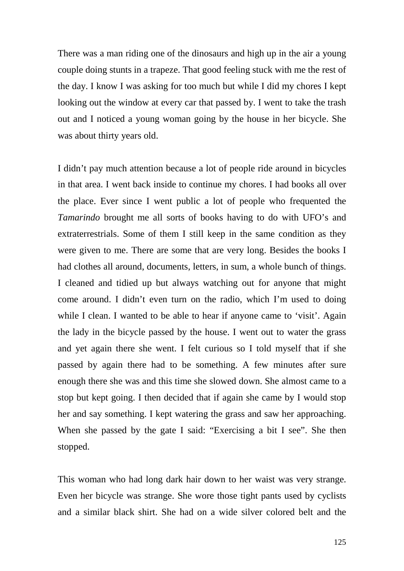There was a man riding one of the dinosaurs and high up in the air a young couple doing stunts in a trapeze. That good feeling stuck with me the rest of the day. I know I was asking for too much but while I did my chores I kept looking out the window at every car that passed by. I went to take the trash out and I noticed a young woman going by the house in her bicycle. She was about thirty years old.

I didn't pay much attention because a lot of people ride around in bicycles in that area. I went back inside to continue my chores. I had books all over the place. Ever since I went public a lot of people who frequented the *Tamarindo* brought me all sorts of books having to do with UFO's and extraterrestrials. Some of them I still keep in the same condition as they were given to me. There are some that are very long. Besides the books I had clothes all around, documents, letters, in sum, a whole bunch of things. I cleaned and tidied up but always watching out for anyone that might come around. I didn't even turn on the radio, which I'm used to doing while I clean. I wanted to be able to hear if anyone came to 'visit'. Again the lady in the bicycle passed by the house. I went out to water the grass and yet again there she went. I felt curious so I told myself that if she passed by again there had to be something. A few minutes after sure enough there she was and this time she slowed down. She almost came to a stop but kept going. I then decided that if again she came by I would stop her and say something. I kept watering the grass and saw her approaching. When she passed by the gate I said: "Exercising a bit I see". She then stopped.

This woman who had long dark hair down to her waist was very strange. Even her bicycle was strange. She wore those tight pants used by cyclists and a similar black shirt. She had on a wide silver colored belt and the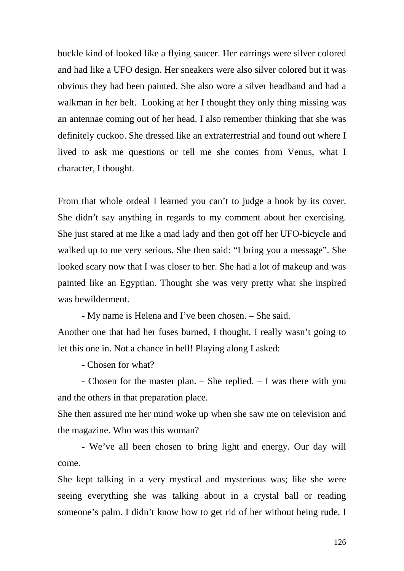buckle kind of looked like a flying saucer. Her earrings were silver colored and had like a UFO design. Her sneakers were also silver colored but it was obvious they had been painted. She also wore a silver headband and had a walkman in her belt. Looking at her I thought they only thing missing was an antennae coming out of her head. I also remember thinking that she was definitely cuckoo. She dressed like an extraterrestrial and found out where I lived to ask me questions or tell me she comes from Venus, what I character, I thought.

From that whole ordeal I learned you can't to judge a book by its cover. She didn't say anything in regards to my comment about her exercising. She just stared at me like a mad lady and then got off her UFO-bicycle and walked up to me very serious. She then said: "I bring you a message". She looked scary now that I was closer to her. She had a lot of makeup and was painted like an Egyptian. Thought she was very pretty what she inspired was bewilderment.

- My name is Helena and I've been chosen. – She said.

Another one that had her fuses burned, I thought. I really wasn't going to let this one in. Not a chance in hell! Playing along I asked:

- Chosen for what?

- Chosen for the master plan. – She replied. – I was there with you and the others in that preparation place.

She then assured me her mind woke up when she saw me on television and the magazine. Who was this woman?

- We've all been chosen to bring light and energy. Our day will come.

She kept talking in a very mystical and mysterious was; like she were seeing everything she was talking about in a crystal ball or reading someone's palm. I didn't know how to get rid of her without being rude. I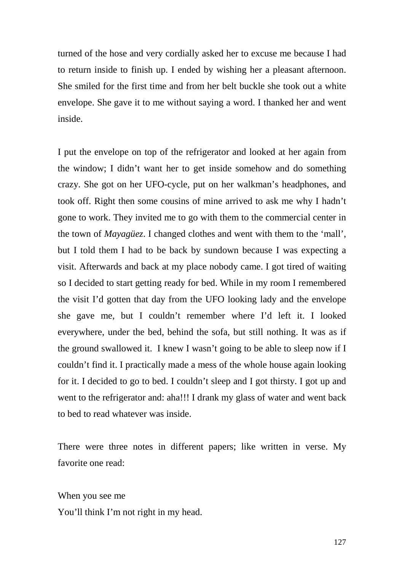turned of the hose and very cordially asked her to excuse me because I had to return inside to finish up. I ended by wishing her a pleasant afternoon. She smiled for the first time and from her belt buckle she took out a white envelope. She gave it to me without saying a word. I thanked her and went inside.

I put the envelope on top of the refrigerator and looked at her again from the window; I didn't want her to get inside somehow and do something crazy. She got on her UFO-cycle, put on her walkman's headphones, and took off. Right then some cousins of mine arrived to ask me why I hadn't gone to work. They invited me to go with them to the commercial center in the town of *Mayagüez*. I changed clothes and went with them to the 'mall', but I told them I had to be back by sundown because I was expecting a visit. Afterwards and back at my place nobody came. I got tired of waiting so I decided to start getting ready for bed. While in my room I remembered the visit I'd gotten that day from the UFO looking lady and the envelope she gave me, but I couldn't remember where I'd left it. I looked everywhere, under the bed, behind the sofa, but still nothing. It was as if the ground swallowed it. I knew I wasn't going to be able to sleep now if I couldn't find it. I practically made a mess of the whole house again looking for it. I decided to go to bed. I couldn't sleep and I got thirsty. I got up and went to the refrigerator and: aha!!! I drank my glass of water and went back to bed to read whatever was inside.

There were three notes in different papers; like written in verse. My favorite one read:

When you see me You'll think I'm not right in my head.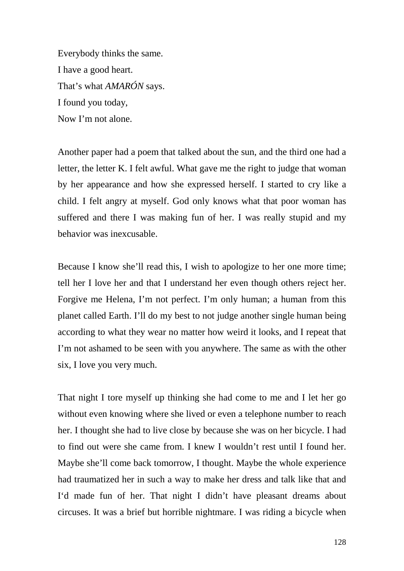Everybody thinks the same. I have a good heart. That's what *AMARÓN* says. I found you today, Now I'm not alone.

Another paper had a poem that talked about the sun, and the third one had a letter, the letter K. I felt awful. What gave me the right to judge that woman by her appearance and how she expressed herself. I started to cry like a child. I felt angry at myself. God only knows what that poor woman has suffered and there I was making fun of her. I was really stupid and my behavior was inexcusable.

Because I know she'll read this, I wish to apologize to her one more time; tell her I love her and that I understand her even though others reject her. Forgive me Helena, I'm not perfect. I'm only human; a human from this planet called Earth. I'll do my best to not judge another single human being according to what they wear no matter how weird it looks, and I repeat that I'm not ashamed to be seen with you anywhere. The same as with the other six, I love you very much.

That night I tore myself up thinking she had come to me and I let her go without even knowing where she lived or even a telephone number to reach her. I thought she had to live close by because she was on her bicycle. I had to find out were she came from. I knew I wouldn't rest until I found her. Maybe she'll come back tomorrow, I thought. Maybe the whole experience had traumatized her in such a way to make her dress and talk like that and I'd made fun of her. That night I didn't have pleasant dreams about circuses. It was a brief but horrible nightmare. I was riding a bicycle when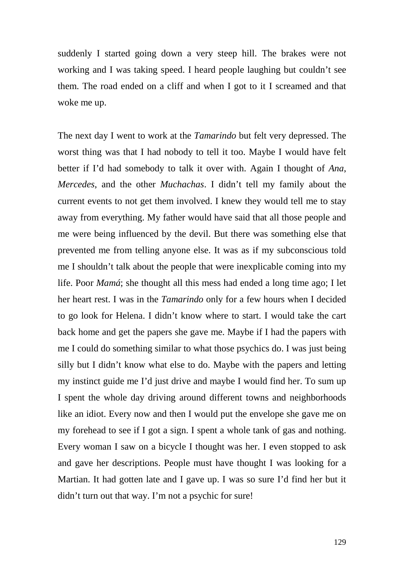suddenly I started going down a very steep hill. The brakes were not working and I was taking speed. I heard people laughing but couldn't see them. The road ended on a cliff and when I got to it I screamed and that woke me up.

The next day I went to work at the *Tamarindo* but felt very depressed. The worst thing was that I had nobody to tell it too. Maybe I would have felt better if I'd had somebody to talk it over with. Again I thought of *Ana*, *Mercedes*, and the other *Muchachas*. I didn't tell my family about the current events to not get them involved. I knew they would tell me to stay away from everything. My father would have said that all those people and me were being influenced by the devil. But there was something else that prevented me from telling anyone else. It was as if my subconscious told me I shouldn't talk about the people that were inexplicable coming into my life. Poor *Mamá*; she thought all this mess had ended a long time ago; I let her heart rest. I was in the *Tamarindo* only for a few hours when I decided to go look for Helena. I didn't know where to start. I would take the cart back home and get the papers she gave me. Maybe if I had the papers with me I could do something similar to what those psychics do. I was just being silly but I didn't know what else to do. Maybe with the papers and letting my instinct guide me I'd just drive and maybe I would find her. To sum up I spent the whole day driving around different towns and neighborhoods like an idiot. Every now and then I would put the envelope she gave me on my forehead to see if I got a sign. I spent a whole tank of gas and nothing. Every woman I saw on a bicycle I thought was her. I even stopped to ask and gave her descriptions. People must have thought I was looking for a Martian. It had gotten late and I gave up. I was so sure I'd find her but it didn't turn out that way. I'm not a psychic for sure!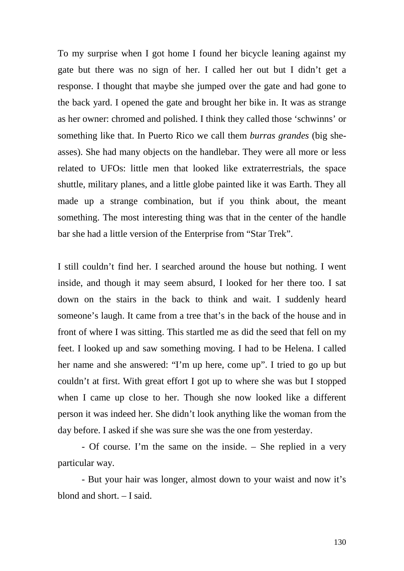To my surprise when I got home I found her bicycle leaning against my gate but there was no sign of her. I called her out but I didn't get a response. I thought that maybe she jumped over the gate and had gone to the back yard. I opened the gate and brought her bike in. It was as strange as her owner: chromed and polished. I think they called those 'schwinns' or something like that. In Puerto Rico we call them *burras grandes* (big sheasses). She had many objects on the handlebar. They were all more or less related to UFOs: little men that looked like extraterrestrials, the space shuttle, military planes, and a little globe painted like it was Earth. They all made up a strange combination, but if you think about, the meant something. The most interesting thing was that in the center of the handle bar she had a little version of the Enterprise from "Star Trek".

I still couldn't find her. I searched around the house but nothing. I went inside, and though it may seem absurd, I looked for her there too. I sat down on the stairs in the back to think and wait. I suddenly heard someone's laugh. It came from a tree that's in the back of the house and in front of where I was sitting. This startled me as did the seed that fell on my feet. I looked up and saw something moving. I had to be Helena. I called her name and she answered: "I'm up here, come up". I tried to go up but couldn't at first. With great effort I got up to where she was but I stopped when I came up close to her. Though she now looked like a different person it was indeed her. She didn't look anything like the woman from the day before. I asked if she was sure she was the one from yesterday.

- Of course. I'm the same on the inside. – She replied in a very particular way.

- But your hair was longer, almost down to your waist and now it's blond and short. – I said.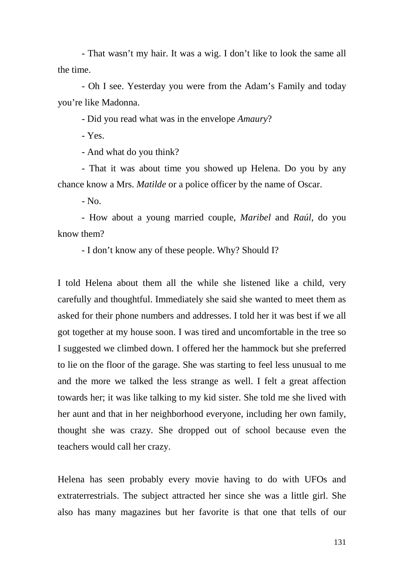- That wasn't my hair. It was a wig. I don't like to look the same all the time.

- Oh I see. Yesterday you were from the Adam's Family and today you're like Madonna.

- Did you read what was in the envelope *Amaury*?

- Yes.

- And what do you think?

- That it was about time you showed up Helena. Do you by any chance know a Mrs. *Matilde* or a police officer by the name of Oscar.

 $-$  No.

- How about a young married couple, *Maribel* and *Raúl*, do you know them?

- I don't know any of these people. Why? Should I?

I told Helena about them all the while she listened like a child, very carefully and thoughtful. Immediately she said she wanted to meet them as asked for their phone numbers and addresses. I told her it was best if we all got together at my house soon. I was tired and uncomfortable in the tree so I suggested we climbed down. I offered her the hammock but she preferred to lie on the floor of the garage. She was starting to feel less unusual to me and the more we talked the less strange as well. I felt a great affection towards her; it was like talking to my kid sister. She told me she lived with her aunt and that in her neighborhood everyone, including her own family, thought she was crazy. She dropped out of school because even the teachers would call her crazy.

Helena has seen probably every movie having to do with UFOs and extraterrestrials. The subject attracted her since she was a little girl. She also has many magazines but her favorite is that one that tells of our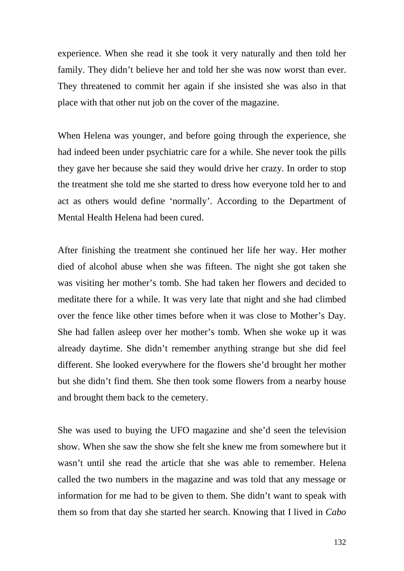experience. When she read it she took it very naturally and then told her family. They didn't believe her and told her she was now worst than ever. They threatened to commit her again if she insisted she was also in that place with that other nut job on the cover of the magazine.

When Helena was younger, and before going through the experience, she had indeed been under psychiatric care for a while. She never took the pills they gave her because she said they would drive her crazy. In order to stop the treatment she told me she started to dress how everyone told her to and act as others would define 'normally'. According to the Department of Mental Health Helena had been cured.

After finishing the treatment she continued her life her way. Her mother died of alcohol abuse when she was fifteen. The night she got taken she was visiting her mother's tomb. She had taken her flowers and decided to meditate there for a while. It was very late that night and she had climbed over the fence like other times before when it was close to Mother's Day. She had fallen asleep over her mother's tomb. When she woke up it was already daytime. She didn't remember anything strange but she did feel different. She looked everywhere for the flowers she'd brought her mother but she didn't find them. She then took some flowers from a nearby house and brought them back to the cemetery.

She was used to buying the UFO magazine and she'd seen the television show. When she saw the show she felt she knew me from somewhere but it wasn't until she read the article that she was able to remember. Helena called the two numbers in the magazine and was told that any message or information for me had to be given to them. She didn't want to speak with them so from that day she started her search. Knowing that I lived in *Cabo*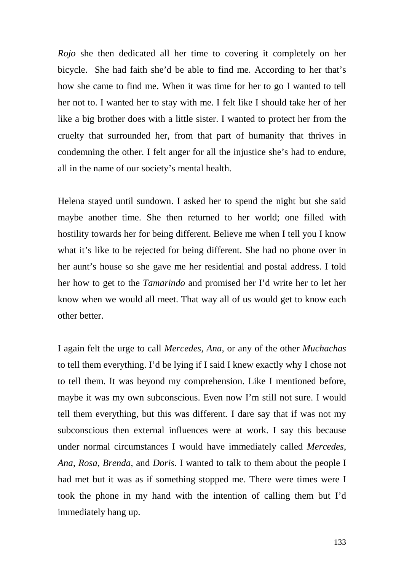*Rojo* she then dedicated all her time to covering it completely on her bicycle. She had faith she'd be able to find me. According to her that's how she came to find me. When it was time for her to go I wanted to tell her not to. I wanted her to stay with me. I felt like I should take her of her like a big brother does with a little sister. I wanted to protect her from the cruelty that surrounded her, from that part of humanity that thrives in condemning the other. I felt anger for all the injustice she's had to endure, all in the name of our society's mental health.

Helena stayed until sundown. I asked her to spend the night but she said maybe another time. She then returned to her world; one filled with hostility towards her for being different. Believe me when I tell you I know what it's like to be rejected for being different. She had no phone over in her aunt's house so she gave me her residential and postal address. I told her how to get to the *Tamarindo* and promised her I'd write her to let her know when we would all meet. That way all of us would get to know each other better.

I again felt the urge to call *Mercedes*, *Ana*, or any of the other *Muchachas* to tell them everything. I'd be lying if I said I knew exactly why I chose not to tell them. It was beyond my comprehension. Like I mentioned before, maybe it was my own subconscious. Even now I'm still not sure. I would tell them everything, but this was different. I dare say that if was not my subconscious then external influences were at work. I say this because under normal circumstances I would have immediately called *Mercedes*, *Ana*, *Rosa*, *Brenda*, and *Doris*. I wanted to talk to them about the people I had met but it was as if something stopped me. There were times were I took the phone in my hand with the intention of calling them but I'd immediately hang up.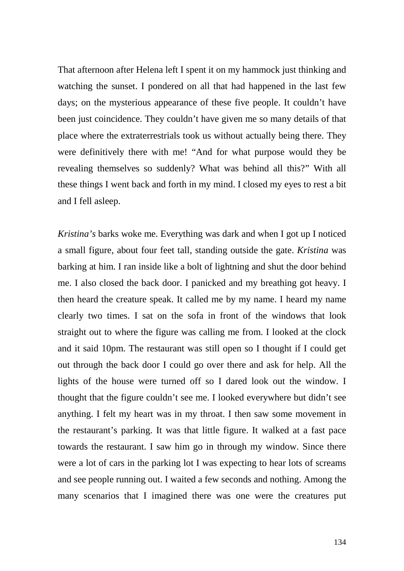That afternoon after Helena left I spent it on my hammock just thinking and watching the sunset. I pondered on all that had happened in the last few days; on the mysterious appearance of these five people. It couldn't have been just coincidence. They couldn't have given me so many details of that place where the extraterrestrials took us without actually being there. They were definitively there with me! "And for what purpose would they be revealing themselves so suddenly? What was behind all this?" With all these things I went back and forth in my mind. I closed my eyes to rest a bit and I fell asleep.

*Kristina's* barks woke me. Everything was dark and when I got up I noticed a small figure, about four feet tall, standing outside the gate. *Kristina* was barking at him. I ran inside like a bolt of lightning and shut the door behind me. I also closed the back door. I panicked and my breathing got heavy. I then heard the creature speak. It called me by my name. I heard my name clearly two times. I sat on the sofa in front of the windows that look straight out to where the figure was calling me from. I looked at the clock and it said 10pm. The restaurant was still open so I thought if I could get out through the back door I could go over there and ask for help. All the lights of the house were turned off so I dared look out the window. I thought that the figure couldn't see me. I looked everywhere but didn't see anything. I felt my heart was in my throat. I then saw some movement in the restaurant's parking. It was that little figure. It walked at a fast pace towards the restaurant. I saw him go in through my window. Since there were a lot of cars in the parking lot I was expecting to hear lots of screams and see people running out. I waited a few seconds and nothing. Among the many scenarios that I imagined there was one were the creatures put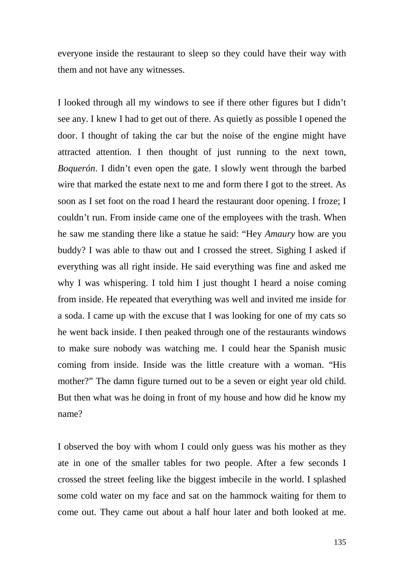everyone inside the restaurant to sleep so they could have their way with them and not have any witnesses.

I looked through all my windows to see if there other figures but I didn't see any. I knew I had to get out of there. As quietly as possible I opened the door. I thought of taking the car but the noise of the engine might have attracted attention. I then thought of just running to the next town, *Boquerón*. I didn't even open the gate. I slowly went through the barbed wire that marked the estate next to me and form there I got to the street. As soon as I set foot on the road I heard the restaurant door opening. I froze; I couldn't run. From inside came one of the employees with the trash. When he saw me standing there like a statue he said: "Hey *Amaury* how are you buddy? I was able to thaw out and I crossed the street. Sighing I asked if everything was all right inside. He said everything was fine and asked me why I was whispering. I told him I just thought I heard a noise coming from inside. He repeated that everything was well and invited me inside for a soda. I came up with the excuse that I was looking for one of my cats so he went back inside. I then peaked through one of the restaurants windows to make sure nobody was watching me. I could hear the Spanish music coming from inside. Inside was the little creature with a woman. "His mother?" The damn figure turned out to be a seven or eight year old child. But then what was he doing in front of my house and how did he know my name?

I observed the boy with whom I could only guess was his mother as they ate in one of the smaller tables for two people. After a few seconds I crossed the street feeling like the biggest imbecile in the world. I splashed some cold water on my face and sat on the hammock waiting for them to come out. They came out about a half hour later and both looked at me.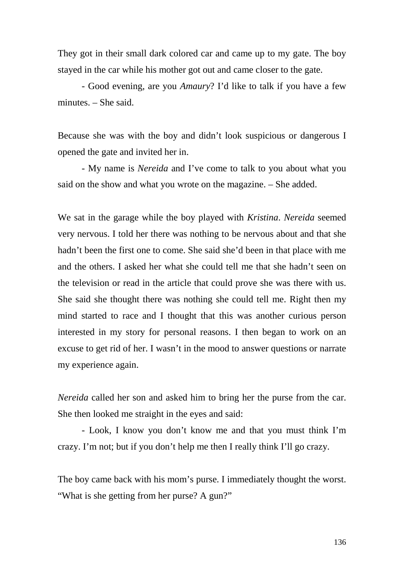They got in their small dark colored car and came up to my gate. The boy stayed in the car while his mother got out and came closer to the gate.

- Good evening, are you *Amaury*? I'd like to talk if you have a few minutes. – She said.

Because she was with the boy and didn't look suspicious or dangerous I opened the gate and invited her in.

- My name is *Nereida* and I've come to talk to you about what you said on the show and what you wrote on the magazine. – She added.

We sat in the garage while the boy played with *Kristina*. *Nereida* seemed very nervous. I told her there was nothing to be nervous about and that she hadn't been the first one to come. She said she'd been in that place with me and the others. I asked her what she could tell me that she hadn't seen on the television or read in the article that could prove she was there with us. She said she thought there was nothing she could tell me. Right then my mind started to race and I thought that this was another curious person interested in my story for personal reasons. I then began to work on an excuse to get rid of her. I wasn't in the mood to answer questions or narrate my experience again.

*Nereida* called her son and asked him to bring her the purse from the car. She then looked me straight in the eyes and said:

- Look, I know you don't know me and that you must think I'm crazy. I'm not; but if you don't help me then I really think I'll go crazy.

The boy came back with his mom's purse. I immediately thought the worst. "What is she getting from her purse? A gun?"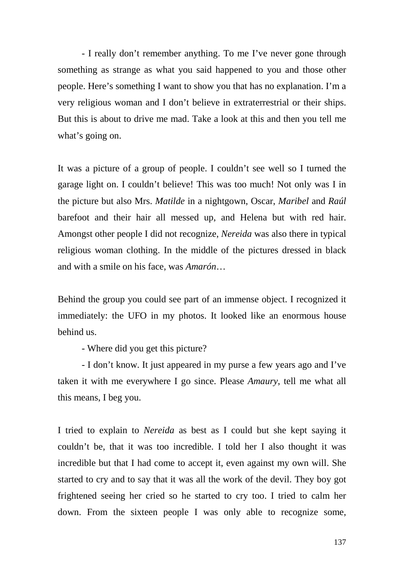- I really don't remember anything. To me I've never gone through something as strange as what you said happened to you and those other people. Here's something I want to show you that has no explanation. I'm a very religious woman and I don't believe in extraterrestrial or their ships. But this is about to drive me mad. Take a look at this and then you tell me what's going on.

It was a picture of a group of people. I couldn't see well so I turned the garage light on. I couldn't believe! This was too much! Not only was I in the picture but also Mrs. *Matilde* in a nightgown, Oscar, *Maribel* and *Raúl* barefoot and their hair all messed up, and Helena but with red hair. Amongst other people I did not recognize, *Nereida* was also there in typical religious woman clothing. In the middle of the pictures dressed in black and with a smile on his face, was *Amarón*…

Behind the group you could see part of an immense object. I recognized it immediately: the UFO in my photos. It looked like an enormous house behind us.

- Where did you get this picture?

- I don't know. It just appeared in my purse a few years ago and I've taken it with me everywhere I go since. Please *Amaury*, tell me what all this means, I beg you.

I tried to explain to *Nereida* as best as I could but she kept saying it couldn't be, that it was too incredible. I told her I also thought it was incredible but that I had come to accept it, even against my own will. She started to cry and to say that it was all the work of the devil. They boy got frightened seeing her cried so he started to cry too. I tried to calm her down. From the sixteen people I was only able to recognize some,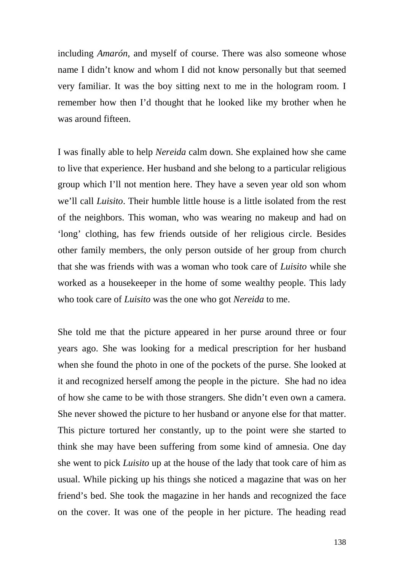including *Amarón*, and myself of course. There was also someone whose name I didn't know and whom I did not know personally but that seemed very familiar. It was the boy sitting next to me in the hologram room. I remember how then I'd thought that he looked like my brother when he was around fifteen.

I was finally able to help *Nereida* calm down. She explained how she came to live that experience. Her husband and she belong to a particular religious group which I'll not mention here. They have a seven year old son whom we'll call *Luisito*. Their humble little house is a little isolated from the rest of the neighbors. This woman, who was wearing no makeup and had on 'long' clothing, has few friends outside of her religious circle. Besides other family members, the only person outside of her group from church that she was friends with was a woman who took care of *Luisito* while she worked as a housekeeper in the home of some wealthy people. This lady who took care of *Luisito* was the one who got *Nereida* to me.

She told me that the picture appeared in her purse around three or four years ago. She was looking for a medical prescription for her husband when she found the photo in one of the pockets of the purse. She looked at it and recognized herself among the people in the picture. She had no idea of how she came to be with those strangers. She didn't even own a camera. She never showed the picture to her husband or anyone else for that matter. This picture tortured her constantly, up to the point were she started to think she may have been suffering from some kind of amnesia. One day she went to pick *Luisito* up at the house of the lady that took care of him as usual. While picking up his things she noticed a magazine that was on her friend's bed. She took the magazine in her hands and recognized the face on the cover. It was one of the people in her picture. The heading read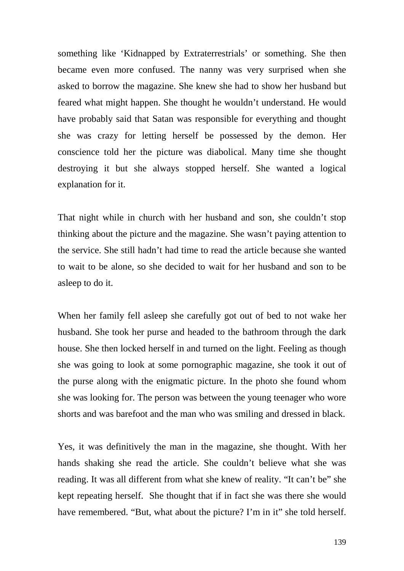something like 'Kidnapped by Extraterrestrials' or something. She then became even more confused. The nanny was very surprised when she asked to borrow the magazine. She knew she had to show her husband but feared what might happen. She thought he wouldn't understand. He would have probably said that Satan was responsible for everything and thought she was crazy for letting herself be possessed by the demon. Her conscience told her the picture was diabolical. Many time she thought destroying it but she always stopped herself. She wanted a logical explanation for it.

That night while in church with her husband and son, she couldn't stop thinking about the picture and the magazine. She wasn't paying attention to the service. She still hadn't had time to read the article because she wanted to wait to be alone, so she decided to wait for her husband and son to be asleep to do it.

When her family fell asleep she carefully got out of bed to not wake her husband. She took her purse and headed to the bathroom through the dark house. She then locked herself in and turned on the light. Feeling as though she was going to look at some pornographic magazine, she took it out of the purse along with the enigmatic picture. In the photo she found whom she was looking for. The person was between the young teenager who wore shorts and was barefoot and the man who was smiling and dressed in black.

Yes, it was definitively the man in the magazine, she thought. With her hands shaking she read the article. She couldn't believe what she was reading. It was all different from what she knew of reality. "It can't be" she kept repeating herself. She thought that if in fact she was there she would have remembered. "But, what about the picture? I'm in it" she told herself.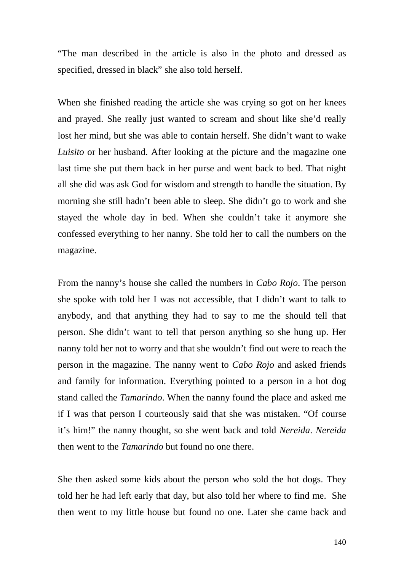"The man described in the article is also in the photo and dressed as specified, dressed in black" she also told herself.

When she finished reading the article she was crying so got on her knees and prayed. She really just wanted to scream and shout like she'd really lost her mind, but she was able to contain herself. She didn't want to wake *Luisito* or her husband. After looking at the picture and the magazine one last time she put them back in her purse and went back to bed. That night all she did was ask God for wisdom and strength to handle the situation. By morning she still hadn't been able to sleep. She didn't go to work and she stayed the whole day in bed. When she couldn't take it anymore she confessed everything to her nanny. She told her to call the numbers on the magazine.

From the nanny's house she called the numbers in *Cabo Rojo*. The person she spoke with told her I was not accessible, that I didn't want to talk to anybody, and that anything they had to say to me the should tell that person. She didn't want to tell that person anything so she hung up. Her nanny told her not to worry and that she wouldn't find out were to reach the person in the magazine. The nanny went to *Cabo Rojo* and asked friends and family for information. Everything pointed to a person in a hot dog stand called the *Tamarindo*. When the nanny found the place and asked me if I was that person I courteously said that she was mistaken. "Of course it's him!" the nanny thought, so she went back and told *Nereida*. *Nereida* then went to the *Tamarindo* but found no one there.

She then asked some kids about the person who sold the hot dogs. They told her he had left early that day, but also told her where to find me. She then went to my little house but found no one. Later she came back and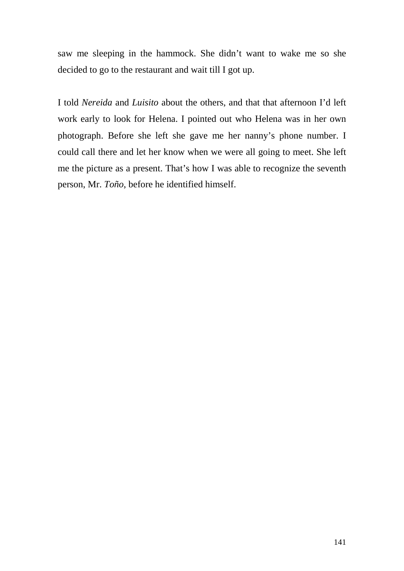saw me sleeping in the hammock. She didn't want to wake me so she decided to go to the restaurant and wait till I got up.

I told *Nereida* and *Luisito* about the others, and that that afternoon I'd left work early to look for Helena. I pointed out who Helena was in her own photograph. Before she left she gave me her nanny's phone number. I could call there and let her know when we were all going to meet. She left me the picture as a present. That's how I was able to recognize the seventh person, Mr. *Toño*, before he identified himself.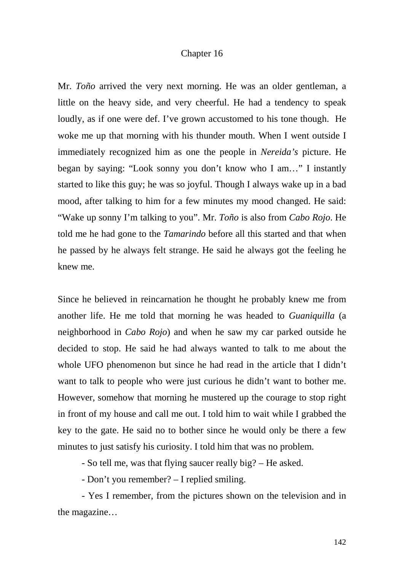## Chapter 16

Mr. *Toño* arrived the very next morning. He was an older gentleman, a little on the heavy side, and very cheerful. He had a tendency to speak loudly, as if one were def. I've grown accustomed to his tone though. He woke me up that morning with his thunder mouth. When I went outside I immediately recognized him as one the people in *Nereida's* picture. He began by saying: "Look sonny you don't know who I am…" I instantly started to like this guy; he was so joyful. Though I always wake up in a bad mood, after talking to him for a few minutes my mood changed. He said: "Wake up sonny I'm talking to you". Mr. *Toño* is also from *Cabo Rojo*. He told me he had gone to the *Tamarindo* before all this started and that when he passed by he always felt strange. He said he always got the feeling he knew me.

Since he believed in reincarnation he thought he probably knew me from another life. He me told that morning he was headed to *Guaniquilla* (a neighborhood in *Cabo Rojo*) and when he saw my car parked outside he decided to stop. He said he had always wanted to talk to me about the whole UFO phenomenon but since he had read in the article that I didn't want to talk to people who were just curious he didn't want to bother me. However, somehow that morning he mustered up the courage to stop right in front of my house and call me out. I told him to wait while I grabbed the key to the gate. He said no to bother since he would only be there a few minutes to just satisfy his curiosity. I told him that was no problem.

- So tell me, was that flying saucer really big? – He asked.

- Don't you remember? – I replied smiling.

- Yes I remember, from the pictures shown on the television and in the magazine…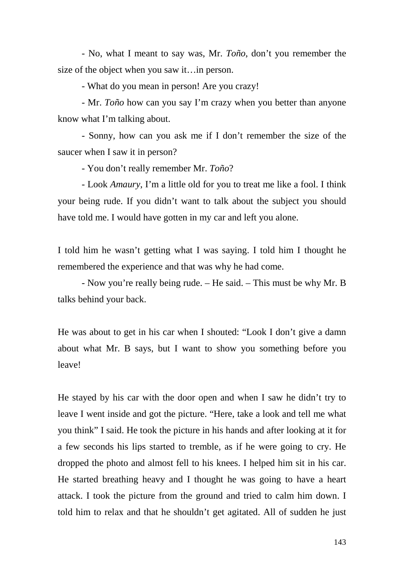- No, what I meant to say was, Mr. *Toño*, don't you remember the size of the object when you saw it…in person.

- What do you mean in person! Are you crazy!

- Mr. *Toño* how can you say I'm crazy when you better than anyone know what I'm talking about.

- Sonny, how can you ask me if I don't remember the size of the saucer when I saw it in person?

- You don't really remember Mr. *Toño*?

- Look *Amaury*, I'm a little old for you to treat me like a fool. I think your being rude. If you didn't want to talk about the subject you should have told me. I would have gotten in my car and left you alone.

I told him he wasn't getting what I was saying. I told him I thought he remembered the experience and that was why he had come.

- Now you're really being rude. – He said. – This must be why Mr. B talks behind your back.

He was about to get in his car when I shouted: "Look I don't give a damn about what Mr. B says, but I want to show you something before you leave!

He stayed by his car with the door open and when I saw he didn't try to leave I went inside and got the picture. "Here, take a look and tell me what you think" I said. He took the picture in his hands and after looking at it for a few seconds his lips started to tremble, as if he were going to cry. He dropped the photo and almost fell to his knees. I helped him sit in his car. He started breathing heavy and I thought he was going to have a heart attack. I took the picture from the ground and tried to calm him down. I told him to relax and that he shouldn't get agitated. All of sudden he just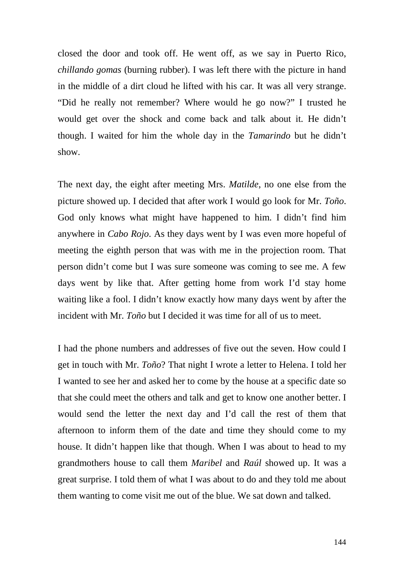closed the door and took off. He went off, as we say in Puerto Rico, *chillando gomas* (burning rubber). I was left there with the picture in hand in the middle of a dirt cloud he lifted with his car. It was all very strange. "Did he really not remember? Where would he go now?" I trusted he would get over the shock and come back and talk about it. He didn't though. I waited for him the whole day in the *Tamarindo* but he didn't show.

The next day, the eight after meeting Mrs. *Matilde*, no one else from the picture showed up. I decided that after work I would go look for Mr. *Toño*. God only knows what might have happened to him. I didn't find him anywhere in *Cabo Rojo*. As they days went by I was even more hopeful of meeting the eighth person that was with me in the projection room. That person didn't come but I was sure someone was coming to see me. A few days went by like that. After getting home from work I'd stay home waiting like a fool. I didn't know exactly how many days went by after the incident with Mr. *Toño* but I decided it was time for all of us to meet.

I had the phone numbers and addresses of five out the seven. How could I get in touch with Mr. *Toño*? That night I wrote a letter to Helena. I told her I wanted to see her and asked her to come by the house at a specific date so that she could meet the others and talk and get to know one another better. I would send the letter the next day and I'd call the rest of them that afternoon to inform them of the date and time they should come to my house. It didn't happen like that though. When I was about to head to my grandmothers house to call them *Maribel* and *Raúl* showed up. It was a great surprise. I told them of what I was about to do and they told me about them wanting to come visit me out of the blue. We sat down and talked.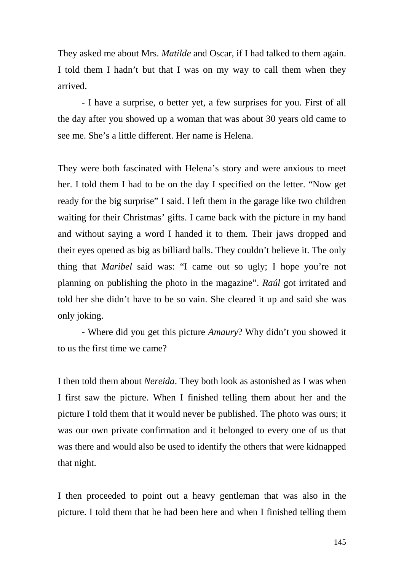They asked me about Mrs. *Matilde* and Oscar, if I had talked to them again. I told them I hadn't but that I was on my way to call them when they arrived.

- I have a surprise, o better yet, a few surprises for you. First of all the day after you showed up a woman that was about 30 years old came to see me. She's a little different. Her name is Helena.

They were both fascinated with Helena's story and were anxious to meet her. I told them I had to be on the day I specified on the letter. "Now get ready for the big surprise" I said. I left them in the garage like two children waiting for their Christmas' gifts. I came back with the picture in my hand and without saying a word I handed it to them. Their jaws dropped and their eyes opened as big as billiard balls. They couldn't believe it. The only thing that *Maribel* said was: "I came out so ugly; I hope you're not planning on publishing the photo in the magazine". *Raúl* got irritated and told her she didn't have to be so vain. She cleared it up and said she was only joking.

- Where did you get this picture *Amaury*? Why didn't you showed it to us the first time we came?

I then told them about *Nereida*. They both look as astonished as I was when I first saw the picture. When I finished telling them about her and the picture I told them that it would never be published. The photo was ours; it was our own private confirmation and it belonged to every one of us that was there and would also be used to identify the others that were kidnapped that night.

I then proceeded to point out a heavy gentleman that was also in the picture. I told them that he had been here and when I finished telling them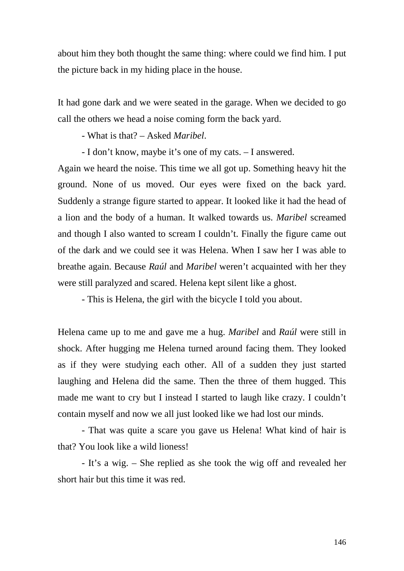about him they both thought the same thing: where could we find him. I put the picture back in my hiding place in the house.

It had gone dark and we were seated in the garage. When we decided to go call the others we head a noise coming form the back yard.

- What is that? – Asked *Maribel*.

- I don't know, maybe it's one of my cats. – I answered.

Again we heard the noise. This time we all got up. Something heavy hit the ground. None of us moved. Our eyes were fixed on the back yard. Suddenly a strange figure started to appear. It looked like it had the head of a lion and the body of a human. It walked towards us. *Maribel* screamed and though I also wanted to scream I couldn't. Finally the figure came out of the dark and we could see it was Helena. When I saw her I was able to breathe again. Because *Raúl* and *Maribel* weren't acquainted with her they were still paralyzed and scared. Helena kept silent like a ghost.

- This is Helena, the girl with the bicycle I told you about.

Helena came up to me and gave me a hug. *Maribel* and *Raúl* were still in shock. After hugging me Helena turned around facing them. They looked as if they were studying each other. All of a sudden they just started laughing and Helena did the same. Then the three of them hugged. This made me want to cry but I instead I started to laugh like crazy. I couldn't contain myself and now we all just looked like we had lost our minds.

- That was quite a scare you gave us Helena! What kind of hair is that? You look like a wild lioness!

- It's a wig. – She replied as she took the wig off and revealed her short hair but this time it was red.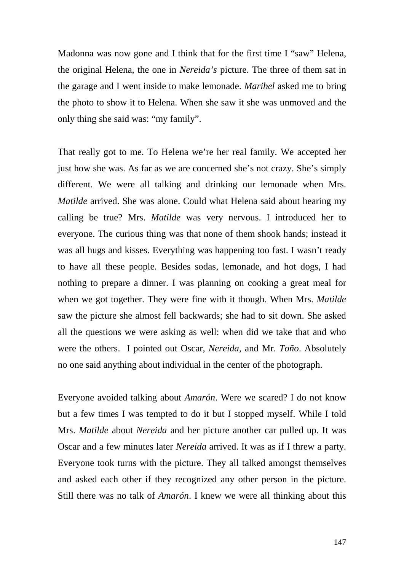Madonna was now gone and I think that for the first time I "saw" Helena, the original Helena, the one in *Nereida's* picture. The three of them sat in the garage and I went inside to make lemonade. *Maribel* asked me to bring the photo to show it to Helena. When she saw it she was unmoved and the only thing she said was: "my family".

That really got to me. To Helena we're her real family. We accepted her just how she was. As far as we are concerned she's not crazy. She's simply different. We were all talking and drinking our lemonade when Mrs. *Matilde* arrived. She was alone. Could what Helena said about hearing my calling be true? Mrs. *Matilde* was very nervous. I introduced her to everyone. The curious thing was that none of them shook hands; instead it was all hugs and kisses. Everything was happening too fast. I wasn't ready to have all these people. Besides sodas, lemonade, and hot dogs, I had nothing to prepare a dinner. I was planning on cooking a great meal for when we got together. They were fine with it though. When Mrs. *Matilde*  saw the picture she almost fell backwards; she had to sit down. She asked all the questions we were asking as well: when did we take that and who were the others. I pointed out Oscar, *Nereida*, and Mr. *Toño*. Absolutely no one said anything about individual in the center of the photograph.

Everyone avoided talking about *Amarón*. Were we scared? I do not know but a few times I was tempted to do it but I stopped myself. While I told Mrs. *Matilde* about *Nereida* and her picture another car pulled up. It was Oscar and a few minutes later *Nereida* arrived. It was as if I threw a party. Everyone took turns with the picture. They all talked amongst themselves and asked each other if they recognized any other person in the picture. Still there was no talk of *Amarón*. I knew we were all thinking about this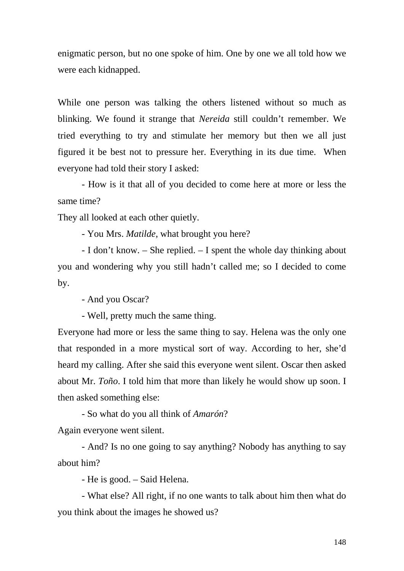enigmatic person, but no one spoke of him. One by one we all told how we were each kidnapped.

While one person was talking the others listened without so much as blinking. We found it strange that *Nereida* still couldn't remember. We tried everything to try and stimulate her memory but then we all just figured it be best not to pressure her. Everything in its due time. When everyone had told their story I asked:

- How is it that all of you decided to come here at more or less the same time?

They all looked at each other quietly.

- You Mrs. *Matilde*, what brought you here?

- I don't know. – She replied. – I spent the whole day thinking about you and wondering why you still hadn't called me; so I decided to come by.

- And you Oscar?

- Well, pretty much the same thing.

Everyone had more or less the same thing to say. Helena was the only one that responded in a more mystical sort of way. According to her, she'd heard my calling. After she said this everyone went silent. Oscar then asked about Mr. *Toño*. I told him that more than likely he would show up soon. I then asked something else:

- So what do you all think of *Amarón*? Again everyone went silent.

- And? Is no one going to say anything? Nobody has anything to say about him?

- He is good. – Said Helena.

- What else? All right, if no one wants to talk about him then what do you think about the images he showed us?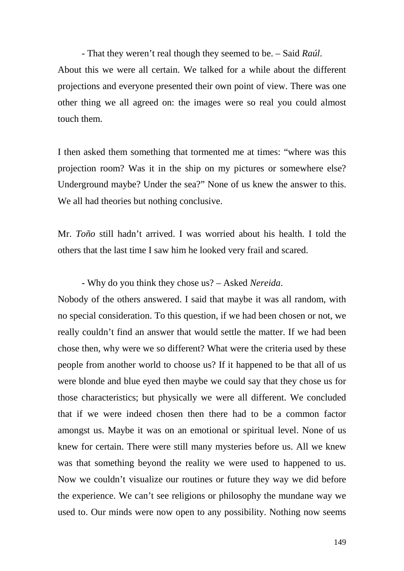- That they weren't real though they seemed to be. – Said *Raúl*. About this we were all certain. We talked for a while about the different projections and everyone presented their own point of view. There was one other thing we all agreed on: the images were so real you could almost touch them.

I then asked them something that tormented me at times: "where was this projection room? Was it in the ship on my pictures or somewhere else? Underground maybe? Under the sea?" None of us knew the answer to this. We all had theories but nothing conclusive.

Mr. *Toño* still hadn't arrived. I was worried about his health. I told the others that the last time I saw him he looked very frail and scared.

## - Why do you think they chose us? – Asked *Nereida*.

Nobody of the others answered. I said that maybe it was all random, with no special consideration. To this question, if we had been chosen or not, we really couldn't find an answer that would settle the matter. If we had been chose then, why were we so different? What were the criteria used by these people from another world to choose us? If it happened to be that all of us were blonde and blue eyed then maybe we could say that they chose us for those characteristics; but physically we were all different. We concluded that if we were indeed chosen then there had to be a common factor amongst us. Maybe it was on an emotional or spiritual level. None of us knew for certain. There were still many mysteries before us. All we knew was that something beyond the reality we were used to happened to us. Now we couldn't visualize our routines or future they way we did before the experience. We can't see religions or philosophy the mundane way we used to. Our minds were now open to any possibility. Nothing now seems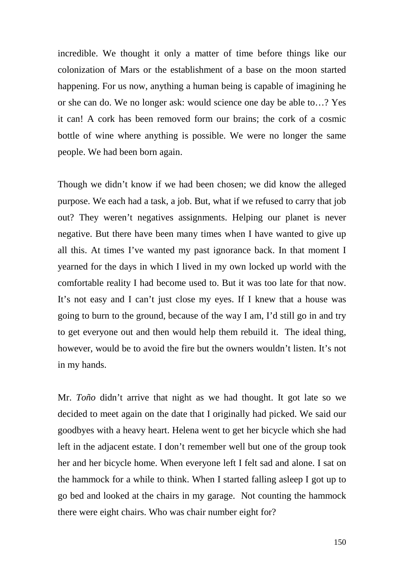incredible. We thought it only a matter of time before things like our colonization of Mars or the establishment of a base on the moon started happening. For us now, anything a human being is capable of imagining he or she can do. We no longer ask: would science one day be able to…? Yes it can! A cork has been removed form our brains; the cork of a cosmic bottle of wine where anything is possible. We were no longer the same people. We had been born again.

Though we didn't know if we had been chosen; we did know the alleged purpose. We each had a task, a job. But, what if we refused to carry that job out? They weren't negatives assignments. Helping our planet is never negative. But there have been many times when I have wanted to give up all this. At times I've wanted my past ignorance back. In that moment I yearned for the days in which I lived in my own locked up world with the comfortable reality I had become used to. But it was too late for that now. It's not easy and I can't just close my eyes. If I knew that a house was going to burn to the ground, because of the way I am, I'd still go in and try to get everyone out and then would help them rebuild it. The ideal thing, however, would be to avoid the fire but the owners wouldn't listen. It's not in my hands.

Mr. *Toño* didn't arrive that night as we had thought. It got late so we decided to meet again on the date that I originally had picked. We said our goodbyes with a heavy heart. Helena went to get her bicycle which she had left in the adjacent estate. I don't remember well but one of the group took her and her bicycle home. When everyone left I felt sad and alone. I sat on the hammock for a while to think. When I started falling asleep I got up to go bed and looked at the chairs in my garage. Not counting the hammock there were eight chairs. Who was chair number eight for?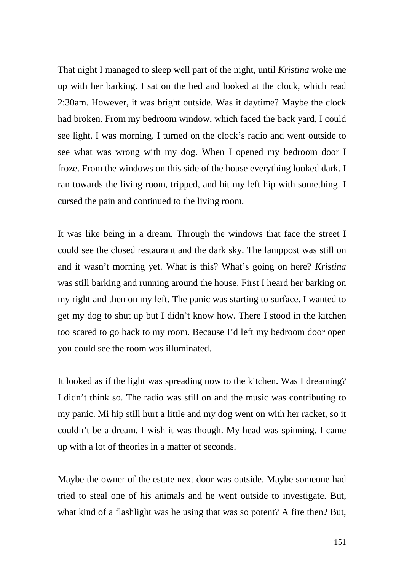That night I managed to sleep well part of the night, until *Kristina* woke me up with her barking. I sat on the bed and looked at the clock, which read 2:30am. However, it was bright outside. Was it daytime? Maybe the clock had broken. From my bedroom window, which faced the back yard, I could see light. I was morning. I turned on the clock's radio and went outside to see what was wrong with my dog. When I opened my bedroom door I froze. From the windows on this side of the house everything looked dark. I ran towards the living room, tripped, and hit my left hip with something. I cursed the pain and continued to the living room.

It was like being in a dream. Through the windows that face the street I could see the closed restaurant and the dark sky. The lamppost was still on and it wasn't morning yet. What is this? What's going on here? *Kristina* was still barking and running around the house. First I heard her barking on my right and then on my left. The panic was starting to surface. I wanted to get my dog to shut up but I didn't know how. There I stood in the kitchen too scared to go back to my room. Because I'd left my bedroom door open you could see the room was illuminated.

It looked as if the light was spreading now to the kitchen. Was I dreaming? I didn't think so. The radio was still on and the music was contributing to my panic. Mi hip still hurt a little and my dog went on with her racket, so it couldn't be a dream. I wish it was though. My head was spinning. I came up with a lot of theories in a matter of seconds.

Maybe the owner of the estate next door was outside. Maybe someone had tried to steal one of his animals and he went outside to investigate. But, what kind of a flashlight was he using that was so potent? A fire then? But,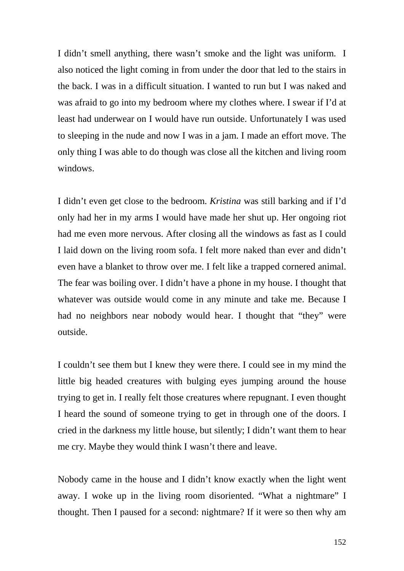I didn't smell anything, there wasn't smoke and the light was uniform. I also noticed the light coming in from under the door that led to the stairs in the back. I was in a difficult situation. I wanted to run but I was naked and was afraid to go into my bedroom where my clothes where. I swear if I'd at least had underwear on I would have run outside. Unfortunately I was used to sleeping in the nude and now I was in a jam. I made an effort move. The only thing I was able to do though was close all the kitchen and living room windows.

I didn't even get close to the bedroom. *Kristina* was still barking and if I'd only had her in my arms I would have made her shut up. Her ongoing riot had me even more nervous. After closing all the windows as fast as I could I laid down on the living room sofa. I felt more naked than ever and didn't even have a blanket to throw over me. I felt like a trapped cornered animal. The fear was boiling over. I didn't have a phone in my house. I thought that whatever was outside would come in any minute and take me. Because I had no neighbors near nobody would hear. I thought that "they" were outside.

I couldn't see them but I knew they were there. I could see in my mind the little big headed creatures with bulging eyes jumping around the house trying to get in. I really felt those creatures where repugnant. I even thought I heard the sound of someone trying to get in through one of the doors. I cried in the darkness my little house, but silently; I didn't want them to hear me cry. Maybe they would think I wasn't there and leave.

Nobody came in the house and I didn't know exactly when the light went away. I woke up in the living room disoriented. "What a nightmare" I thought. Then I paused for a second: nightmare? If it were so then why am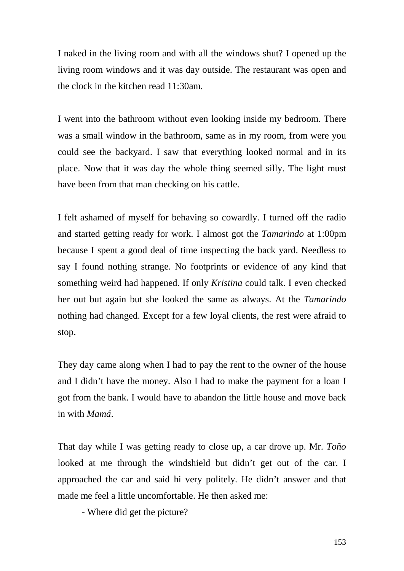I naked in the living room and with all the windows shut? I opened up the living room windows and it was day outside. The restaurant was open and the clock in the kitchen read 11:30am.

I went into the bathroom without even looking inside my bedroom. There was a small window in the bathroom, same as in my room, from were you could see the backyard. I saw that everything looked normal and in its place. Now that it was day the whole thing seemed silly. The light must have been from that man checking on his cattle.

I felt ashamed of myself for behaving so cowardly. I turned off the radio and started getting ready for work. I almost got the *Tamarindo* at 1:00pm because I spent a good deal of time inspecting the back yard. Needless to say I found nothing strange. No footprints or evidence of any kind that something weird had happened. If only *Kristina* could talk. I even checked her out but again but she looked the same as always. At the *Tamarindo*  nothing had changed. Except for a few loyal clients, the rest were afraid to stop.

They day came along when I had to pay the rent to the owner of the house and I didn't have the money. Also I had to make the payment for a loan I got from the bank. I would have to abandon the little house and move back in with *Mamá*.

That day while I was getting ready to close up, a car drove up. Mr. *Toño* looked at me through the windshield but didn't get out of the car. I approached the car and said hi very politely. He didn't answer and that made me feel a little uncomfortable. He then asked me:

- Where did get the picture?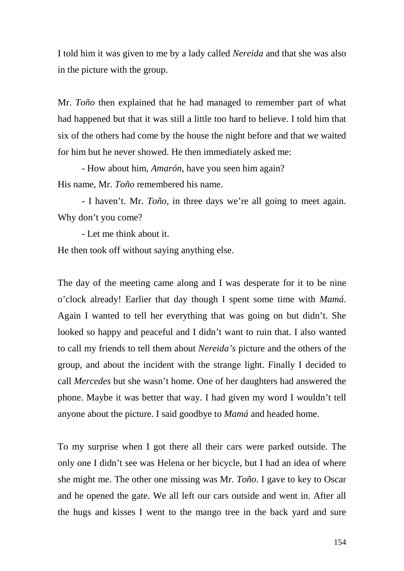I told him it was given to me by a lady called *Nereida* and that she was also in the picture with the group.

Mr. *Toño* then explained that he had managed to remember part of what had happened but that it was still a little too hard to believe. I told him that six of the others had come by the house the night before and that we waited for him but he never showed. He then immediately asked me:

- How about him, *Amarón*, have you seen him again? His name, Mr. *Toño* remembered his name.

- I haven't. Mr. *Toño*, in three days we're all going to meet again. Why don't you come?

- Let me think about it. He then took off without saying anything else.

The day of the meeting came along and I was desperate for it to be nine o'clock already! Earlier that day though I spent some time with *Mamá*. Again I wanted to tell her everything that was going on but didn't. She looked so happy and peaceful and I didn't want to ruin that. I also wanted to call my friends to tell them about *Nereida's* picture and the others of the group, and about the incident with the strange light. Finally I decided to call *Mercedes* but she wasn't home. One of her daughters had answered the phone. Maybe it was better that way. I had given my word I wouldn't tell anyone about the picture. I said goodbye to *Mamá* and headed home.

To my surprise when I got there all their cars were parked outside. The only one I didn't see was Helena or her bicycle, but I had an idea of where she might me. The other one missing was Mr. *Toño*. I gave to key to Oscar and he opened the gate. We all left our cars outside and went in. After all the hugs and kisses I went to the mango tree in the back yard and sure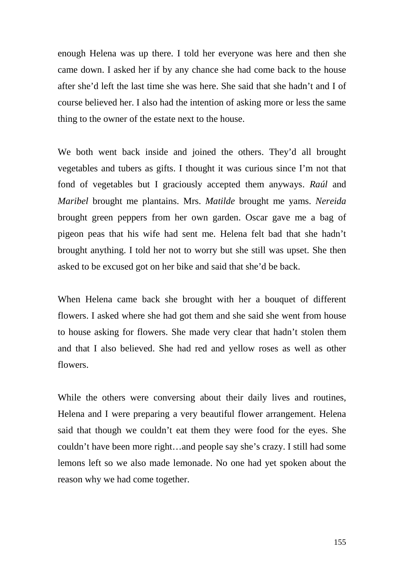enough Helena was up there. I told her everyone was here and then she came down. I asked her if by any chance she had come back to the house after she'd left the last time she was here. She said that she hadn't and I of course believed her. I also had the intention of asking more or less the same thing to the owner of the estate next to the house.

We both went back inside and joined the others. They'd all brought vegetables and tubers as gifts. I thought it was curious since I'm not that fond of vegetables but I graciously accepted them anyways. *Raúl* and *Maribel* brought me plantains. Mrs. *Matilde* brought me yams. *Nereida* brought green peppers from her own garden. Oscar gave me a bag of pigeon peas that his wife had sent me. Helena felt bad that she hadn't brought anything. I told her not to worry but she still was upset. She then asked to be excused got on her bike and said that she'd be back.

When Helena came back she brought with her a bouquet of different flowers. I asked where she had got them and she said she went from house to house asking for flowers. She made very clear that hadn't stolen them and that I also believed. She had red and yellow roses as well as other flowers.

While the others were conversing about their daily lives and routines, Helena and I were preparing a very beautiful flower arrangement. Helena said that though we couldn't eat them they were food for the eyes. She couldn't have been more right…and people say she's crazy. I still had some lemons left so we also made lemonade. No one had yet spoken about the reason why we had come together.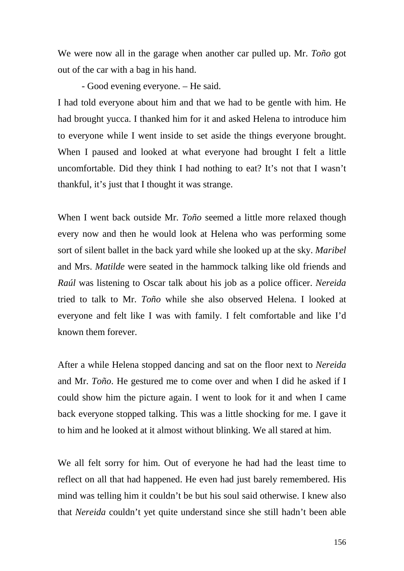We were now all in the garage when another car pulled up. Mr. *Toño* got out of the car with a bag in his hand.

- Good evening everyone. – He said.

I had told everyone about him and that we had to be gentle with him. He had brought yucca. I thanked him for it and asked Helena to introduce him to everyone while I went inside to set aside the things everyone brought. When I paused and looked at what everyone had brought I felt a little uncomfortable. Did they think I had nothing to eat? It's not that I wasn't thankful, it's just that I thought it was strange.

When I went back outside Mr. *Toño* seemed a little more relaxed though every now and then he would look at Helena who was performing some sort of silent ballet in the back yard while she looked up at the sky. *Maribel*  and Mrs. *Matilde* were seated in the hammock talking like old friends and *Raúl* was listening to Oscar talk about his job as a police officer. *Nereida* tried to talk to Mr. *Toño* while she also observed Helena. I looked at everyone and felt like I was with family. I felt comfortable and like I'd known them forever.

After a while Helena stopped dancing and sat on the floor next to *Nereida*  and Mr. *Toño*. He gestured me to come over and when I did he asked if I could show him the picture again. I went to look for it and when I came back everyone stopped talking. This was a little shocking for me. I gave it to him and he looked at it almost without blinking. We all stared at him.

We all felt sorry for him. Out of everyone he had had the least time to reflect on all that had happened. He even had just barely remembered. His mind was telling him it couldn't be but his soul said otherwise. I knew also that *Nereida* couldn't yet quite understand since she still hadn't been able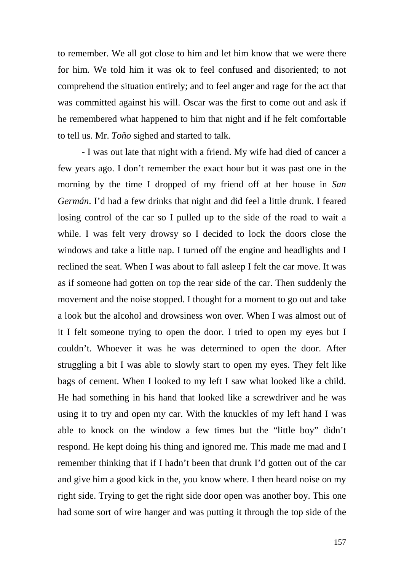to remember. We all got close to him and let him know that we were there for him. We told him it was ok to feel confused and disoriented; to not comprehend the situation entirely; and to feel anger and rage for the act that was committed against his will. Oscar was the first to come out and ask if he remembered what happened to him that night and if he felt comfortable to tell us. Mr. *Toño* sighed and started to talk.

- I was out late that night with a friend. My wife had died of cancer a few years ago. I don't remember the exact hour but it was past one in the morning by the time I dropped of my friend off at her house in *San Germán*. I'd had a few drinks that night and did feel a little drunk. I feared losing control of the car so I pulled up to the side of the road to wait a while. I was felt very drowsy so I decided to lock the doors close the windows and take a little nap. I turned off the engine and headlights and I reclined the seat. When I was about to fall asleep I felt the car move. It was as if someone had gotten on top the rear side of the car. Then suddenly the movement and the noise stopped. I thought for a moment to go out and take a look but the alcohol and drowsiness won over. When I was almost out of it I felt someone trying to open the door. I tried to open my eyes but I couldn't. Whoever it was he was determined to open the door. After struggling a bit I was able to slowly start to open my eyes. They felt like bags of cement. When I looked to my left I saw what looked like a child. He had something in his hand that looked like a screwdriver and he was using it to try and open my car. With the knuckles of my left hand I was able to knock on the window a few times but the "little boy" didn't respond. He kept doing his thing and ignored me. This made me mad and I remember thinking that if I hadn't been that drunk I'd gotten out of the car and give him a good kick in the, you know where. I then heard noise on my right side. Trying to get the right side door open was another boy. This one had some sort of wire hanger and was putting it through the top side of the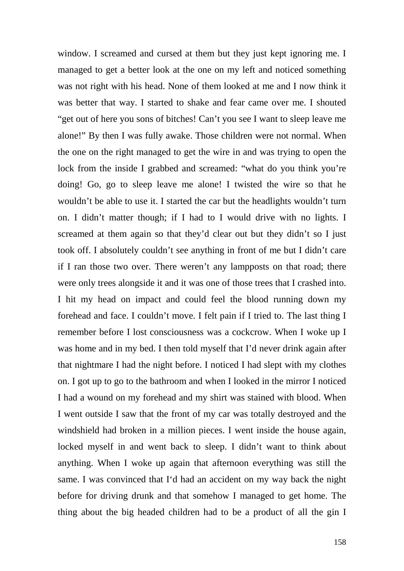window. I screamed and cursed at them but they just kept ignoring me. I managed to get a better look at the one on my left and noticed something was not right with his head. None of them looked at me and I now think it was better that way. I started to shake and fear came over me. I shouted "get out of here you sons of bitches! Can't you see I want to sleep leave me alone!" By then I was fully awake. Those children were not normal. When the one on the right managed to get the wire in and was trying to open the lock from the inside I grabbed and screamed: "what do you think you're doing! Go, go to sleep leave me alone! I twisted the wire so that he wouldn't be able to use it. I started the car but the headlights wouldn't turn on. I didn't matter though; if I had to I would drive with no lights. I screamed at them again so that they'd clear out but they didn't so I just took off. I absolutely couldn't see anything in front of me but I didn't care if I ran those two over. There weren't any lampposts on that road; there were only trees alongside it and it was one of those trees that I crashed into. I hit my head on impact and could feel the blood running down my forehead and face. I couldn't move. I felt pain if I tried to. The last thing I remember before I lost consciousness was a cockcrow. When I woke up I was home and in my bed. I then told myself that I'd never drink again after that nightmare I had the night before. I noticed I had slept with my clothes on. I got up to go to the bathroom and when I looked in the mirror I noticed I had a wound on my forehead and my shirt was stained with blood. When I went outside I saw that the front of my car was totally destroyed and the windshield had broken in a million pieces. I went inside the house again, locked myself in and went back to sleep. I didn't want to think about anything. When I woke up again that afternoon everything was still the same. I was convinced that I'd had an accident on my way back the night before for driving drunk and that somehow I managed to get home. The thing about the big headed children had to be a product of all the gin I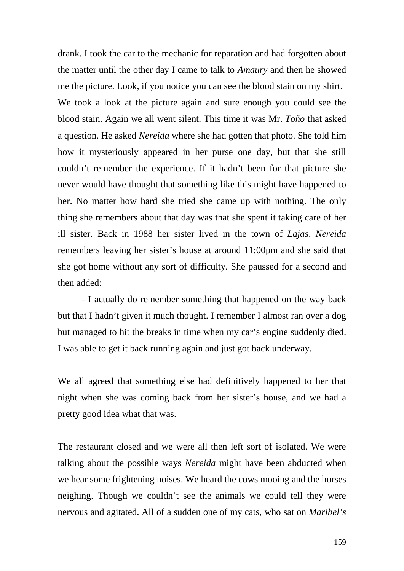drank. I took the car to the mechanic for reparation and had forgotten about the matter until the other day I came to talk to *Amaury* and then he showed me the picture. Look, if you notice you can see the blood stain on my shirt. We took a look at the picture again and sure enough you could see the blood stain. Again we all went silent. This time it was Mr. *Toño* that asked a question. He asked *Nereida* where she had gotten that photo. She told him how it mysteriously appeared in her purse one day, but that she still couldn't remember the experience. If it hadn't been for that picture she never would have thought that something like this might have happened to her. No matter how hard she tried she came up with nothing. The only thing she remembers about that day was that she spent it taking care of her ill sister. Back in 1988 her sister lived in the town of *Lajas*. *Nereida* remembers leaving her sister's house at around 11:00pm and she said that she got home without any sort of difficulty. She paussed for a second and then added:

- I actually do remember something that happened on the way back but that I hadn't given it much thought. I remember I almost ran over a dog but managed to hit the breaks in time when my car's engine suddenly died. I was able to get it back running again and just got back underway.

We all agreed that something else had definitively happened to her that night when she was coming back from her sister's house, and we had a pretty good idea what that was.

The restaurant closed and we were all then left sort of isolated. We were talking about the possible ways *Nereida* might have been abducted when we hear some frightening noises. We heard the cows mooing and the horses neighing. Though we couldn't see the animals we could tell they were nervous and agitated. All of a sudden one of my cats, who sat on *Maribel's*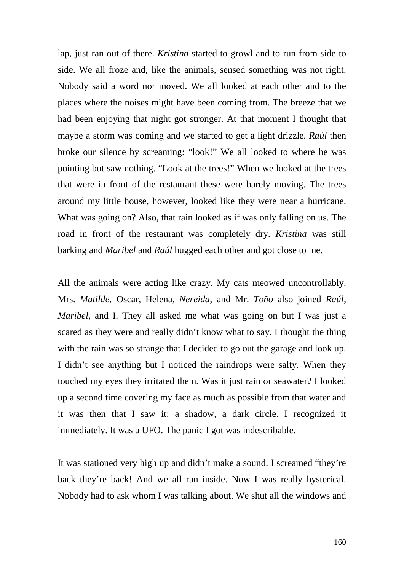lap, just ran out of there. *Kristina* started to growl and to run from side to side. We all froze and, like the animals, sensed something was not right. Nobody said a word nor moved. We all looked at each other and to the places where the noises might have been coming from. The breeze that we had been enjoying that night got stronger. At that moment I thought that maybe a storm was coming and we started to get a light drizzle. *Raúl* then broke our silence by screaming: "look!" We all looked to where he was pointing but saw nothing. "Look at the trees!" When we looked at the trees that were in front of the restaurant these were barely moving. The trees around my little house, however, looked like they were near a hurricane. What was going on? Also, that rain looked as if was only falling on us. The road in front of the restaurant was completely dry. *Kristina* was still barking and *Maribel* and *Raúl* hugged each other and got close to me.

All the animals were acting like crazy. My cats meowed uncontrollably. Mrs. *Matilde*, Oscar, Helena, *Nereida*, and Mr. *Toño* also joined *Raúl*, *Maribel*, and I. They all asked me what was going on but I was just a scared as they were and really didn't know what to say. I thought the thing with the rain was so strange that I decided to go out the garage and look up. I didn't see anything but I noticed the raindrops were salty. When they touched my eyes they irritated them. Was it just rain or seawater? I looked up a second time covering my face as much as possible from that water and it was then that I saw it: a shadow, a dark circle. I recognized it immediately. It was a UFO. The panic I got was indescribable.

It was stationed very high up and didn't make a sound. I screamed "they're back they're back! And we all ran inside. Now I was really hysterical. Nobody had to ask whom I was talking about. We shut all the windows and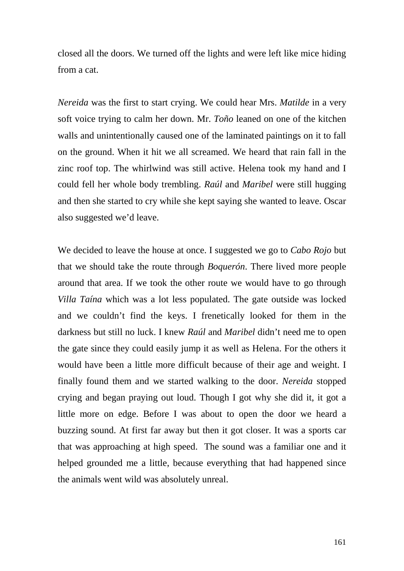closed all the doors. We turned off the lights and were left like mice hiding from a cat.

*Nereida* was the first to start crying. We could hear Mrs. *Matilde* in a very soft voice trying to calm her down. Mr. *Toño* leaned on one of the kitchen walls and unintentionally caused one of the laminated paintings on it to fall on the ground. When it hit we all screamed. We heard that rain fall in the zinc roof top. The whirlwind was still active. Helena took my hand and I could fell her whole body trembling. *Raúl* and *Maribel* were still hugging and then she started to cry while she kept saying she wanted to leave. Oscar also suggested we'd leave.

We decided to leave the house at once. I suggested we go to *Cabo Rojo* but that we should take the route through *Boquerón*. There lived more people around that area. If we took the other route we would have to go through *Villa Taína* which was a lot less populated. The gate outside was locked and we couldn't find the keys. I frenetically looked for them in the darkness but still no luck. I knew *Raúl* and *Maribel* didn't need me to open the gate since they could easily jump it as well as Helena. For the others it would have been a little more difficult because of their age and weight. I finally found them and we started walking to the door. *Nereida* stopped crying and began praying out loud. Though I got why she did it, it got a little more on edge. Before I was about to open the door we heard a buzzing sound. At first far away but then it got closer. It was a sports car that was approaching at high speed. The sound was a familiar one and it helped grounded me a little, because everything that had happened since the animals went wild was absolutely unreal.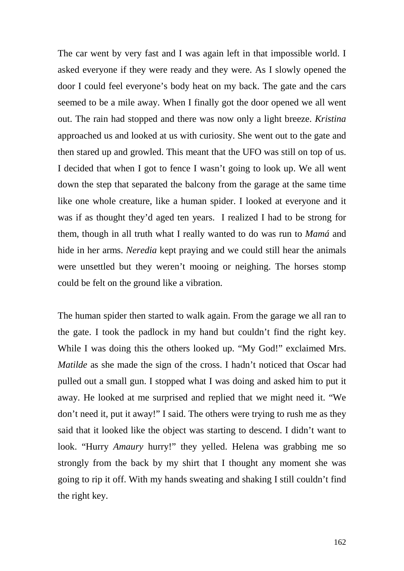The car went by very fast and I was again left in that impossible world. I asked everyone if they were ready and they were. As I slowly opened the door I could feel everyone's body heat on my back. The gate and the cars seemed to be a mile away. When I finally got the door opened we all went out. The rain had stopped and there was now only a light breeze. *Kristina*  approached us and looked at us with curiosity. She went out to the gate and then stared up and growled. This meant that the UFO was still on top of us. I decided that when I got to fence I wasn't going to look up. We all went down the step that separated the balcony from the garage at the same time like one whole creature, like a human spider. I looked at everyone and it was if as thought they'd aged ten years. I realized I had to be strong for them, though in all truth what I really wanted to do was run to *Mamá* and hide in her arms. *Neredia* kept praying and we could still hear the animals were unsettled but they weren't mooing or neighing. The horses stomp could be felt on the ground like a vibration.

The human spider then started to walk again. From the garage we all ran to the gate. I took the padlock in my hand but couldn't find the right key. While I was doing this the others looked up. "My God!" exclaimed Mrs. *Matilde* as she made the sign of the cross. I hadn't noticed that Oscar had pulled out a small gun. I stopped what I was doing and asked him to put it away. He looked at me surprised and replied that we might need it. "We don't need it, put it away!" I said. The others were trying to rush me as they said that it looked like the object was starting to descend. I didn't want to look. "Hurry *Amaury* hurry!" they yelled. Helena was grabbing me so strongly from the back by my shirt that I thought any moment she was going to rip it off. With my hands sweating and shaking I still couldn't find the right key.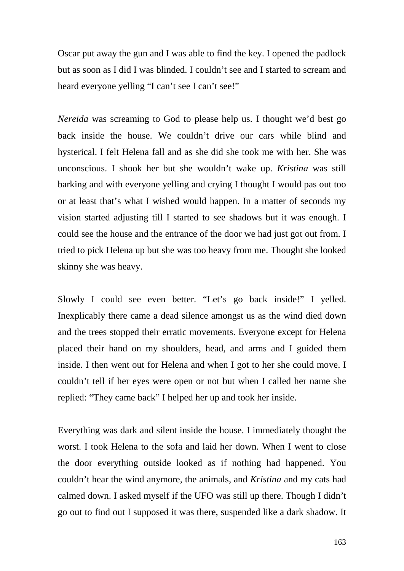Oscar put away the gun and I was able to find the key. I opened the padlock but as soon as I did I was blinded. I couldn't see and I started to scream and heard everyone yelling "I can't see I can't see!"

*Nereida* was screaming to God to please help us. I thought we'd best go back inside the house. We couldn't drive our cars while blind and hysterical. I felt Helena fall and as she did she took me with her. She was unconscious. I shook her but she wouldn't wake up. *Kristina* was still barking and with everyone yelling and crying I thought I would pas out too or at least that's what I wished would happen. In a matter of seconds my vision started adjusting till I started to see shadows but it was enough. I could see the house and the entrance of the door we had just got out from. I tried to pick Helena up but she was too heavy from me. Thought she looked skinny she was heavy.

Slowly I could see even better. "Let's go back inside!" I yelled. Inexplicably there came a dead silence amongst us as the wind died down and the trees stopped their erratic movements. Everyone except for Helena placed their hand on my shoulders, head, and arms and I guided them inside. I then went out for Helena and when I got to her she could move. I couldn't tell if her eyes were open or not but when I called her name she replied: "They came back" I helped her up and took her inside.

Everything was dark and silent inside the house. I immediately thought the worst. I took Helena to the sofa and laid her down. When I went to close the door everything outside looked as if nothing had happened. You couldn't hear the wind anymore, the animals, and *Kristina* and my cats had calmed down. I asked myself if the UFO was still up there. Though I didn't go out to find out I supposed it was there, suspended like a dark shadow. It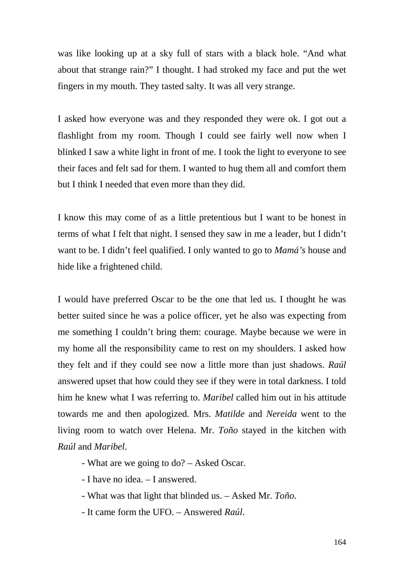was like looking up at a sky full of stars with a black hole. "And what about that strange rain?" I thought. I had stroked my face and put the wet fingers in my mouth. They tasted salty. It was all very strange.

I asked how everyone was and they responded they were ok. I got out a flashlight from my room. Though I could see fairly well now when I blinked I saw a white light in front of me. I took the light to everyone to see their faces and felt sad for them. I wanted to hug them all and comfort them but I think I needed that even more than they did.

I know this may come of as a little pretentious but I want to be honest in terms of what I felt that night. I sensed they saw in me a leader, but I didn't want to be. I didn't feel qualified. I only wanted to go to *Mamá's* house and hide like a frightened child.

I would have preferred Oscar to be the one that led us. I thought he was better suited since he was a police officer, yet he also was expecting from me something I couldn't bring them: courage. Maybe because we were in my home all the responsibility came to rest on my shoulders. I asked how they felt and if they could see now a little more than just shadows. *Raúl* answered upset that how could they see if they were in total darkness. I told him he knew what I was referring to. *Maribel* called him out in his attitude towards me and then apologized. Mrs. *Matilde* and *Nereida* went to the living room to watch over Helena. Mr. *Toño* stayed in the kitchen with *Raúl* and *Maribel*.

- What are we going to do? – Asked Oscar.

- I have no idea. – I answered.

- What was that light that blinded us. – Asked Mr. *Toño*.

- It came form the UFO. – Answered *Raúl*.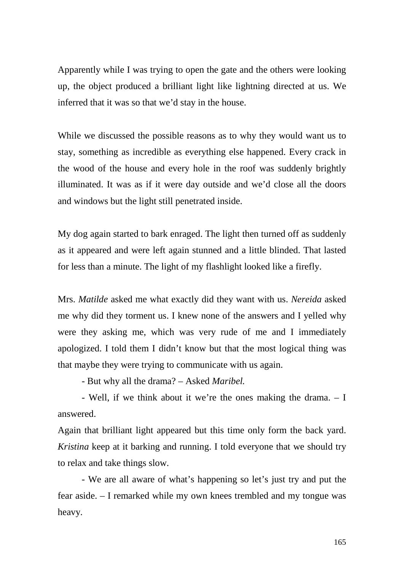Apparently while I was trying to open the gate and the others were looking up, the object produced a brilliant light like lightning directed at us. We inferred that it was so that we'd stay in the house.

While we discussed the possible reasons as to why they would want us to stay, something as incredible as everything else happened. Every crack in the wood of the house and every hole in the roof was suddenly brightly illuminated. It was as if it were day outside and we'd close all the doors and windows but the light still penetrated inside.

My dog again started to bark enraged. The light then turned off as suddenly as it appeared and were left again stunned and a little blinded. That lasted for less than a minute. The light of my flashlight looked like a firefly.

Mrs. *Matilde* asked me what exactly did they want with us. *Nereida* asked me why did they torment us. I knew none of the answers and I yelled why were they asking me, which was very rude of me and I immediately apologized. I told them I didn't know but that the most logical thing was that maybe they were trying to communicate with us again.

- But why all the drama? – Asked *Maribel.*

- Well, if we think about it we're the ones making the drama. – I answered.

Again that brilliant light appeared but this time only form the back yard. *Kristina* keep at it barking and running. I told everyone that we should try to relax and take things slow.

- We are all aware of what's happening so let's just try and put the fear aside. – I remarked while my own knees trembled and my tongue was heavy.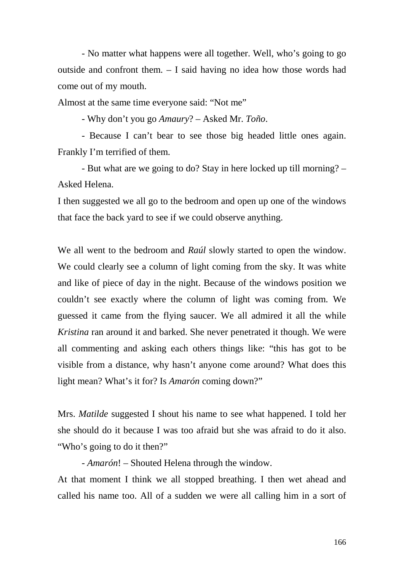- No matter what happens were all together. Well, who's going to go outside and confront them. – I said having no idea how those words had come out of my mouth.

Almost at the same time everyone said: "Not me"

- Why don't you go *Amaury*? – Asked Mr. *Toño*.

- Because I can't bear to see those big headed little ones again. Frankly I'm terrified of them.

- But what are we going to do? Stay in here locked up till morning? – Asked Helena.

I then suggested we all go to the bedroom and open up one of the windows that face the back yard to see if we could observe anything.

We all went to the bedroom and *Raúl* slowly started to open the window. We could clearly see a column of light coming from the sky. It was white and like of piece of day in the night. Because of the windows position we couldn't see exactly where the column of light was coming from. We guessed it came from the flying saucer. We all admired it all the while *Kristina* ran around it and barked. She never penetrated it though. We were all commenting and asking each others things like: "this has got to be visible from a distance, why hasn't anyone come around? What does this light mean? What's it for? Is *Amarón* coming down?"

Mrs. *Matilde* suggested I shout his name to see what happened. I told her she should do it because I was too afraid but she was afraid to do it also. "Who's going to do it then?"

- *Amarón*! – Shouted Helena through the window.

At that moment I think we all stopped breathing. I then wet ahead and called his name too. All of a sudden we were all calling him in a sort of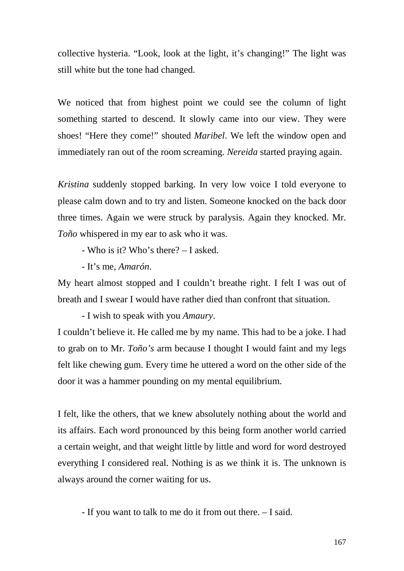collective hysteria. "Look, look at the light, it's changing!" The light was still white but the tone had changed.

We noticed that from highest point we could see the column of light something started to descend. It slowly came into our view. They were shoes! "Here they come!" shouted *Maribel*. We left the window open and immediately ran out of the room screaming. *Nereida* started praying again.

*Kristina* suddenly stopped barking. In very low voice I told everyone to please calm down and to try and listen. Someone knocked on the back door three times. Again we were struck by paralysis. Again they knocked. Mr. *Toño* whispered in my ear to ask who it was.

- Who is it? Who's there? – I asked.

- It's me, *Amarón*.

My heart almost stopped and I couldn't breathe right. I felt I was out of breath and I swear I would have rather died than confront that situation.

- I wish to speak with you *Amaury*.

I couldn't believe it. He called me by my name. This had to be a joke. I had to grab on to Mr. *Toño's* arm because I thought I would faint and my legs felt like chewing gum. Every time he uttered a word on the other side of the door it was a hammer pounding on my mental equilibrium.

I felt, like the others, that we knew absolutely nothing about the world and its affairs. Each word pronounced by this being form another world carried a certain weight, and that weight little by little and word for word destroyed everything I considered real. Nothing is as we think it is. The unknown is always around the corner waiting for us.

- If you want to talk to me do it from out there. – I said.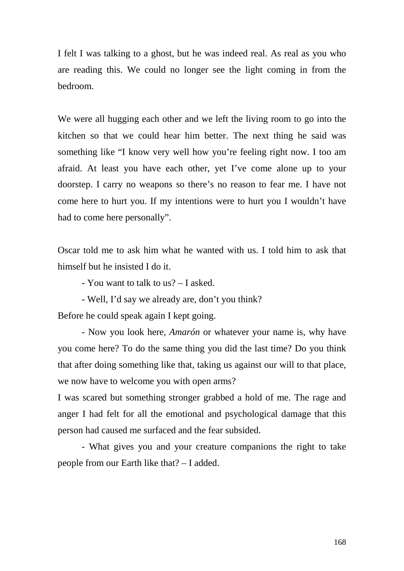I felt I was talking to a ghost, but he was indeed real. As real as you who are reading this. We could no longer see the light coming in from the bedroom.

We were all hugging each other and we left the living room to go into the kitchen so that we could hear him better. The next thing he said was something like "I know very well how you're feeling right now. I too am afraid. At least you have each other, yet I've come alone up to your doorstep. I carry no weapons so there's no reason to fear me. I have not come here to hurt you. If my intentions were to hurt you I wouldn't have had to come here personally".

Oscar told me to ask him what he wanted with us. I told him to ask that himself but he insisted I do it.

- You want to talk to us? – I asked.

- Well, I'd say we already are, don't you think? Before he could speak again I kept going.

- Now you look here, *Amarón* or whatever your name is, why have you come here? To do the same thing you did the last time? Do you think that after doing something like that, taking us against our will to that place, we now have to welcome you with open arms?

I was scared but something stronger grabbed a hold of me. The rage and anger I had felt for all the emotional and psychological damage that this person had caused me surfaced and the fear subsided.

- What gives you and your creature companions the right to take people from our Earth like that? – I added.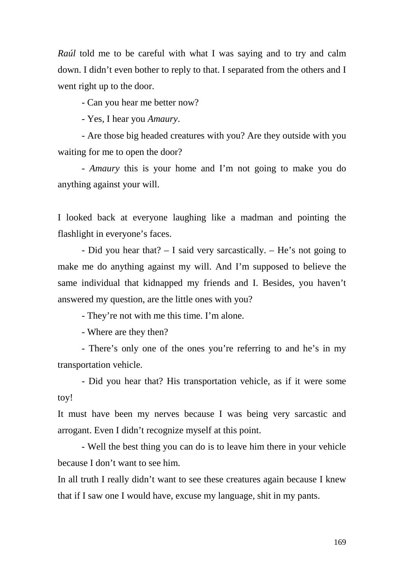*Raúl* told me to be careful with what I was saying and to try and calm down. I didn't even bother to reply to that. I separated from the others and I went right up to the door.

- Can you hear me better now?

- Yes, I hear you *Amaury*.

- Are those big headed creatures with you? Are they outside with you waiting for me to open the door?

- *Amaury* this is your home and I'm not going to make you do anything against your will.

I looked back at everyone laughing like a madman and pointing the flashlight in everyone's faces.

- Did you hear that? – I said very sarcastically. – He's not going to make me do anything against my will. And I'm supposed to believe the same individual that kidnapped my friends and I. Besides, you haven't answered my question, are the little ones with you?

- They're not with me this time. I'm alone.

- Where are they then?

- There's only one of the ones you're referring to and he's in my transportation vehicle.

- Did you hear that? His transportation vehicle, as if it were some toy!

It must have been my nerves because I was being very sarcastic and arrogant. Even I didn't recognize myself at this point.

- Well the best thing you can do is to leave him there in your vehicle because I don't want to see him.

In all truth I really didn't want to see these creatures again because I knew that if I saw one I would have, excuse my language, shit in my pants.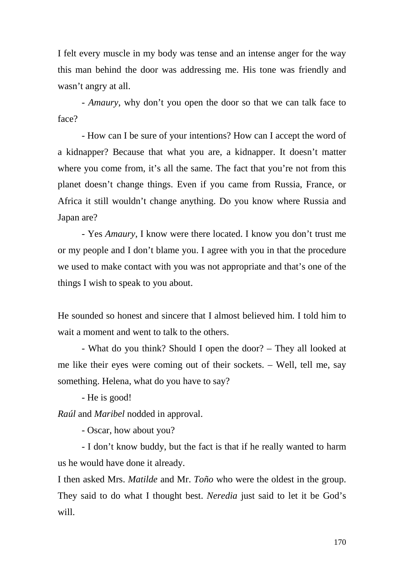I felt every muscle in my body was tense and an intense anger for the way this man behind the door was addressing me. His tone was friendly and wasn't angry at all.

- *Amaury*, why don't you open the door so that we can talk face to face?

- How can I be sure of your intentions? How can I accept the word of a kidnapper? Because that what you are, a kidnapper. It doesn't matter where you come from, it's all the same. The fact that you're not from this planet doesn't change things. Even if you came from Russia, France, or Africa it still wouldn't change anything. Do you know where Russia and Japan are?

- Yes *Amaury*, I know were there located. I know you don't trust me or my people and I don't blame you. I agree with you in that the procedure we used to make contact with you was not appropriate and that's one of the things I wish to speak to you about.

He sounded so honest and sincere that I almost believed him. I told him to wait a moment and went to talk to the others.

- What do you think? Should I open the door? – They all looked at me like their eyes were coming out of their sockets. – Well, tell me, say something. Helena, what do you have to say?

- He is good!

*Raúl* and *Maribel* nodded in approval.

- Oscar, how about you?

- I don't know buddy, but the fact is that if he really wanted to harm us he would have done it already.

I then asked Mrs. *Matilde* and Mr. *Toño* who were the oldest in the group. They said to do what I thought best. *Neredia* just said to let it be God's will.

170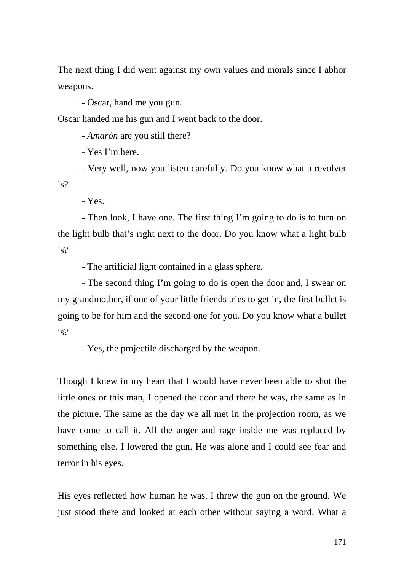The next thing I did went against my own values and morals since I abhor weapons.

- Oscar, hand me you gun.

Oscar handed me his gun and I went back to the door.

- *Amarón* are you still there?

- Yes I'm here.

- Very well, now you listen carefully. Do you know what a revolver is?

- Yes.

- Then look, I have one. The first thing I'm going to do is to turn on the light bulb that's right next to the door. Do you know what a light bulb is?

- The artificial light contained in a glass sphere.

- The second thing I'm going to do is open the door and, I swear on my grandmother, if one of your little friends tries to get in, the first bullet is going to be for him and the second one for you. Do you know what a bullet is?

- Yes, the projectile discharged by the weapon.

Though I knew in my heart that I would have never been able to shot the little ones or this man, I opened the door and there he was, the same as in the picture. The same as the day we all met in the projection room, as we have come to call it. All the anger and rage inside me was replaced by something else. I lowered the gun. He was alone and I could see fear and terror in his eyes.

His eyes reflected how human he was. I threw the gun on the ground. We just stood there and looked at each other without saying a word. What a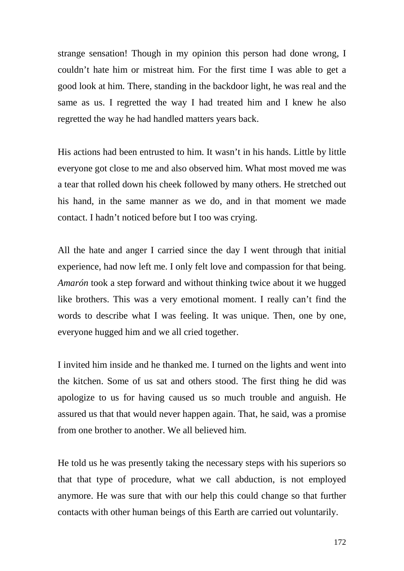strange sensation! Though in my opinion this person had done wrong, I couldn't hate him or mistreat him. For the first time I was able to get a good look at him. There, standing in the backdoor light, he was real and the same as us. I regretted the way I had treated him and I knew he also regretted the way he had handled matters years back.

His actions had been entrusted to him. It wasn't in his hands. Little by little everyone got close to me and also observed him. What most moved me was a tear that rolled down his cheek followed by many others. He stretched out his hand, in the same manner as we do, and in that moment we made contact. I hadn't noticed before but I too was crying.

All the hate and anger I carried since the day I went through that initial experience, had now left me. I only felt love and compassion for that being. *Amarón* took a step forward and without thinking twice about it we hugged like brothers. This was a very emotional moment. I really can't find the words to describe what I was feeling. It was unique. Then, one by one, everyone hugged him and we all cried together.

I invited him inside and he thanked me. I turned on the lights and went into the kitchen. Some of us sat and others stood. The first thing he did was apologize to us for having caused us so much trouble and anguish. He assured us that that would never happen again. That, he said, was a promise from one brother to another. We all believed him.

He told us he was presently taking the necessary steps with his superiors so that that type of procedure, what we call abduction, is not employed anymore. He was sure that with our help this could change so that further contacts with other human beings of this Earth are carried out voluntarily.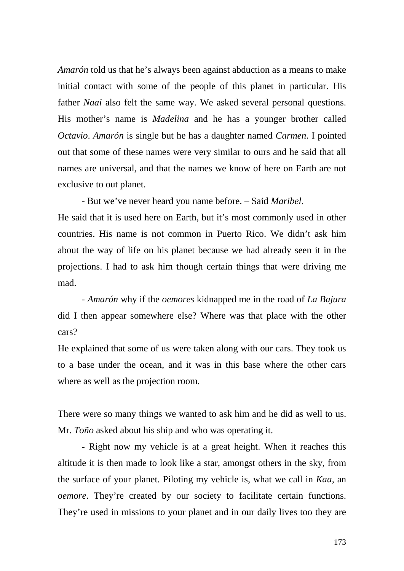*Amarón* told us that he's always been against abduction as a means to make initial contact with some of the people of this planet in particular. His father *Naai* also felt the same way. We asked several personal questions. His mother's name is *Madelina* and he has a younger brother called *Octavio*. *Amarón* is single but he has a daughter named *Carmen*. I pointed out that some of these names were very similar to ours and he said that all names are universal, and that the names we know of here on Earth are not exclusive to out planet.

- But we've never heard you name before. – Said *Maribel*.

He said that it is used here on Earth, but it's most commonly used in other countries. His name is not common in Puerto Rico. We didn't ask him about the way of life on his planet because we had already seen it in the projections. I had to ask him though certain things that were driving me mad.

- *Amarón* why if the *oemores* kidnapped me in the road of *La Bajura* did I then appear somewhere else? Where was that place with the other cars?

He explained that some of us were taken along with our cars. They took us to a base under the ocean, and it was in this base where the other cars where as well as the projection room.

There were so many things we wanted to ask him and he did as well to us. Mr. *Toño* asked about his ship and who was operating it.

- Right now my vehicle is at a great height. When it reaches this altitude it is then made to look like a star, amongst others in the sky, from the surface of your planet. Piloting my vehicle is, what we call in *Kaa*, an *oemore*. They're created by our society to facilitate certain functions. They're used in missions to your planet and in our daily lives too they are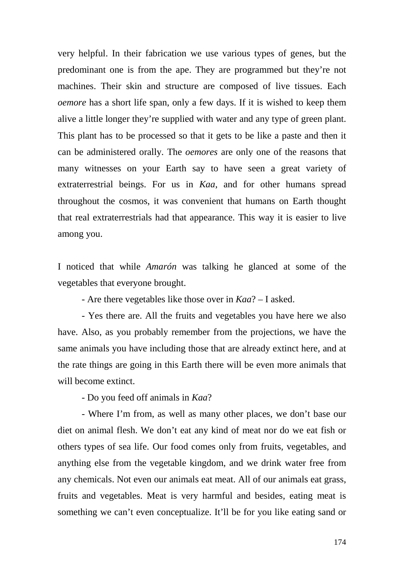very helpful. In their fabrication we use various types of genes, but the predominant one is from the ape. They are programmed but they're not machines. Their skin and structure are composed of live tissues. Each *oemore* has a short life span, only a few days. If it is wished to keep them alive a little longer they're supplied with water and any type of green plant. This plant has to be processed so that it gets to be like a paste and then it can be administered orally. The *oemores* are only one of the reasons that many witnesses on your Earth say to have seen a great variety of extraterrestrial beings. For us in *Kaa*, and for other humans spread throughout the cosmos, it was convenient that humans on Earth thought that real extraterrestrials had that appearance. This way it is easier to live among you.

I noticed that while *Amarón* was talking he glanced at some of the vegetables that everyone brought.

- Are there vegetables like those over in *Kaa*? – I asked.

- Yes there are. All the fruits and vegetables you have here we also have. Also, as you probably remember from the projections, we have the same animals you have including those that are already extinct here, and at the rate things are going in this Earth there will be even more animals that will become extinct.

- Do you feed off animals in *Kaa*?

- Where I'm from, as well as many other places, we don't base our diet on animal flesh. We don't eat any kind of meat nor do we eat fish or others types of sea life. Our food comes only from fruits, vegetables, and anything else from the vegetable kingdom, and we drink water free from any chemicals. Not even our animals eat meat. All of our animals eat grass, fruits and vegetables. Meat is very harmful and besides, eating meat is something we can't even conceptualize. It'll be for you like eating sand or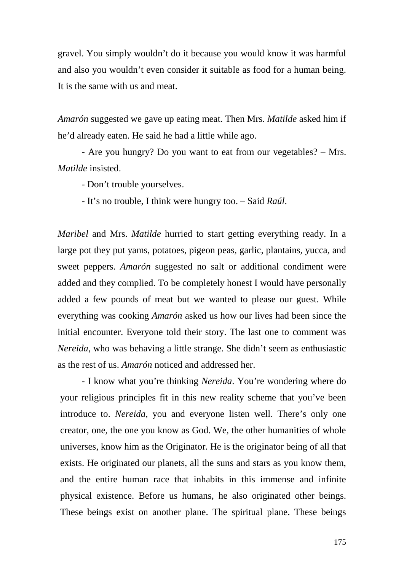gravel. You simply wouldn't do it because you would know it was harmful and also you wouldn't even consider it suitable as food for a human being. It is the same with us and meat.

*Amarón* suggested we gave up eating meat. Then Mrs. *Matilde* asked him if he'd already eaten. He said he had a little while ago.

- Are you hungry? Do you want to eat from our vegetables? – Mrs. *Matilde* insisted.

- Don't trouble yourselves.

- It's no trouble, I think were hungry too. – Said *Raúl*.

*Maribel* and Mrs. *Matilde* hurried to start getting everything ready. In a large pot they put yams, potatoes, pigeon peas, garlic, plantains, yucca, and sweet peppers. *Amarón* suggested no salt or additional condiment were added and they complied. To be completely honest I would have personally added a few pounds of meat but we wanted to please our guest. While everything was cooking *Amarón* asked us how our lives had been since the initial encounter. Everyone told their story. The last one to comment was *Nereida*, who was behaving a little strange. She didn't seem as enthusiastic as the rest of us. *Amarón* noticed and addressed her.

- I know what you're thinking *Nereida*. You're wondering where do your religious principles fit in this new reality scheme that you've been introduce to. *Nereida*, you and everyone listen well. There's only one creator, one, the one you know as God. We, the other humanities of whole universes, know him as the Originator. He is the originator being of all that exists. He originated our planets, all the suns and stars as you know them, and the entire human race that inhabits in this immense and infinite physical existence. Before us humans, he also originated other beings. These beings exist on another plane. The spiritual plane. These beings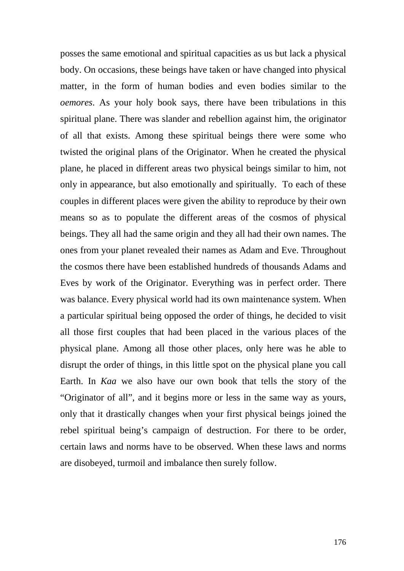posses the same emotional and spiritual capacities as us but lack a physical body. On occasions, these beings have taken or have changed into physical matter, in the form of human bodies and even bodies similar to the *oemores*. As your holy book says, there have been tribulations in this spiritual plane. There was slander and rebellion against him, the originator of all that exists. Among these spiritual beings there were some who twisted the original plans of the Originator. When he created the physical plane, he placed in different areas two physical beings similar to him, not only in appearance, but also emotionally and spiritually. To each of these couples in different places were given the ability to reproduce by their own means so as to populate the different areas of the cosmos of physical beings. They all had the same origin and they all had their own names. The ones from your planet revealed their names as Adam and Eve. Throughout the cosmos there have been established hundreds of thousands Adams and Eves by work of the Originator. Everything was in perfect order. There was balance. Every physical world had its own maintenance system. When a particular spiritual being opposed the order of things, he decided to visit all those first couples that had been placed in the various places of the physical plane. Among all those other places, only here was he able to disrupt the order of things, in this little spot on the physical plane you call Earth. In *Kaa* we also have our own book that tells the story of the "Originator of all", and it begins more or less in the same way as yours, only that it drastically changes when your first physical beings joined the rebel spiritual being's campaign of destruction. For there to be order, certain laws and norms have to be observed. When these laws and norms are disobeyed, turmoil and imbalance then surely follow.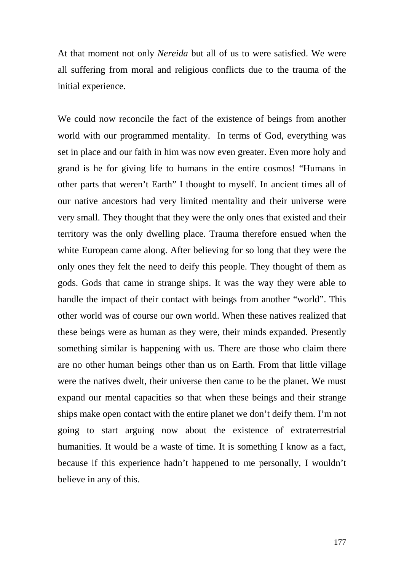At that moment not only *Nereida* but all of us to were satisfied. We were all suffering from moral and religious conflicts due to the trauma of the initial experience.

We could now reconcile the fact of the existence of beings from another world with our programmed mentality. In terms of God, everything was set in place and our faith in him was now even greater. Even more holy and grand is he for giving life to humans in the entire cosmos! "Humans in other parts that weren't Earth" I thought to myself. In ancient times all of our native ancestors had very limited mentality and their universe were very small. They thought that they were the only ones that existed and their territory was the only dwelling place. Trauma therefore ensued when the white European came along. After believing for so long that they were the only ones they felt the need to deify this people. They thought of them as gods. Gods that came in strange ships. It was the way they were able to handle the impact of their contact with beings from another "world". This other world was of course our own world. When these natives realized that these beings were as human as they were, their minds expanded. Presently something similar is happening with us. There are those who claim there are no other human beings other than us on Earth. From that little village were the natives dwelt, their universe then came to be the planet. We must expand our mental capacities so that when these beings and their strange ships make open contact with the entire planet we don't deify them. I'm not going to start arguing now about the existence of extraterrestrial humanities. It would be a waste of time. It is something I know as a fact, because if this experience hadn't happened to me personally, I wouldn't believe in any of this.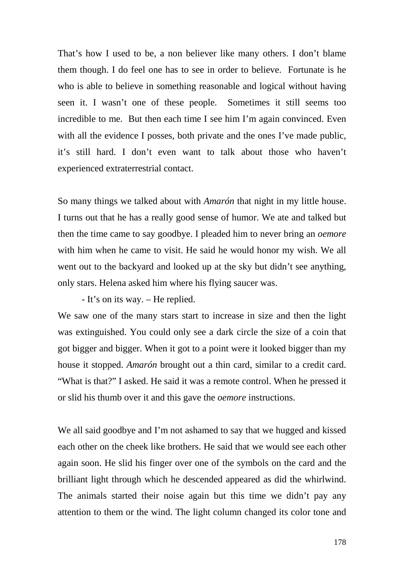That's how I used to be, a non believer like many others. I don't blame them though. I do feel one has to see in order to believe. Fortunate is he who is able to believe in something reasonable and logical without having seen it. I wasn't one of these people. Sometimes it still seems too incredible to me. But then each time I see him I'm again convinced. Even with all the evidence I posses, both private and the ones I've made public, it's still hard. I don't even want to talk about those who haven't experienced extraterrestrial contact.

So many things we talked about with *Amarón* that night in my little house. I turns out that he has a really good sense of humor. We ate and talked but then the time came to say goodbye. I pleaded him to never bring an *oemore* with him when he came to visit. He said he would honor my wish. We all went out to the backyard and looked up at the sky but didn't see anything, only stars. Helena asked him where his flying saucer was.

- It's on its way. – He replied.

We saw one of the many stars start to increase in size and then the light was extinguished. You could only see a dark circle the size of a coin that got bigger and bigger. When it got to a point were it looked bigger than my house it stopped. *Amarón* brought out a thin card, similar to a credit card. "What is that?" I asked. He said it was a remote control. When he pressed it or slid his thumb over it and this gave the *oemore* instructions.

We all said goodbye and I'm not ashamed to say that we hugged and kissed each other on the cheek like brothers. He said that we would see each other again soon. He slid his finger over one of the symbols on the card and the brilliant light through which he descended appeared as did the whirlwind. The animals started their noise again but this time we didn't pay any attention to them or the wind. The light column changed its color tone and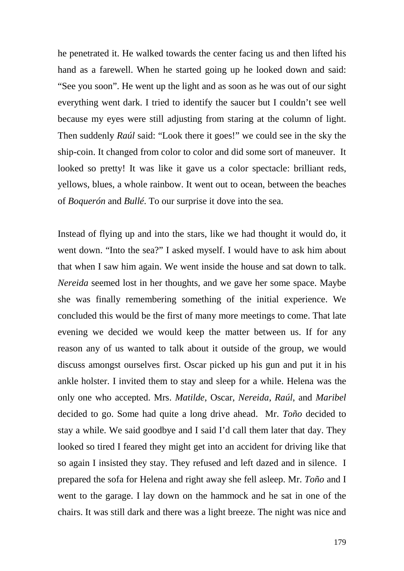he penetrated it. He walked towards the center facing us and then lifted his hand as a farewell. When he started going up he looked down and said: "See you soon". He went up the light and as soon as he was out of our sight everything went dark. I tried to identify the saucer but I couldn't see well because my eyes were still adjusting from staring at the column of light. Then suddenly *Raúl* said: "Look there it goes!" we could see in the sky the ship-coin. It changed from color to color and did some sort of maneuver. It looked so pretty! It was like it gave us a color spectacle: brilliant reds, yellows, blues, a whole rainbow. It went out to ocean, between the beaches of *Boquerón* and *Bullé*. To our surprise it dove into the sea.

Instead of flying up and into the stars, like we had thought it would do, it went down. "Into the sea?" I asked myself. I would have to ask him about that when I saw him again. We went inside the house and sat down to talk. *Nereida* seemed lost in her thoughts, and we gave her some space. Maybe she was finally remembering something of the initial experience. We concluded this would be the first of many more meetings to come. That late evening we decided we would keep the matter between us. If for any reason any of us wanted to talk about it outside of the group, we would discuss amongst ourselves first. Oscar picked up his gun and put it in his ankle holster. I invited them to stay and sleep for a while. Helena was the only one who accepted. Mrs. *Matilde*, Oscar, *Nereida*, *Raúl*, and *Maribel* decided to go. Some had quite a long drive ahead. Mr. *Toño* decided to stay a while. We said goodbye and I said I'd call them later that day. They looked so tired I feared they might get into an accident for driving like that so again I insisted they stay. They refused and left dazed and in silence. I prepared the sofa for Helena and right away she fell asleep. Mr. *Toño* and I went to the garage. I lay down on the hammock and he sat in one of the chairs. It was still dark and there was a light breeze. The night was nice and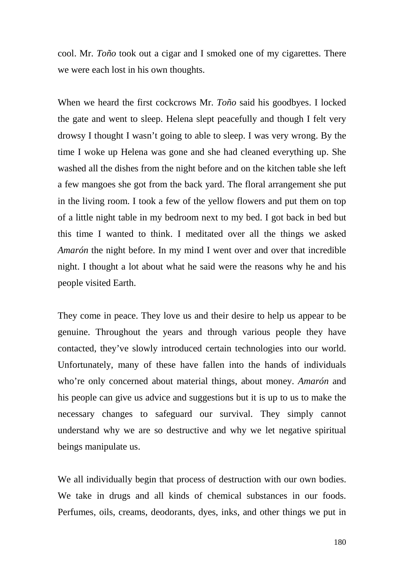cool. Mr. *Toño* took out a cigar and I smoked one of my cigarettes. There we were each lost in his own thoughts.

When we heard the first cockcrows Mr. *Toño* said his goodbyes. I locked the gate and went to sleep. Helena slept peacefully and though I felt very drowsy I thought I wasn't going to able to sleep. I was very wrong. By the time I woke up Helena was gone and she had cleaned everything up. She washed all the dishes from the night before and on the kitchen table she left a few mangoes she got from the back yard. The floral arrangement she put in the living room. I took a few of the yellow flowers and put them on top of a little night table in my bedroom next to my bed. I got back in bed but this time I wanted to think. I meditated over all the things we asked *Amarón* the night before. In my mind I went over and over that incredible night. I thought a lot about what he said were the reasons why he and his people visited Earth.

They come in peace. They love us and their desire to help us appear to be genuine. Throughout the years and through various people they have contacted, they've slowly introduced certain technologies into our world. Unfortunately, many of these have fallen into the hands of individuals who're only concerned about material things, about money. *Amarón* and his people can give us advice and suggestions but it is up to us to make the necessary changes to safeguard our survival. They simply cannot understand why we are so destructive and why we let negative spiritual beings manipulate us.

We all individually begin that process of destruction with our own bodies. We take in drugs and all kinds of chemical substances in our foods. Perfumes, oils, creams, deodorants, dyes, inks, and other things we put in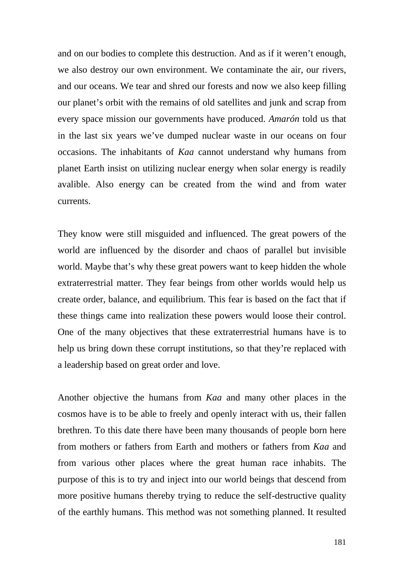and on our bodies to complete this destruction. And as if it weren't enough, we also destroy our own environment. We contaminate the air, our rivers, and our oceans. We tear and shred our forests and now we also keep filling our planet's orbit with the remains of old satellites and junk and scrap from every space mission our governments have produced. *Amarón* told us that in the last six years we've dumped nuclear waste in our oceans on four occasions. The inhabitants of *Kaa* cannot understand why humans from planet Earth insist on utilizing nuclear energy when solar energy is readily avalible. Also energy can be created from the wind and from water currents.

They know were still misguided and influenced. The great powers of the world are influenced by the disorder and chaos of parallel but invisible world. Maybe that's why these great powers want to keep hidden the whole extraterrestrial matter. They fear beings from other worlds would help us create order, balance, and equilibrium. This fear is based on the fact that if these things came into realization these powers would loose their control. One of the many objectives that these extraterrestrial humans have is to help us bring down these corrupt institutions, so that they're replaced with a leadership based on great order and love.

Another objective the humans from *Kaa* and many other places in the cosmos have is to be able to freely and openly interact with us, their fallen brethren. To this date there have been many thousands of people born here from mothers or fathers from Earth and mothers or fathers from *Kaa* and from various other places where the great human race inhabits. The purpose of this is to try and inject into our world beings that descend from more positive humans thereby trying to reduce the self-destructive quality of the earthly humans. This method was not something planned. It resulted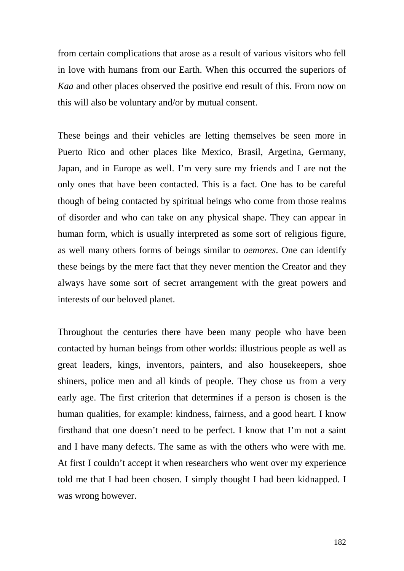from certain complications that arose as a result of various visitors who fell in love with humans from our Earth. When this occurred the superiors of *Kaa* and other places observed the positive end result of this. From now on this will also be voluntary and/or by mutual consent.

These beings and their vehicles are letting themselves be seen more in Puerto Rico and other places like Mexico, Brasil, Argetina, Germany, Japan, and in Europe as well. I'm very sure my friends and I are not the only ones that have been contacted. This is a fact. One has to be careful though of being contacted by spiritual beings who come from those realms of disorder and who can take on any physical shape. They can appear in human form, which is usually interpreted as some sort of religious figure, as well many others forms of beings similar to *oemores*. One can identify these beings by the mere fact that they never mention the Creator and they always have some sort of secret arrangement with the great powers and interests of our beloved planet.

Throughout the centuries there have been many people who have been contacted by human beings from other worlds: illustrious people as well as great leaders, kings, inventors, painters, and also housekeepers, shoe shiners, police men and all kinds of people. They chose us from a very early age. The first criterion that determines if a person is chosen is the human qualities, for example: kindness, fairness, and a good heart. I know firsthand that one doesn't need to be perfect. I know that I'm not a saint and I have many defects. The same as with the others who were with me. At first I couldn't accept it when researchers who went over my experience told me that I had been chosen. I simply thought I had been kidnapped. I was wrong however.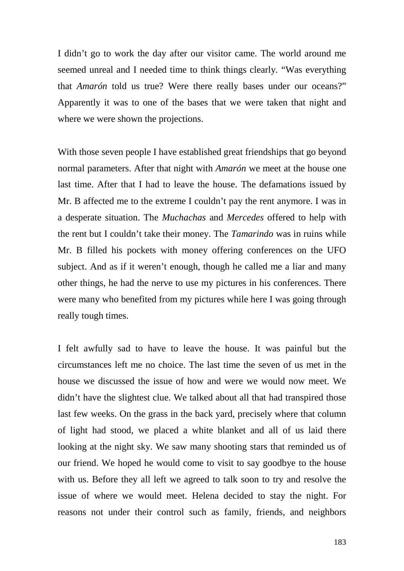I didn't go to work the day after our visitor came. The world around me seemed unreal and I needed time to think things clearly. "Was everything that *Amarón* told us true? Were there really bases under our oceans?" Apparently it was to one of the bases that we were taken that night and where we were shown the projections.

With those seven people I have established great friendships that go beyond normal parameters. After that night with *Amarón* we meet at the house one last time. After that I had to leave the house. The defamations issued by Mr. B affected me to the extreme I couldn't pay the rent anymore. I was in a desperate situation. The *Muchachas* and *Mercedes* offered to help with the rent but I couldn't take their money. The *Tamarindo* was in ruins while Mr. B filled his pockets with money offering conferences on the UFO subject. And as if it weren't enough, though he called me a liar and many other things, he had the nerve to use my pictures in his conferences. There were many who benefited from my pictures while here I was going through really tough times.

I felt awfully sad to have to leave the house. It was painful but the circumstances left me no choice. The last time the seven of us met in the house we discussed the issue of how and were we would now meet. We didn't have the slightest clue. We talked about all that had transpired those last few weeks. On the grass in the back yard, precisely where that column of light had stood, we placed a white blanket and all of us laid there looking at the night sky. We saw many shooting stars that reminded us of our friend. We hoped he would come to visit to say goodbye to the house with us. Before they all left we agreed to talk soon to try and resolve the issue of where we would meet. Helena decided to stay the night. For reasons not under their control such as family, friends, and neighbors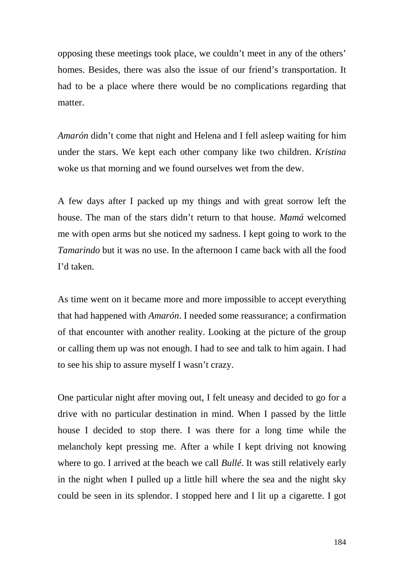opposing these meetings took place, we couldn't meet in any of the others' homes. Besides, there was also the issue of our friend's transportation. It had to be a place where there would be no complications regarding that matter.

*Amarón* didn't come that night and Helena and I fell asleep waiting for him under the stars. We kept each other company like two children. *Kristina* woke us that morning and we found ourselves wet from the dew.

A few days after I packed up my things and with great sorrow left the house. The man of the stars didn't return to that house. *Mamá* welcomed me with open arms but she noticed my sadness. I kept going to work to the *Tamarindo* but it was no use. In the afternoon I came back with all the food I'd taken.

As time went on it became more and more impossible to accept everything that had happened with *Amarón*. I needed some reassurance; a confirmation of that encounter with another reality. Looking at the picture of the group or calling them up was not enough. I had to see and talk to him again. I had to see his ship to assure myself I wasn't crazy.

One particular night after moving out, I felt uneasy and decided to go for a drive with no particular destination in mind. When I passed by the little house I decided to stop there. I was there for a long time while the melancholy kept pressing me. After a while I kept driving not knowing where to go. I arrived at the beach we call *Bullé*. It was still relatively early in the night when I pulled up a little hill where the sea and the night sky could be seen in its splendor. I stopped here and I lit up a cigarette. I got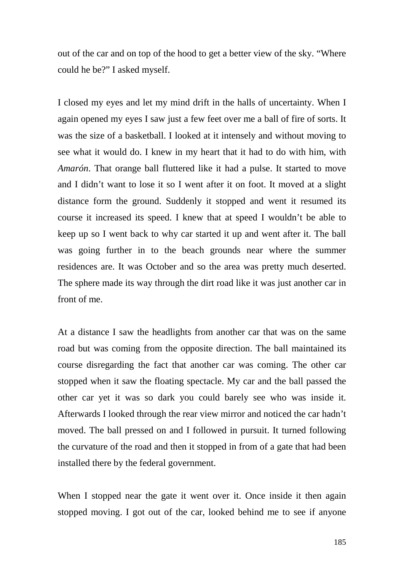out of the car and on top of the hood to get a better view of the sky. "Where could he be?" I asked myself.

I closed my eyes and let my mind drift in the halls of uncertainty. When I again opened my eyes I saw just a few feet over me a ball of fire of sorts. It was the size of a basketball. I looked at it intensely and without moving to see what it would do. I knew in my heart that it had to do with him, with *Amarón*. That orange ball fluttered like it had a pulse. It started to move and I didn't want to lose it so I went after it on foot. It moved at a slight distance form the ground. Suddenly it stopped and went it resumed its course it increased its speed. I knew that at speed I wouldn't be able to keep up so I went back to why car started it up and went after it. The ball was going further in to the beach grounds near where the summer residences are. It was October and so the area was pretty much deserted. The sphere made its way through the dirt road like it was just another car in front of me.

At a distance I saw the headlights from another car that was on the same road but was coming from the opposite direction. The ball maintained its course disregarding the fact that another car was coming. The other car stopped when it saw the floating spectacle. My car and the ball passed the other car yet it was so dark you could barely see who was inside it. Afterwards I looked through the rear view mirror and noticed the car hadn't moved. The ball pressed on and I followed in pursuit. It turned following the curvature of the road and then it stopped in from of a gate that had been installed there by the federal government.

When I stopped near the gate it went over it. Once inside it then again stopped moving. I got out of the car, looked behind me to see if anyone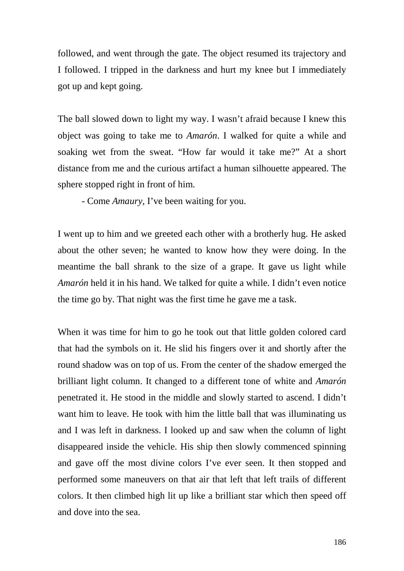followed, and went through the gate. The object resumed its trajectory and I followed. I tripped in the darkness and hurt my knee but I immediately got up and kept going.

The ball slowed down to light my way. I wasn't afraid because I knew this object was going to take me to *Amarón*. I walked for quite a while and soaking wet from the sweat. "How far would it take me?" At a short distance from me and the curious artifact a human silhouette appeared. The sphere stopped right in front of him.

- Come *Amaury*, I've been waiting for you.

I went up to him and we greeted each other with a brotherly hug. He asked about the other seven; he wanted to know how they were doing. In the meantime the ball shrank to the size of a grape. It gave us light while *Amarón* held it in his hand. We talked for quite a while. I didn't even notice the time go by. That night was the first time he gave me a task.

When it was time for him to go he took out that little golden colored card that had the symbols on it. He slid his fingers over it and shortly after the round shadow was on top of us. From the center of the shadow emerged the brilliant light column. It changed to a different tone of white and *Amarón* penetrated it. He stood in the middle and slowly started to ascend. I didn't want him to leave. He took with him the little ball that was illuminating us and I was left in darkness. I looked up and saw when the column of light disappeared inside the vehicle. His ship then slowly commenced spinning and gave off the most divine colors I've ever seen. It then stopped and performed some maneuvers on that air that left that left trails of different colors. It then climbed high lit up like a brilliant star which then speed off and dove into the sea.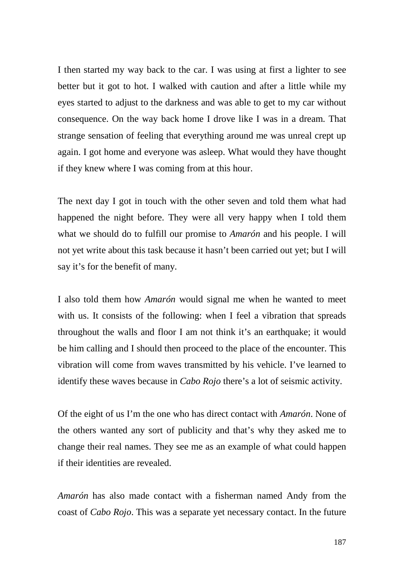I then started my way back to the car. I was using at first a lighter to see better but it got to hot. I walked with caution and after a little while my eyes started to adjust to the darkness and was able to get to my car without consequence. On the way back home I drove like I was in a dream. That strange sensation of feeling that everything around me was unreal crept up again. I got home and everyone was asleep. What would they have thought if they knew where I was coming from at this hour.

The next day I got in touch with the other seven and told them what had happened the night before. They were all very happy when I told them what we should do to fulfill our promise to *Amarón* and his people. I will not yet write about this task because it hasn't been carried out yet; but I will say it's for the benefit of many.

I also told them how *Amarón* would signal me when he wanted to meet with us. It consists of the following: when I feel a vibration that spreads throughout the walls and floor I am not think it's an earthquake; it would be him calling and I should then proceed to the place of the encounter. This vibration will come from waves transmitted by his vehicle. I've learned to identify these waves because in *Cabo Rojo* there's a lot of seismic activity.

Of the eight of us I'm the one who has direct contact with *Amarón*. None of the others wanted any sort of publicity and that's why they asked me to change their real names. They see me as an example of what could happen if their identities are revealed.

*Amarón* has also made contact with a fisherman named Andy from the coast of *Cabo Rojo*. This was a separate yet necessary contact. In the future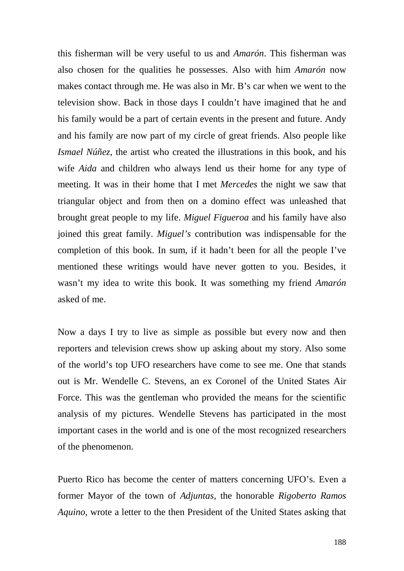this fisherman will be very useful to us and *Amarón*. This fisherman was also chosen for the qualities he possesses. Also with him *Amarón* now makes contact through me. He was also in Mr. B's car when we went to the television show. Back in those days I couldn't have imagined that he and his family would be a part of certain events in the present and future. Andy and his family are now part of my circle of great friends. Also people like *Ismael Núñez*, the artist who created the illustrations in this book, and his wife *Aida* and children who always lend us their home for any type of meeting. It was in their home that I met *Mercedes* the night we saw that triangular object and from then on a domino effect was unleashed that brought great people to my life. *Miguel Figueroa* and his family have also joined this great family. *Miguel's* contribution was indispensable for the completion of this book. In sum, if it hadn't been for all the people I've mentioned these writings would have never gotten to you. Besides, it wasn't my idea to write this book. It was something my friend *Amarón* asked of me.

Now a days I try to live as simple as possible but every now and then reporters and television crews show up asking about my story. Also some of the world's top UFO researchers have come to see me. One that stands out is Mr. Wendelle C. Stevens, an ex Coronel of the United States Air Force. This was the gentleman who provided the means for the scientific analysis of my pictures. Wendelle Stevens has participated in the most important cases in the world and is one of the most recognized researchers of the phenomenon.

Puerto Rico has become the center of matters concerning UFO's. Even a former Mayor of the town of *Adjuntas*, the honorable *Rigoberto Ramos Aquino*, wrote a letter to the then President of the United States asking that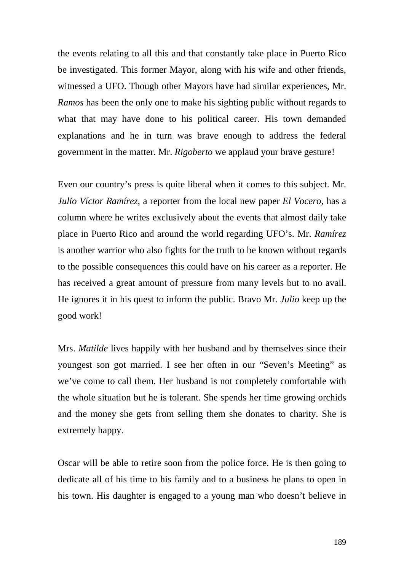the events relating to all this and that constantly take place in Puerto Rico be investigated. This former Mayor, along with his wife and other friends, witnessed a UFO. Though other Mayors have had similar experiences, Mr. *Ramos* has been the only one to make his sighting public without regards to what that may have done to his political career. His town demanded explanations and he in turn was brave enough to address the federal government in the matter. Mr. *Rigoberto* we applaud your brave gesture!

Even our country's press is quite liberal when it comes to this subject. Mr. *Julio Víctor Ramírez*, a reporter from the local new paper *El Vocero*, has a column where he writes exclusively about the events that almost daily take place in Puerto Rico and around the world regarding UFO's. Mr. *Ramírez* is another warrior who also fights for the truth to be known without regards to the possible consequences this could have on his career as a reporter. He has received a great amount of pressure from many levels but to no avail. He ignores it in his quest to inform the public. Bravo Mr. *Julio* keep up the good work!

Mrs. *Matilde* lives happily with her husband and by themselves since their youngest son got married. I see her often in our "Seven's Meeting" as we've come to call them. Her husband is not completely comfortable with the whole situation but he is tolerant. She spends her time growing orchids and the money she gets from selling them she donates to charity. She is extremely happy.

Oscar will be able to retire soon from the police force. He is then going to dedicate all of his time to his family and to a business he plans to open in his town. His daughter is engaged to a young man who doesn't believe in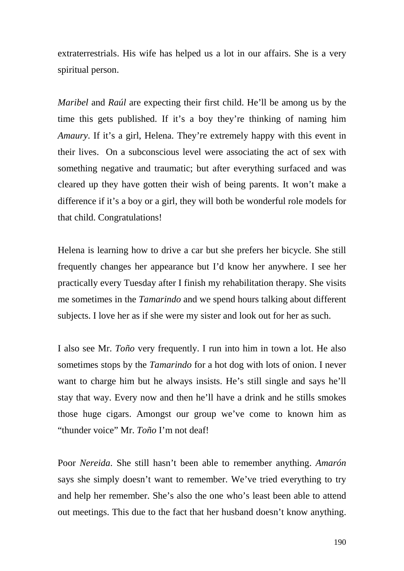extraterrestrials. His wife has helped us a lot in our affairs. She is a very spiritual person.

*Maribel* and *Raúl* are expecting their first child. He'll be among us by the time this gets published. If it's a boy they're thinking of naming him *Amaury*. If it's a girl, Helena. They're extremely happy with this event in their lives. On a subconscious level were associating the act of sex with something negative and traumatic; but after everything surfaced and was cleared up they have gotten their wish of being parents. It won't make a difference if it's a boy or a girl, they will both be wonderful role models for that child. Congratulations!

Helena is learning how to drive a car but she prefers her bicycle. She still frequently changes her appearance but I'd know her anywhere. I see her practically every Tuesday after I finish my rehabilitation therapy. She visits me sometimes in the *Tamarindo* and we spend hours talking about different subjects. I love her as if she were my sister and look out for her as such.

I also see Mr. *Toño* very frequently. I run into him in town a lot. He also sometimes stops by the *Tamarindo* for a hot dog with lots of onion. I never want to charge him but he always insists. He's still single and says he'll stay that way. Every now and then he'll have a drink and he stills smokes those huge cigars. Amongst our group we've come to known him as "thunder voice" Mr. *Toño* I'm not deaf!

Poor *Nereida*. She still hasn't been able to remember anything. *Amarón*  says she simply doesn't want to remember. We've tried everything to try and help her remember. She's also the one who's least been able to attend out meetings. This due to the fact that her husband doesn't know anything.